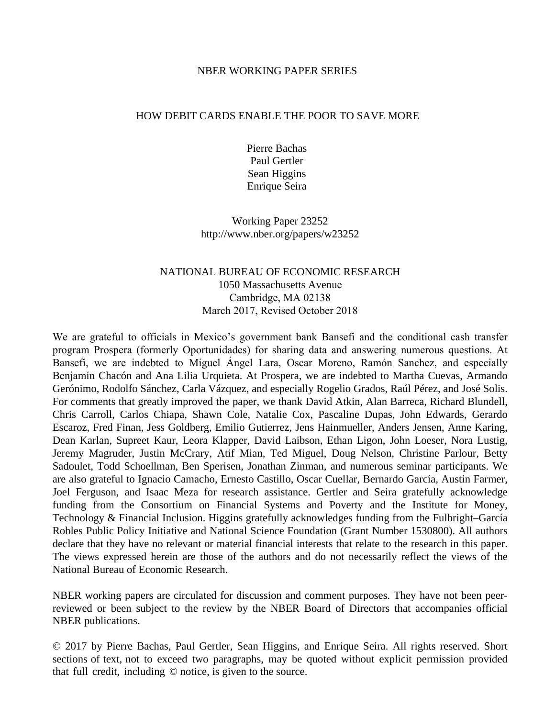## NBER WORKING PAPER SERIES

## HOW DEBIT CARDS ENABLE THE POOR TO SAVE MORE

Pierre Bachas Paul Gertler Sean Higgins Enrique Seira

Working Paper 23252 http://www.nber.org/papers/w23252

# NATIONAL BUREAU OF ECONOMIC RESEARCH 1050 Massachusetts Avenue Cambridge, MA 02138 March 201, Revised October 2018

We are grateful to officials in Mexico's government bank Bansefi and the conditional cash transfer program Prospera (formerly Oportunidades) for sharing data and answering numerous questions. At Bansefi, we are indebted to Miguel Ángel Lara, Oscar Moreno, Ramón Sanchez, and especially Benjamín Chacón and Ana Lilia Urquieta. At Prospera, we are indebted to Martha Cuevas, Armando Gerónimo, Rodolfo Sánchez, Carla Vázquez, and especially Rogelio Grados, Raúl Pérez, and José Solis. For comments that greatly improved the paper, we thank David Atkin, Alan Barreca, Richard Blundell, Chris Carroll, Carlos Chiapa, Shawn Cole, Natalie Cox, Pascaline Dupas, John Edwards, Gerardo Escaroz, Fred Finan, Jess Goldberg, Emilio Gutierrez, Jens Hainmueller, Anders Jensen, Anne Karing, Dean Karlan, Supreet Kaur, Leora Klapper, David Laibson, Ethan Ligon, John Loeser, Nora Lustig, Jeremy Magruder, Justin McCrary, Atif Mian, Ted Miguel, Doug Nelson, Christine Parlour, Betty Sadoulet, Todd Schoellman, Ben Sperisen, Jonathan Zinman, and numerous seminar participants. We are also grateful to Ignacio Camacho, Ernesto Castillo, Oscar Cuellar, Bernardo García, Austin Farmer, Joel Ferguson, and Isaac Meza for research assistance. Gertler and Seira gratefully acknowledge funding from the Consortium on Financial Systems and Poverty and the Institute for Money, Technology & Financial Inclusion. Higgins gratefully acknowledges funding from the Fulbright–García Robles Public Policy Initiative and National Science Foundation (Grant Number 1530800). All authors declare that they have no relevant or material financial interests that relate to the research in this paper. The views expressed herein are those of the authors and do not necessarily reflect the views of the National Bureau of Economic Research.

NBER working papers are circulated for discussion and comment purposes. They have not been peerreviewed or been subject to the review by the NBER Board of Directors that accompanies official NBER publications.

© 2017 by Pierre Bachas, Paul Gertler, Sean Higgins, and Enrique Seira. All rights reserved. Short sections of text, not to exceed two paragraphs, may be quoted without explicit permission provided that full credit, including © notice, is given to the source.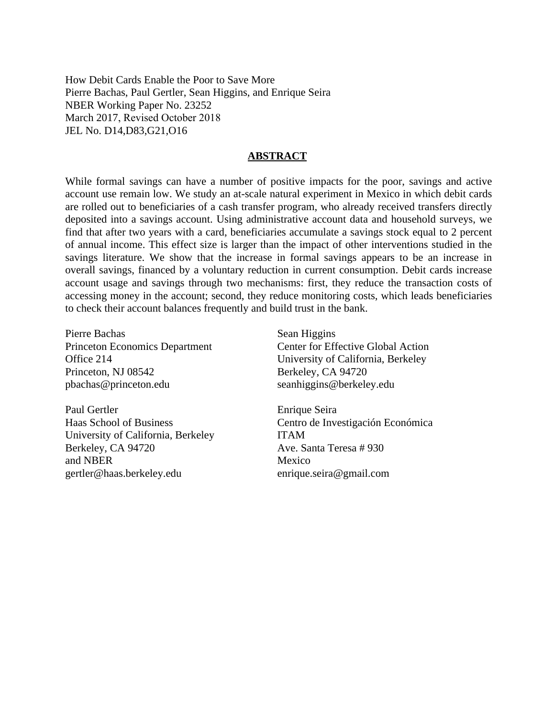How Debit Cards Enable the Poor to Save More Pierre Bachas, Paul Gertler, Sean Higgins, and Enrique Seira NBER Working Paper No. 23252 March 2017, Revised October 2018 JEL No. D14,D83,G21,O16

## **ABSTRACT**

While formal savings can have a number of positive impacts for the poor, savings and active account use remain low. We study an at-scale natural experiment in Mexico in which debit cards are rolled out to beneficiaries of a cash transfer program, who already received transfers directly deposited into a savings account. Using administrative account data and household surveys, we find that after two years with a card, beneficiaries accumulate a savings stock equal to 2 percent of annual income. This effect size is larger than the impact of other interventions studied in the savings literature. We show that the increase in formal savings appears to be an increase in overall savings, financed by a voluntary reduction in current consumption. Debit cards increase account usage and savings through two mechanisms: first, they reduce the transaction costs of accessing money in the account; second, they reduce monitoring costs, which leads beneficiaries to check their account balances frequently and build trust in the bank.

Pierre Bachas Princeton Economics Department Office 214 Princeton, NJ 08542 pbachas@princeton.edu

Paul Gertler Haas School of Business University of California, Berkeley Berkeley, CA 94720 and NBER gertler@haas.berkeley.edu

Sean Higgins Center for Effective Global Action University of California, Berkeley Berkeley, CA 94720 seanhiggins@berkeley.edu

Enrique Seira Centro de Investigación Económica ITAM Ave. Santa Teresa # 930 Mexico enrique.seira@gmail.com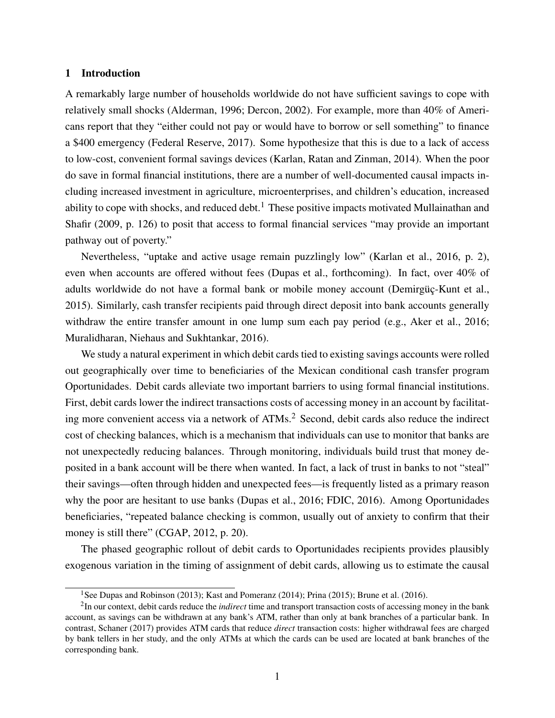#### 1 Introduction

A remarkably large number of households worldwide do not have sufficient savings to cope with relatively small shocks [\(Alderman, 1996;](#page-26-0) [Dercon, 2002\)](#page-27-0). For example, more than 40% of Americans report that they "either could not pay or would have to borrow or sell something" to finance a \$400 emergency [\(Federal Reserve, 2017\)](#page-27-1). Some hypothesize that this is due to a lack of access to low-cost, convenient formal savings devices [\(Karlan, Ratan and Zinman, 2014\)](#page-28-0). When the poor do save in formal financial institutions, there are a number of well-documented causal impacts including increased investment in agriculture, microenterprises, and children's education, increased ability to cope with shocks, and reduced debt.<sup>[1](#page--1-0)</sup> These positive impacts motivated [Mullainathan and](#page-28-1) [Shafir](#page-28-1) [\(2009,](#page-28-1) p. 126) to posit that access to formal financial services "may provide an important pathway out of poverty."

Nevertheless, "uptake and active usage remain puzzlingly low" [\(Karlan et al., 2016,](#page-28-2) p. 2), even when accounts are offered without fees [\(Dupas et al., forthcoming\)](#page-27-2). In fact, over 40% of adults worldwide do not have a formal bank or mobile money account [\(Demirgüç-Kunt et al.,](#page-27-3) [2015\)](#page-27-3). Similarly, cash transfer recipients paid through direct deposit into bank accounts generally withdraw the entire transfer amount in one lump sum each pay period (e.g., [Aker et al., 2016;](#page-26-1) [Muralidharan, Niehaus and Sukhtankar, 2016\)](#page-28-3).

We study a natural experiment in which debit cards tied to existing savings accounts were rolled out geographically over time to beneficiaries of the Mexican conditional cash transfer program Oportunidades. Debit cards alleviate two important barriers to using formal financial institutions. First, debit cards lower the indirect transactions costs of accessing money in an account by facilitat-ing more convenient access via a network of ATMs.<sup>[2](#page--1-1)</sup> Second, debit cards also reduce the indirect cost of checking balances, which is a mechanism that individuals can use to monitor that banks are not unexpectedly reducing balances. Through monitoring, individuals build trust that money deposited in a bank account will be there when wanted. In fact, a lack of trust in banks to not "steal" their savings—often through hidden and unexpected fees—is frequently listed as a primary reason why the poor are hesitant to use banks [\(Dupas et al., 2016;](#page-27-4) [FDIC, 2016\)](#page-27-5). Among Oportunidades beneficiaries, "repeated balance checking is common, usually out of anxiety to confirm that their money is still there" [\(CGAP, 2012,](#page-27-6) p. 20).

The phased geographic rollout of debit cards to Oportunidades recipients provides plausibly exogenous variation in the timing of assignment of debit cards, allowing us to estimate the causal

<sup>&</sup>lt;sup>1</sup>See [Dupas and Robinson](#page-27-7) [\(2013\)](#page-27-7); [Kast and Pomeranz](#page-28-4) [\(2014\)](#page-28-4); [Prina](#page-28-5) [\(2015\)](#page-28-5); [Brune et al.](#page-27-8) [\(2016\)](#page-27-8).

<sup>2</sup> In our context, debit cards reduce the *indirect* time and transport transaction costs of accessing money in the bank account, as savings can be withdrawn at any bank's ATM, rather than only at bank branches of a particular bank. In contrast, [Schaner](#page-28-6) [\(2017\)](#page-28-6) provides ATM cards that reduce *direct* transaction costs: higher withdrawal fees are charged by bank tellers in her study, and the only ATMs at which the cards can be used are located at bank branches of the corresponding bank.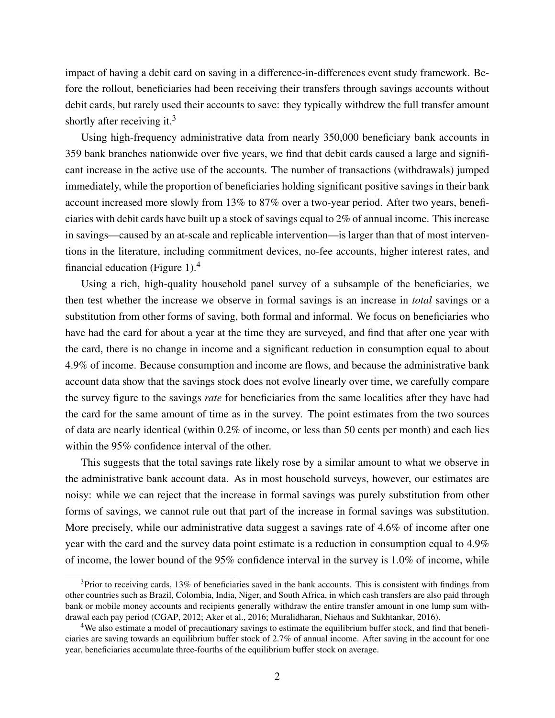impact of having a debit card on saving in a difference-in-differences event study framework. Before the rollout, beneficiaries had been receiving their transfers through savings accounts without debit cards, but rarely used their accounts to save: they typically withdrew the full transfer amount shortly after receiving it.<sup>[3](#page-3-0)</sup>

Using high-frequency administrative data from nearly 350,000 beneficiary bank accounts in 359 bank branches nationwide over five years, we find that debit cards caused a large and significant increase in the active use of the accounts. The number of transactions (withdrawals) jumped immediately, while the proportion of beneficiaries holding significant positive savings in their bank account increased more slowly from 13% to 87% over a two-year period. After two years, beneficiaries with debit cards have built up a stock of savings equal to 2% of annual income. This increase in savings—caused by an at-scale and replicable intervention—is larger than that of most interventions in the literature, including commitment devices, no-fee accounts, higher interest rates, and financial education (Figure [1\)](#page-34-0). $4$ 

Using a rich, high-quality household panel survey of a subsample of the beneficiaries, we then test whether the increase we observe in formal savings is an increase in *total* savings or a substitution from other forms of saving, both formal and informal. We focus on beneficiaries who have had the card for about a year at the time they are surveyed, and find that after one year with the card, there is no change in income and a significant reduction in consumption equal to about 4.9% of income. Because consumption and income are flows, and because the administrative bank account data show that the savings stock does not evolve linearly over time, we carefully compare the survey figure to the savings *rate* for beneficiaries from the same localities after they have had the card for the same amount of time as in the survey. The point estimates from the two sources of data are nearly identical (within 0.2% of income, or less than 50 cents per month) and each lies within the 95% confidence interval of the other.

This suggests that the total savings rate likely rose by a similar amount to what we observe in the administrative bank account data. As in most household surveys, however, our estimates are noisy: while we can reject that the increase in formal savings was purely substitution from other forms of savings, we cannot rule out that part of the increase in formal savings was substitution. More precisely, while our administrative data suggest a savings rate of 4.6% of income after one year with the card and the survey data point estimate is a reduction in consumption equal to 4.9% of income, the lower bound of the 95% confidence interval in the survey is 1.0% of income, while

<span id="page-3-0"></span> $3$ Prior to receiving cards, 13% of beneficiaries saved in the bank accounts. This is consistent with findings from other countries such as Brazil, Colombia, India, Niger, and South Africa, in which cash transfers are also paid through bank or mobile money accounts and recipients generally withdraw the entire transfer amount in one lump sum withdrawal each pay period [\(CGAP, 2012;](#page-27-6) [Aker et al., 2016;](#page-26-1) [Muralidharan, Niehaus and Sukhtankar, 2016\)](#page-28-3).

<span id="page-3-1"></span><sup>4</sup>We also estimate a model of precautionary savings to estimate the equilibrium buffer stock, and find that beneficiaries are saving towards an equilibrium buffer stock of 2.7% of annual income. After saving in the account for one year, beneficiaries accumulate three-fourths of the equilibrium buffer stock on average.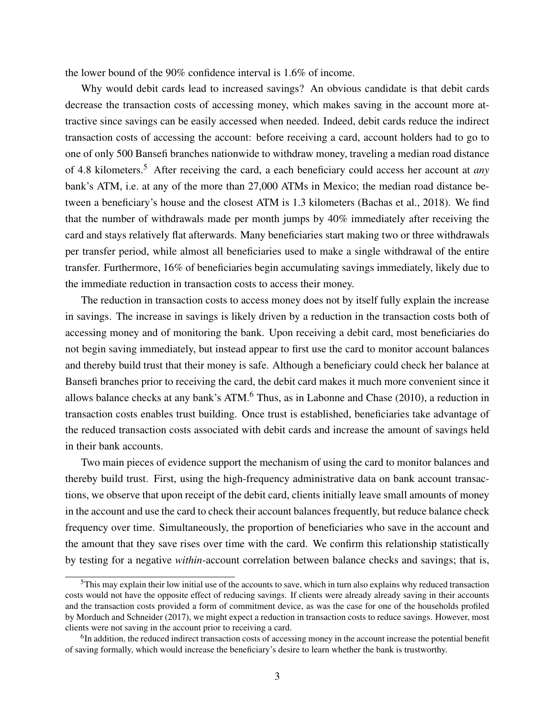the lower bound of the 90% confidence interval is 1.6% of income.

Why would debit cards lead to increased savings? An obvious candidate is that debit cards decrease the transaction costs of accessing money, which makes saving in the account more attractive since savings can be easily accessed when needed. Indeed, debit cards reduce the indirect transaction costs of accessing the account: before receiving a card, account holders had to go to one of only 500 Bansefi branches nationwide to withdraw money, traveling a median road distance of 4.8 kilometers.[5](#page-4-0) After receiving the card, a each beneficiary could access her account at *any* bank's ATM, i.e. at any of the more than 27,000 ATMs in Mexico; the median road distance between a beneficiary's house and the closest ATM is 1.3 kilometers [\(Bachas et al., 2018\)](#page-26-2). We find that the number of withdrawals made per month jumps by 40% immediately after receiving the card and stays relatively flat afterwards. Many beneficiaries start making two or three withdrawals per transfer period, while almost all beneficiaries used to make a single withdrawal of the entire transfer. Furthermore, 16% of beneficiaries begin accumulating savings immediately, likely due to the immediate reduction in transaction costs to access their money.

The reduction in transaction costs to access money does not by itself fully explain the increase in savings. The increase in savings is likely driven by a reduction in the transaction costs both of accessing money and of monitoring the bank. Upon receiving a debit card, most beneficiaries do not begin saving immediately, but instead appear to first use the card to monitor account balances and thereby build trust that their money is safe. Although a beneficiary could check her balance at Bansefi branches prior to receiving the card, the debit card makes it much more convenient since it allows balance checks at any bank's  $ATM<sup>6</sup>$  $ATM<sup>6</sup>$  $ATM<sup>6</sup>$ . Thus, as in [Labonne and Chase](#page-28-7) [\(2010\)](#page-28-7), a reduction in transaction costs enables trust building. Once trust is established, beneficiaries take advantage of the reduced transaction costs associated with debit cards and increase the amount of savings held in their bank accounts.

Two main pieces of evidence support the mechanism of using the card to monitor balances and thereby build trust. First, using the high-frequency administrative data on bank account transactions, we observe that upon receipt of the debit card, clients initially leave small amounts of money in the account and use the card to check their account balances frequently, but reduce balance check frequency over time. Simultaneously, the proportion of beneficiaries who save in the account and the amount that they save rises over time with the card. We confirm this relationship statistically by testing for a negative *within*-account correlation between balance checks and savings; that is,

<span id="page-4-0"></span><sup>5</sup>This may explain their low initial use of the accounts to save, which in turn also explains why reduced transaction costs would not have the opposite effect of reducing savings. If clients were already already saving in their accounts and the transaction costs provided a form of commitment device, as was the case for one of the households profiled by [Morduch and Schneider](#page-28-8) [\(2017\)](#page-28-8), we might expect a reduction in transaction costs to reduce savings. However, most clients were not saving in the account prior to receiving a card.

<span id="page-4-1"></span><sup>&</sup>lt;sup>6</sup>In addition, the reduced indirect transaction costs of accessing money in the account increase the potential benefit of saving formally, which would increase the beneficiary's desire to learn whether the bank is trustworthy.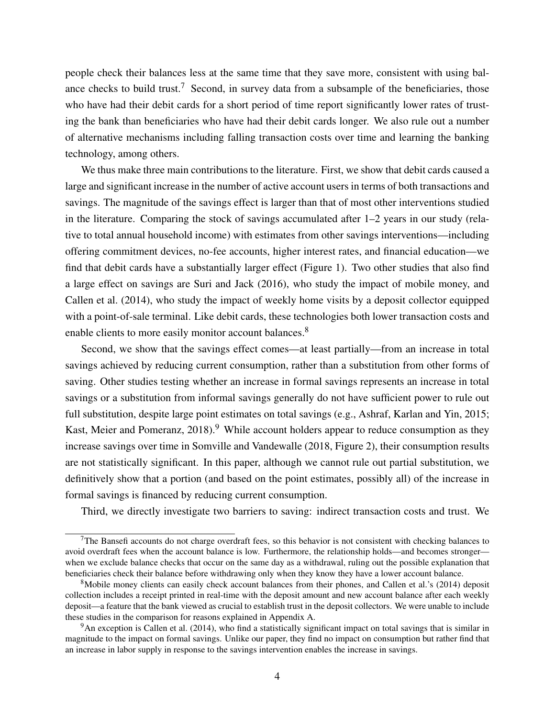people check their balances less at the same time that they save more, consistent with using bal-ance checks to build trust.<sup>[7](#page-5-0)</sup> Second, in survey data from a subsample of the beneficiaries, those who have had their debit cards for a short period of time report significantly lower rates of trusting the bank than beneficiaries who have had their debit cards longer. We also rule out a number of alternative mechanisms including falling transaction costs over time and learning the banking technology, among others.

We thus make three main contributions to the literature. First, we show that debit cards caused a large and significant increase in the number of active account users in terms of both transactions and savings. The magnitude of the savings effect is larger than that of most other interventions studied in the literature. Comparing the stock of savings accumulated after 1–2 years in our study (relative to total annual household income) with estimates from other savings interventions—including offering commitment devices, no-fee accounts, higher interest rates, and financial education—we find that debit cards have a substantially larger effect (Figure [1\)](#page-34-0). Two other studies that also find a large effect on savings are [Suri and Jack](#page-28-9) [\(2016\)](#page-28-9), who study the impact of mobile money, and [Callen et al.](#page-27-9) [\(2014\)](#page-27-9), who study the impact of weekly home visits by a deposit collector equipped with a point-of-sale terminal. Like debit cards, these technologies both lower transaction costs and enable clients to more easily monitor account balances.<sup>[8](#page-5-1)</sup>

Second, we show that the savings effect comes—at least partially—from an increase in total savings achieved by reducing current consumption, rather than a substitution from other forms of saving. Other studies testing whether an increase in formal savings represents an increase in total savings or a substitution from informal savings generally do not have sufficient power to rule out full substitution, despite large point estimates on total savings (e.g., [Ashraf, Karlan and Yin, 2015;](#page-26-3) Kast, Meier and Pomeranz,  $2018$ <sup>[9](#page-5-2)</sup>. While account holders appear to reduce consumption as they increase savings over time in [Somville and Vandewalle](#page-28-11) [\(2018,](#page-28-11) Figure 2), their consumption results are not statistically significant. In this paper, although we cannot rule out partial substitution, we definitively show that a portion (and based on the point estimates, possibly all) of the increase in formal savings is financed by reducing current consumption.

Third, we directly investigate two barriers to saving: indirect transaction costs and trust. We

<span id="page-5-0"></span> $7$ The Bansefi accounts do not charge overdraft fees, so this behavior is not consistent with checking balances to avoid overdraft fees when the account balance is low. Furthermore, the relationship holds—and becomes stronger when we exclude balance checks that occur on the same day as a withdrawal, ruling out the possible explanation that beneficiaries check their balance before withdrawing only when they know they have a lower account balance.

<span id="page-5-1"></span><sup>8</sup>Mobile money clients can easily check account balances from their phones, and [Callen et al.'](#page-27-9)s [\(2014\)](#page-27-9) deposit collection includes a receipt printed in real-time with the deposit amount and new account balance after each weekly deposit—a feature that the bank viewed as crucial to establish trust in the deposit collectors. We were unable to include these studies in the comparison for reasons explained in Appendix [A.](#page-42-0)

<span id="page-5-2"></span> $9An$  exception is [Callen et al.](#page-27-9) [\(2014\)](#page-27-9), who find a statistically significant impact on total savings that is similar in magnitude to the impact on formal savings. Unlike our paper, they find no impact on consumption but rather find that an increase in labor supply in response to the savings intervention enables the increase in savings.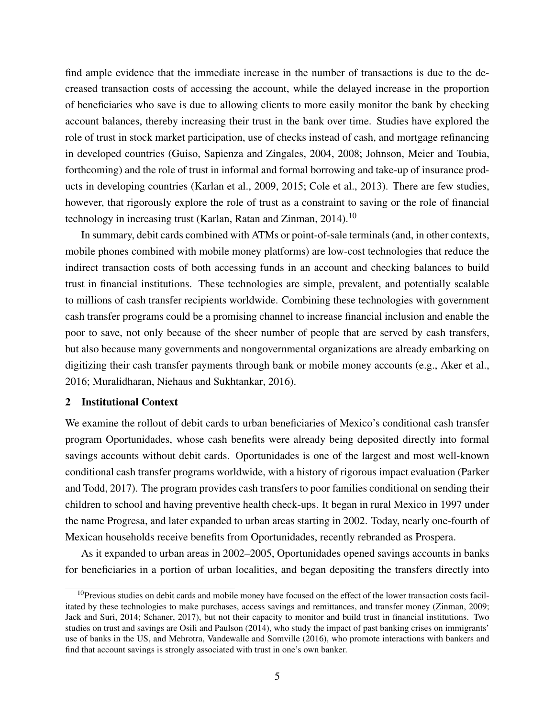find ample evidence that the immediate increase in the number of transactions is due to the decreased transaction costs of accessing the account, while the delayed increase in the proportion of beneficiaries who save is due to allowing clients to more easily monitor the bank by checking account balances, thereby increasing their trust in the bank over time. Studies have explored the role of trust in stock market participation, use of checks instead of cash, and mortgage refinancing in developed countries [\(Guiso, Sapienza and Zingales, 2004,](#page-27-10) [2008;](#page-27-11) [Johnson, Meier and Toubia,](#page-28-12) [forthcoming\)](#page-28-12) and the role of trust in informal and formal borrowing and take-up of insurance products in developing countries [\(Karlan et al., 2009,](#page-28-13) [2015;](#page-28-14) [Cole et al., 2013\)](#page-27-12). There are few studies, however, that rigorously explore the role of trust as a constraint to saving or the role of financial technology in increasing trust (Karlan, Ratan and Zinman,  $2014$ ).<sup>[10](#page-6-0)</sup>

In summary, debit cards combined with ATMs or point-of-sale terminals (and, in other contexts, mobile phones combined with mobile money platforms) are low-cost technologies that reduce the indirect transaction costs of both accessing funds in an account and checking balances to build trust in financial institutions. These technologies are simple, prevalent, and potentially scalable to millions of cash transfer recipients worldwide. Combining these technologies with government cash transfer programs could be a promising channel to increase financial inclusion and enable the poor to save, not only because of the sheer number of people that are served by cash transfers, but also because many governments and nongovernmental organizations are already embarking on digitizing their cash transfer payments through bank or mobile money accounts (e.g., [Aker et al.,](#page-26-1) [2016;](#page-26-1) [Muralidharan, Niehaus and Sukhtankar, 2016\)](#page-28-3).

#### 2 Institutional Context

We examine the rollout of debit cards to urban beneficiaries of Mexico's conditional cash transfer program Oportunidades, whose cash benefits were already being deposited directly into formal savings accounts without debit cards. Oportunidades is one of the largest and most well-known conditional cash transfer programs worldwide, with a history of rigorous impact evaluation [\(Parker](#page-28-15) [and Todd, 2017\)](#page-28-15). The program provides cash transfers to poor families conditional on sending their children to school and having preventive health check-ups. It began in rural Mexico in 1997 under the name Progresa, and later expanded to urban areas starting in 2002. Today, nearly one-fourth of Mexican households receive benefits from Oportunidades, recently rebranded as Prospera.

As it expanded to urban areas in 2002–2005, Oportunidades opened savings accounts in banks for beneficiaries in a portion of urban localities, and began depositing the transfers directly into

<span id="page-6-0"></span> $10$ Previous studies on debit cards and mobile money have focused on the effect of the lower transaction costs facilitated by these technologies to make purchases, access savings and remittances, and transfer money [\(Zinman, 2009;](#page-29-0) [Jack and Suri, 2014;](#page-28-16) [Schaner, 2017\)](#page-28-6), but not their capacity to monitor and build trust in financial institutions. Two studies on trust and savings are [Osili and Paulson](#page-28-17) [\(2014\)](#page-28-17), who study the impact of past banking crises on immigrants' use of banks in the US, and [Mehrotra, Vandewalle and Somville](#page-28-18) [\(2016\)](#page-28-18), who promote interactions with bankers and find that account savings is strongly associated with trust in one's own banker.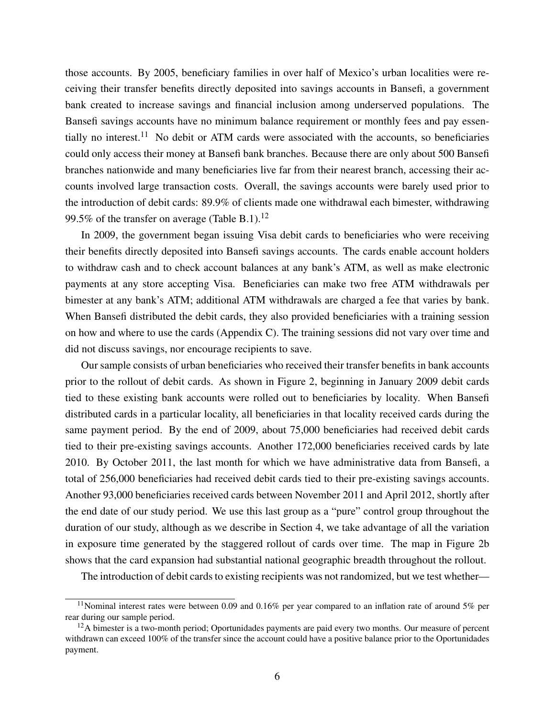those accounts. By 2005, beneficiary families in over half of Mexico's urban localities were receiving their transfer benefits directly deposited into savings accounts in Bansefi, a government bank created to increase savings and financial inclusion among underserved populations. The Bansefi savings accounts have no minimum balance requirement or monthly fees and pay essen-tially no interest.<sup>[11](#page-7-0)</sup> No debit or ATM cards were associated with the accounts, so beneficiaries could only access their money at Bansefi bank branches. Because there are only about 500 Bansefi branches nationwide and many beneficiaries live far from their nearest branch, accessing their accounts involved large transaction costs. Overall, the savings accounts were barely used prior to the introduction of debit cards: 89.9% of clients made one withdrawal each bimester, withdrawing 99.5% of the transfer on average (Table [B.1\)](#page-52-0).<sup>[12](#page-7-1)</sup>

In 2009, the government began issuing Visa debit cards to beneficiaries who were receiving their benefits directly deposited into Bansefi savings accounts. The cards enable account holders to withdraw cash and to check account balances at any bank's ATM, as well as make electronic payments at any store accepting Visa. Beneficiaries can make two free ATM withdrawals per bimester at any bank's ATM; additional ATM withdrawals are charged a fee that varies by bank. When Bansefi distributed the debit cards, they also provided beneficiaries with a training session on how and where to use the cards (Appendix [C\)](#page-54-0). The training sessions did not vary over time and did not discuss savings, nor encourage recipients to save.

Our sample consists of urban beneficiaries who received their transfer benefits in bank accounts prior to the rollout of debit cards. As shown in Figure [2,](#page-35-0) beginning in January 2009 debit cards tied to these existing bank accounts were rolled out to beneficiaries by locality. When Bansefi distributed cards in a particular locality, all beneficiaries in that locality received cards during the same payment period. By the end of 2009, about 75,000 beneficiaries had received debit cards tied to their pre-existing savings accounts. Another 172,000 beneficiaries received cards by late 2010. By October 2011, the last month for which we have administrative data from Bansefi, a total of 256,000 beneficiaries had received debit cards tied to their pre-existing savings accounts. Another 93,000 beneficiaries received cards between November 2011 and April 2012, shortly after the end date of our study period. We use this last group as a "pure" control group throughout the duration of our study, although as we describe in Section [4,](#page-10-0) we take advantage of all the variation in exposure time generated by the staggered rollout of cards over time. The map in Figure [2b](#page-35-0) shows that the card expansion had substantial national geographic breadth throughout the rollout.

The introduction of debit cards to existing recipients was not randomized, but we test whether—

<span id="page-7-0"></span><sup>&</sup>lt;sup>11</sup>Nominal interest rates were between 0.09 and 0.16% per year compared to an inflation rate of around 5% per rear during our sample period.

<span id="page-7-1"></span><sup>&</sup>lt;sup>12</sup>A bimester is a two-month period; Oportunidades payments are paid every two months. Our measure of percent withdrawn can exceed 100% of the transfer since the account could have a positive balance prior to the Oportunidades payment.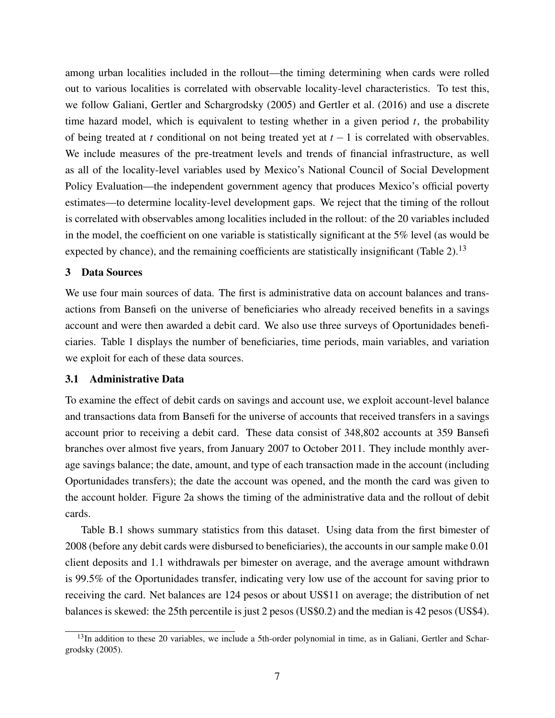among urban localities included in the rollout—the timing determining when cards were rolled out to various localities is correlated with observable locality-level characteristics. To test this, we follow [Galiani, Gertler and Schargrodsky](#page-27-13) [\(2005\)](#page-27-13) and [Gertler et al.](#page-27-14) [\(2016\)](#page-27-14) and use a discrete time hazard model, which is equivalent to testing whether in a given period *t*, the probability of being treated at *t* conditional on not being treated yet at *t* − 1 is correlated with observables. We include measures of the pre-treatment levels and trends of financial infrastructure, as well as all of the locality-level variables used by Mexico's National Council of Social Development Policy Evaluation—the independent government agency that produces Mexico's official poverty estimates—to determine locality-level development gaps. We reject that the timing of the rollout is correlated with observables among localities included in the rollout: of the 20 variables included in the model, the coefficient on one variable is statistically significant at the 5% level (as would be expected by chance), and the remaining coefficients are statistically insignificant (Table  $2$ ).<sup>[13](#page-8-0)</sup>

#### <span id="page-8-1"></span>3 Data Sources

We use four main sources of data. The first is administrative data on account balances and transactions from Bansefi on the universe of beneficiaries who already received benefits in a savings account and were then awarded a debit card. We also use three surveys of Oportunidades beneficiaries. Table [1](#page-30-0) displays the number of beneficiaries, time periods, main variables, and variation we exploit for each of these data sources.

## 3.1 Administrative Data

To examine the effect of debit cards on savings and account use, we exploit account-level balance and transactions data from Bansefi for the universe of accounts that received transfers in a savings account prior to receiving a debit card. These data consist of 348,802 accounts at 359 Bansefi branches over almost five years, from January 2007 to October 2011. They include monthly average savings balance; the date, amount, and type of each transaction made in the account (including Oportunidades transfers); the date the account was opened, and the month the card was given to the account holder. Figure [2a](#page-35-0) shows the timing of the administrative data and the rollout of debit cards.

Table [B.1](#page-52-0) shows summary statistics from this dataset. Using data from the first bimester of 2008 (before any debit cards were disbursed to beneficiaries), the accounts in our sample make 0.01 client deposits and 1.1 withdrawals per bimester on average, and the average amount withdrawn is 99.5% of the Oportunidades transfer, indicating very low use of the account for saving prior to receiving the card. Net balances are 124 pesos or about US\$11 on average; the distribution of net balances is skewed: the 25th percentile is just 2 pesos (US\$0.2) and the median is 42 pesos (US\$4).

<span id="page-8-0"></span> $13$ In addition to these 20 variables, we include a 5th-order polynomial in time, as in [Galiani, Gertler and Schar](#page-27-13)[grodsky](#page-27-13) [\(2005\)](#page-27-13).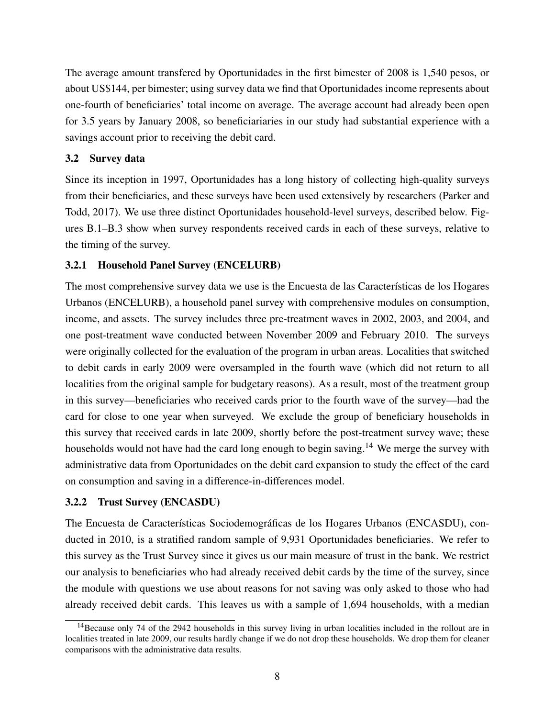The average amount transfered by Oportunidades in the first bimester of 2008 is 1,540 pesos, or about US\$144, per bimester; using survey data we find that Oportunidades income represents about one-fourth of beneficiaries' total income on average. The average account had already been open for 3.5 years by January 2008, so beneficiariaries in our study had substantial experience with a savings account prior to receiving the debit card.

## <span id="page-9-1"></span>3.2 Survey data

Since its inception in 1997, Oportunidades has a long history of collecting high-quality surveys from their beneficiaries, and these surveys have been used extensively by researchers [\(Parker and](#page-28-15) [Todd, 2017\)](#page-28-15). We use three distinct Oportunidades household-level surveys, described below. Figures [B.1–](#page-46-0)[B.3](#page-47-0) show when survey respondents received cards in each of these surveys, relative to the timing of the survey.

## 3.2.1 Household Panel Survey (ENCELURB)

The most comprehensive survey data we use is the Encuesta de las Características de los Hogares Urbanos (ENCELURB), a household panel survey with comprehensive modules on consumption, income, and assets. The survey includes three pre-treatment waves in 2002, 2003, and 2004, and one post-treatment wave conducted between November 2009 and February 2010. The surveys were originally collected for the evaluation of the program in urban areas. Localities that switched to debit cards in early 2009 were oversampled in the fourth wave (which did not return to all localities from the original sample for budgetary reasons). As a result, most of the treatment group in this survey—beneficiaries who received cards prior to the fourth wave of the survey—had the card for close to one year when surveyed. We exclude the group of beneficiary households in this survey that received cards in late 2009, shortly before the post-treatment survey wave; these households would not have had the card long enough to begin saving.<sup>[14](#page-9-0)</sup> We merge the survey with administrative data from Oportunidades on the debit card expansion to study the effect of the card on consumption and saving in a difference-in-differences model.

## 3.2.2 Trust Survey (ENCASDU)

The Encuesta de Características Sociodemográficas de los Hogares Urbanos (ENCASDU), conducted in 2010, is a stratified random sample of 9,931 Oportunidades beneficiaries. We refer to this survey as the Trust Survey since it gives us our main measure of trust in the bank. We restrict our analysis to beneficiaries who had already received debit cards by the time of the survey, since the module with questions we use about reasons for not saving was only asked to those who had already received debit cards. This leaves us with a sample of 1,694 households, with a median

<span id="page-9-0"></span><sup>&</sup>lt;sup>14</sup>Because only 74 of the 2942 households in this survey living in urban localities included in the rollout are in localities treated in late 2009, our results hardly change if we do not drop these households. We drop them for cleaner comparisons with the administrative data results.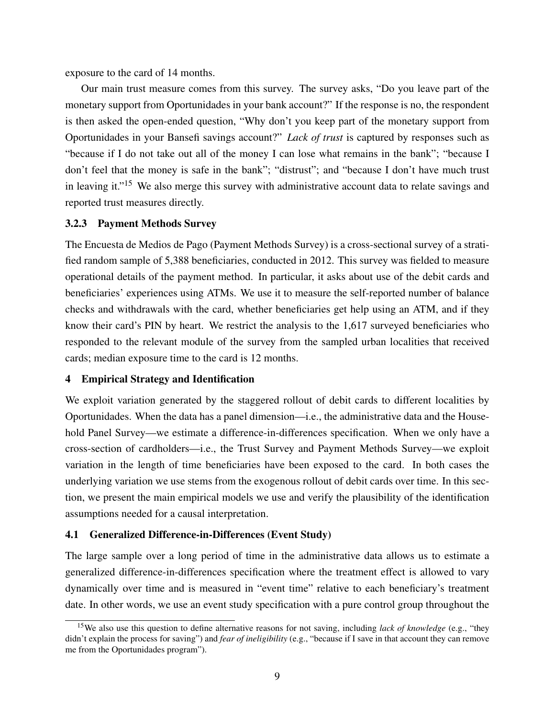exposure to the card of 14 months.

Our main trust measure comes from this survey. The survey asks, "Do you leave part of the monetary support from Oportunidades in your bank account?" If the response is no, the respondent is then asked the open-ended question, "Why don't you keep part of the monetary support from Oportunidades in your Bansefi savings account?" *Lack of trust* is captured by responses such as "because if I do not take out all of the money I can lose what remains in the bank"; "because I don't feel that the money is safe in the bank"; "distrust"; and "because I don't have much trust in leaving it."<sup>[15](#page-10-1)</sup> We also merge this survey with administrative account data to relate savings and reported trust measures directly.

## 3.2.3 Payment Methods Survey

The Encuesta de Medios de Pago (Payment Methods Survey) is a cross-sectional survey of a stratified random sample of 5,388 beneficiaries, conducted in 2012. This survey was fielded to measure operational details of the payment method. In particular, it asks about use of the debit cards and beneficiaries' experiences using ATMs. We use it to measure the self-reported number of balance checks and withdrawals with the card, whether beneficiaries get help using an ATM, and if they know their card's PIN by heart. We restrict the analysis to the 1,617 surveyed beneficiaries who responded to the relevant module of the survey from the sampled urban localities that received cards; median exposure time to the card is 12 months.

## <span id="page-10-0"></span>4 Empirical Strategy and Identification

We exploit variation generated by the staggered rollout of debit cards to different localities by Oportunidades. When the data has a panel dimension—i.e., the administrative data and the Household Panel Survey—we estimate a difference-in-differences specification. When we only have a cross-section of cardholders—i.e., the Trust Survey and Payment Methods Survey—we exploit variation in the length of time beneficiaries have been exposed to the card. In both cases the underlying variation we use stems from the exogenous rollout of debit cards over time. In this section, we present the main empirical models we use and verify the plausibility of the identification assumptions needed for a causal interpretation.

## 4.1 Generalized Difference-in-Differences (Event Study)

The large sample over a long period of time in the administrative data allows us to estimate a generalized difference-in-differences specification where the treatment effect is allowed to vary dynamically over time and is measured in "event time" relative to each beneficiary's treatment date. In other words, we use an event study specification with a pure control group throughout the

<span id="page-10-1"></span><sup>15</sup>We also use this question to define alternative reasons for not saving, including *lack of knowledge* (e.g., "they didn't explain the process for saving") and *fear of ineligibility* (e.g., "because if I save in that account they can remove me from the Oportunidades program").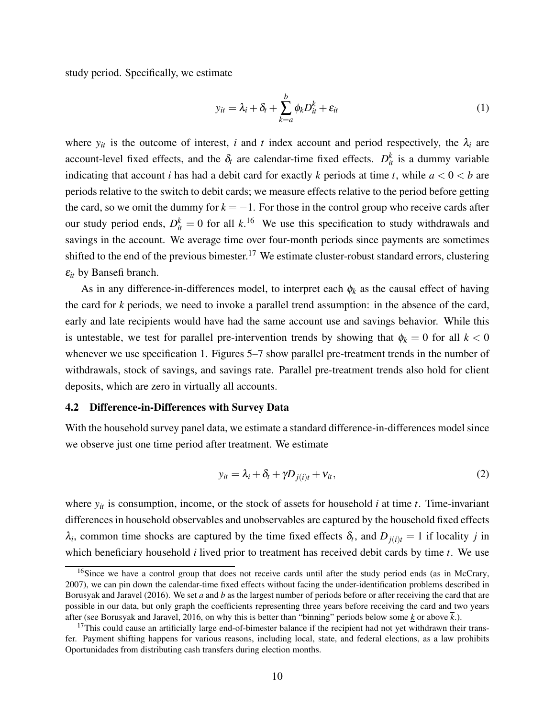study period. Specifically, we estimate

<span id="page-11-2"></span>
$$
y_{it} = \lambda_i + \delta_t + \sum_{k=a}^{b} \phi_k D_{it}^k + \varepsilon_{it}
$$
 (1)

where  $y_{it}$  is the outcome of interest, *i* and *t* index account and period respectively, the  $\lambda_i$  are account-level fixed effects, and the  $\delta_t$  are calendar-time fixed effects.  $D_{it}^k$  is a dummy variable indicating that account *i* has had a debit card for exactly *k* periods at time *t*, while  $a < 0 < b$  are periods relative to the switch to debit cards; we measure effects relative to the period before getting the card, so we omit the dummy for  $k = -1$ . For those in the control group who receive cards after our study period ends,  $D_{it}^k = 0$  for all  $k$ .<sup>[16](#page-11-0)</sup> We use this specification to study withdrawals and savings in the account. We average time over four-month periods since payments are sometimes shifted to the end of the previous bimester.<sup>[17](#page-11-1)</sup> We estimate cluster-robust standard errors, clustering ε*it* by Bansefi branch.

As in any difference-in-differences model, to interpret each  $\phi_k$  as the causal effect of having the card for *k* periods, we need to invoke a parallel trend assumption: in the absence of the card, early and late recipients would have had the same account use and savings behavior. While this is untestable, we test for parallel pre-intervention trends by showing that  $\phi_k = 0$  for all  $k < 0$ whenever we use specification [1.](#page-11-2) Figures [5–](#page-37-0)[7](#page-38-0) show parallel pre-treatment trends in the number of withdrawals, stock of savings, and savings rate. Parallel pre-treatment trends also hold for client deposits, which are zero in virtually all accounts.

#### 4.2 Difference-in-Differences with Survey Data

With the household survey panel data, we estimate a standard difference-in-differences model since we observe just one time period after treatment. We estimate

<span id="page-11-3"></span>
$$
y_{it} = \lambda_i + \delta_t + \gamma D_{j(i)t} + v_{it},
$$
\n(2)

where  $y_{it}$  is consumption, income, or the stock of assets for household *i* at time *t*. Time-invariant differences in household observables and unobservables are captured by the household fixed effects  $\lambda_i$ , common time shocks are captured by the time fixed effects  $\delta_t$ , and  $D_{j(i)t} = 1$  if locality *j* in which beneficiary household *i* lived prior to treatment has received debit cards by time *t*. We use

<span id="page-11-0"></span><sup>&</sup>lt;sup>16</sup>Since we have a control group that does not receive cards until after the study period ends (as in [McCrary,](#page-28-19) [2007\)](#page-28-19), we can pin down the calendar-time fixed effects without facing the under-identification problems described in [Borusyak and Jaravel](#page-27-15) [\(2016\)](#page-27-15). We set *a* and *b* as the largest number of periods before or after receiving the card that are possible in our data, but only graph the coefficients representing three years before receiving the card and two years after (see [Borusyak and Jaravel, 2016,](#page-27-15) on why this is better than "binning" periods below some  $\underline{k}$  or above  $\overline{k}$ .).

<span id="page-11-1"></span> $17$ This could cause an artificially large end-of-bimester balance if the recipient had not yet withdrawn their transfer. Payment shifting happens for various reasons, including local, state, and federal elections, as a law prohibits Oportunidades from distributing cash transfers during election months.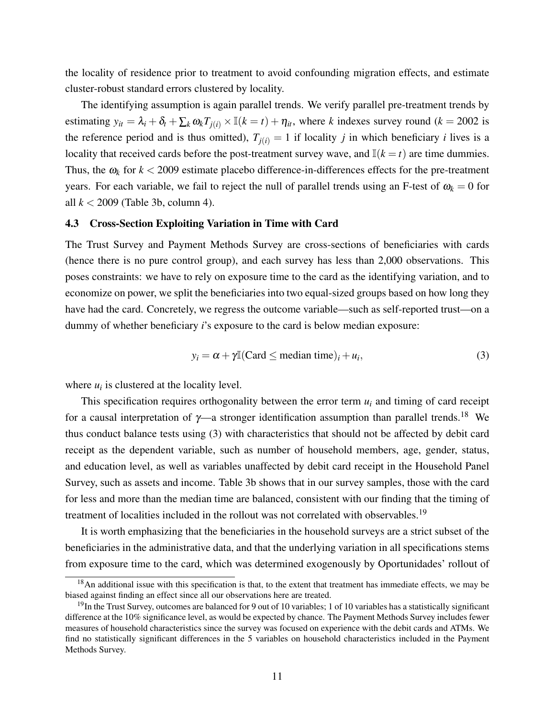the locality of residence prior to treatment to avoid confounding migration effects, and estimate cluster-robust standard errors clustered by locality.

The identifying assumption is again parallel trends. We verify parallel pre-treatment trends by estimating  $y_{it} = \lambda_i + \delta_t + \sum_k \omega_k T_{i(i)} \times \mathbb{I}(k = t) + \eta_{it}$ , where *k* indexes survey round (*k* = 2002 is the reference period and is thus omitted),  $T_{i(i)} = 1$  if locality *j* in which beneficiary *i* lives is a locality that received cards before the post-treatment survey wave, and  $\mathbb{I}(k = t)$  are time dummies. Thus, the  $\omega_k$  for  $k < 2009$  estimate placebo difference-in-differences effects for the pre-treatment years. For each variable, we fail to reject the null of parallel trends using an F-test of  $\omega_k = 0$  for all *k* < 2009 (Table [3b](#page-32-0), column 4).

### 4.3 Cross-Section Exploiting Variation in Time with Card

The Trust Survey and Payment Methods Survey are cross-sections of beneficiaries with cards (hence there is no pure control group), and each survey has less than 2,000 observations. This poses constraints: we have to rely on exposure time to the card as the identifying variation, and to economize on power, we split the beneficiaries into two equal-sized groups based on how long they have had the card. Concretely, we regress the outcome variable—such as self-reported trust—on a dummy of whether beneficiary *i*'s exposure to the card is below median exposure:

<span id="page-12-1"></span>
$$
y_i = \alpha + \gamma \mathbb{I}(\text{Card} \le \text{median time})_i + u_i,\tag{3}
$$

where  $u_i$  is clustered at the locality level.

This specification requires orthogonality between the error term *u<sup>i</sup>* and timing of card receipt for a causal interpretation of  $\gamma$ —a stronger identification assumption than parallel trends.<sup>[18](#page-12-0)</sup> We thus conduct balance tests using [\(3\)](#page-12-1) with characteristics that should not be affected by debit card receipt as the dependent variable, such as number of household members, age, gender, status, and education level, as well as variables unaffected by debit card receipt in the Household Panel Survey, such as assets and income. Table [3b](#page-32-0) shows that in our survey samples, those with the card for less and more than the median time are balanced, consistent with our finding that the timing of treatment of localities included in the rollout was not correlated with observables.<sup>[19](#page-12-2)</sup>

It is worth emphasizing that the beneficiaries in the household surveys are a strict subset of the beneficiaries in the administrative data, and that the underlying variation in all specifications stems from exposure time to the card, which was determined exogenously by Oportunidades' rollout of

<span id="page-12-0"></span> $18$ An additional issue with this specification is that, to the extent that treatment has immediate effects, we may be biased against finding an effect since all our observations here are treated.

<span id="page-12-2"></span> $19$ In the Trust Survey, outcomes are balanced for 9 out of 10 variables; 1 of 10 variables has a statistically significant difference at the 10% significance level, as would be expected by chance. The Payment Methods Survey includes fewer measures of household characteristics since the survey was focused on experience with the debit cards and ATMs. We find no statistically significant differences in the 5 variables on household characteristics included in the Payment Methods Survey.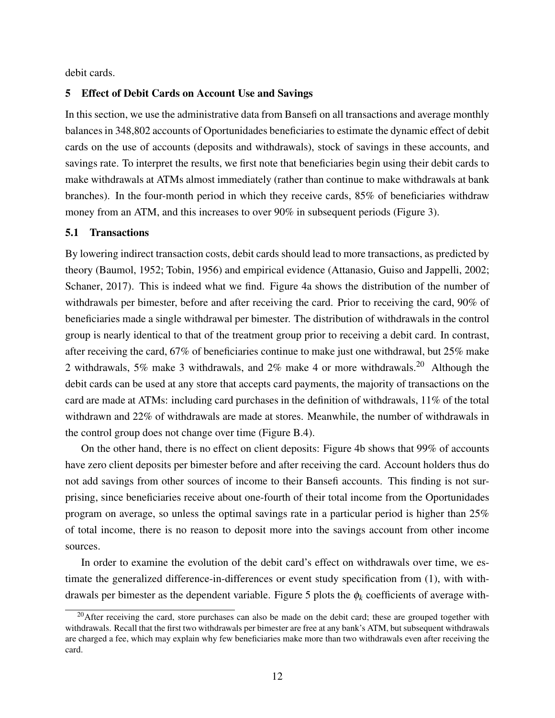debit cards.

## <span id="page-13-2"></span>5 Effect of Debit Cards on Account Use and Savings

In this section, we use the administrative data from Bansefi on all transactions and average monthly balances in 348,802 accounts of Oportunidades beneficiaries to estimate the dynamic effect of debit cards on the use of accounts (deposits and withdrawals), stock of savings in these accounts, and savings rate. To interpret the results, we first note that beneficiaries begin using their debit cards to make withdrawals at ATMs almost immediately (rather than continue to make withdrawals at bank branches). In the four-month period in which they receive cards, 85% of beneficiaries withdraw money from an ATM, and this increases to over 90% in subsequent periods (Figure [3\)](#page-36-0).

### <span id="page-13-1"></span>5.1 Transactions

By lowering indirect transaction costs, debit cards should lead to more transactions, as predicted by theory [\(Baumol, 1952;](#page-26-4) [Tobin, 1956\)](#page-28-20) and empirical evidence [\(Attanasio, Guiso and Jappelli, 2002;](#page-26-5) [Schaner, 2017\)](#page-28-6). This is indeed what we find. Figure [4a](#page-37-0) shows the distribution of the number of withdrawals per bimester, before and after receiving the card. Prior to receiving the card, 90% of beneficiaries made a single withdrawal per bimester. The distribution of withdrawals in the control group is nearly identical to that of the treatment group prior to receiving a debit card. In contrast, after receiving the card, 67% of beneficiaries continue to make just one withdrawal, but 25% make 2 withdrawals, 5% make 3 withdrawals, and 2% make 4 or more withdrawals.[20](#page-13-0) Although the debit cards can be used at any store that accepts card payments, the majority of transactions on the card are made at ATMs: including card purchases in the definition of withdrawals, 11% of the total withdrawn and 22% of withdrawals are made at stores. Meanwhile, the number of withdrawals in the control group does not change over time (Figure [B.4\)](#page-48-0).

On the other hand, there is no effect on client deposits: Figure [4b](#page-37-0) shows that 99% of accounts have zero client deposits per bimester before and after receiving the card. Account holders thus do not add savings from other sources of income to their Bansefi accounts. This finding is not surprising, since beneficiaries receive about one-fourth of their total income from the Oportunidades program on average, so unless the optimal savings rate in a particular period is higher than 25% of total income, there is no reason to deposit more into the savings account from other income sources.

In order to examine the evolution of the debit card's effect on withdrawals over time, we estimate the generalized difference-in-differences or event study specification from [\(1\)](#page-11-2), with with-drawals per bimester as the dependent variable. Figure [5](#page-37-0) plots the  $\phi_k$  coefficients of average with-

<span id="page-13-0"></span><sup>&</sup>lt;sup>20</sup>After receiving the card, store purchases can also be made on the debit card; these are grouped together with withdrawals. Recall that the first two withdrawals per bimester are free at any bank's ATM, but subsequent withdrawals are charged a fee, which may explain why few beneficiaries make more than two withdrawals even after receiving the card.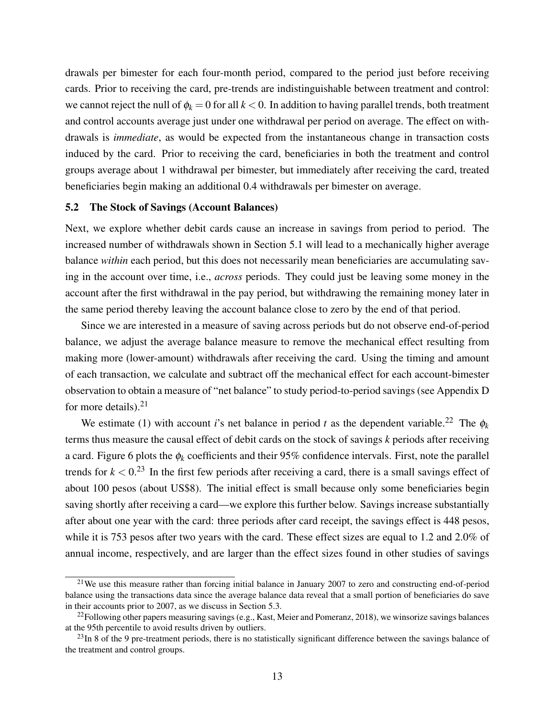drawals per bimester for each four-month period, compared to the period just before receiving cards. Prior to receiving the card, pre-trends are indistinguishable between treatment and control: we cannot reject the null of  $\phi_k = 0$  for all  $k < 0$ . In addition to having parallel trends, both treatment and control accounts average just under one withdrawal per period on average. The effect on withdrawals is *immediate*, as would be expected from the instantaneous change in transaction costs induced by the card. Prior to receiving the card, beneficiaries in both the treatment and control groups average about 1 withdrawal per bimester, but immediately after receiving the card, treated beneficiaries begin making an additional 0.4 withdrawals per bimester on average.

## <span id="page-14-3"></span>5.2 The Stock of Savings (Account Balances)

Next, we explore whether debit cards cause an increase in savings from period to period. The increased number of withdrawals shown in Section [5.1](#page-13-1) will lead to a mechanically higher average balance *within* each period, but this does not necessarily mean beneficiaries are accumulating saving in the account over time, i.e., *across* periods. They could just be leaving some money in the account after the first withdrawal in the pay period, but withdrawing the remaining money later in the same period thereby leaving the account balance close to zero by the end of that period.

Since we are interested in a measure of saving across periods but do not observe end-of-period balance, we adjust the average balance measure to remove the mechanical effect resulting from making more (lower-amount) withdrawals after receiving the card. Using the timing and amount of each transaction, we calculate and subtract off the mechanical effect for each account-bimester observation to obtain a measure of "net balance" to study period-to-period savings (see Appendix [D](#page-57-0) for more details). $21$ 

We estimate [\(1\)](#page-11-2) with account *i*'s net balance in period *t* as the dependent variable.<sup>[22](#page-14-1)</sup> The  $\phi_k$ terms thus measure the causal effect of debit cards on the stock of savings *k* periods after receiving a card. Figure [6](#page-38-0) plots the  $\phi_k$  coefficients and their 95% confidence intervals. First, note the parallel trends for  $k < 0.23$  $k < 0.23$  In the first few periods after receiving a card, there is a small savings effect of about 100 pesos (about US\$8). The initial effect is small because only some beneficiaries begin saving shortly after receiving a card—we explore this further below. Savings increase substantially after about one year with the card: three periods after card receipt, the savings effect is 448 pesos, while it is 753 pesos after two years with the card. These effect sizes are equal to 1.2 and 2.0% of annual income, respectively, and are larger than the effect sizes found in other studies of savings

<span id="page-14-0"></span><sup>&</sup>lt;sup>21</sup>We use this measure rather than forcing initial balance in January 2007 to zero and constructing end-of-period balance using the transactions data since the average balance data reveal that a small portion of beneficiaries do save in their accounts prior to 2007, as we discuss in Section [5.3.](#page-15-0)

<span id="page-14-1"></span> $^{22}$ Following other papers measuring savings (e.g., [Kast, Meier and Pomeranz, 2018\)](#page-28-10), we winsorize savings balances at the 95th percentile to avoid results driven by outliers.

<span id="page-14-2"></span> $^{23}$ In 8 of the 9 pre-treatment periods, there is no statistically significant difference between the savings balance of the treatment and control groups.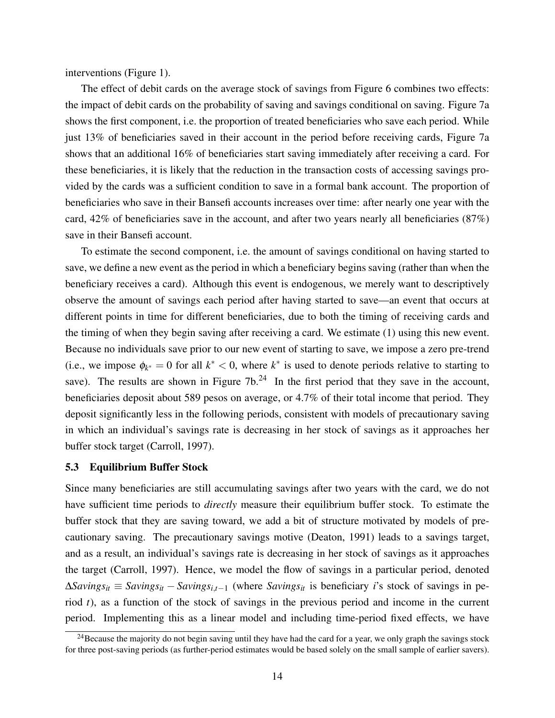interventions (Figure [1\)](#page-34-0).

The effect of debit cards on the average stock of savings from Figure [6](#page-38-0) combines two effects: the impact of debit cards on the probability of saving and savings conditional on saving. Figure [7a](#page-38-0) shows the first component, i.e. the proportion of treated beneficiaries who save each period. While just 13% of beneficiaries saved in their account in the period before receiving cards, Figure [7a](#page-38-0) shows that an additional 16% of beneficiaries start saving immediately after receiving a card. For these beneficiaries, it is likely that the reduction in the transaction costs of accessing savings provided by the cards was a sufficient condition to save in a formal bank account. The proportion of beneficiaries who save in their Bansefi accounts increases over time: after nearly one year with the card, 42% of beneficiaries save in the account, and after two years nearly all beneficiaries (87%) save in their Bansefi account.

To estimate the second component, i.e. the amount of savings conditional on having started to save, we define a new event as the period in which a beneficiary begins saving (rather than when the beneficiary receives a card). Although this event is endogenous, we merely want to descriptively observe the amount of savings each period after having started to save—an event that occurs at different points in time for different beneficiaries, due to both the timing of receiving cards and the timing of when they begin saving after receiving a card. We estimate [\(1\)](#page-11-2) using this new event. Because no individuals save prior to our new event of starting to save, we impose a zero pre-trend (i.e., we impose  $\phi_{k^*} = 0$  for all  $k^* < 0$ , where  $k^*$  is used to denote periods relative to starting to save). The results are shown in Figure  $7b<sup>24</sup>$  $7b<sup>24</sup>$  $7b<sup>24</sup>$  In the first period that they save in the account, beneficiaries deposit about 589 pesos on average, or 4.7% of their total income that period. They deposit significantly less in the following periods, consistent with models of precautionary saving in which an individual's savings rate is decreasing in her stock of savings as it approaches her buffer stock target [\(Carroll, 1997\)](#page-27-16).

#### <span id="page-15-0"></span>5.3 Equilibrium Buffer Stock

Since many beneficiaries are still accumulating savings after two years with the card, we do not have sufficient time periods to *directly* measure their equilibrium buffer stock. To estimate the buffer stock that they are saving toward, we add a bit of structure motivated by models of precautionary saving. The precautionary savings motive [\(Deaton, 1991\)](#page-27-17) leads to a savings target, and as a result, an individual's savings rate is decreasing in her stock of savings as it approaches the target [\(Carroll, 1997\)](#page-27-16). Hence, we model the flow of savings in a particular period, denoted  $\Delta$ *Savings*<sub>it</sub> ≡ *Savings*<sub>it</sub> − *Savings*<sub>i,t−1</sub> (where *Savings*<sub>it</sub> is beneficiary *i*'s stock of savings in period *t*), as a function of the stock of savings in the previous period and income in the current period. Implementing this as a linear model and including time-period fixed effects, we have

<span id="page-15-1"></span><sup>&</sup>lt;sup>24</sup>Because the majority do not begin saving until they have had the card for a year, we only graph the savings stock for three post-saving periods (as further-period estimates would be based solely on the small sample of earlier savers).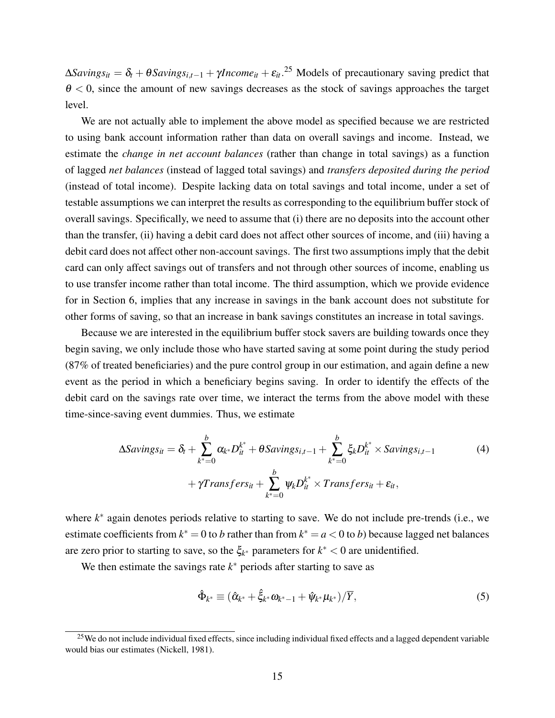$\Delta$ *Savings*<sub>it</sub> =  $\delta$ <sub>t</sub> +  $\theta$ *Savings*<sub>i,t-1</sub> +  $\gamma$ *Income*<sub>it</sub> +  $\varepsilon$ <sub>it</sub>.<sup>[25](#page-16-0)</sup> Models of precautionary saving predict that  $\theta$  < 0, since the amount of new savings decreases as the stock of savings approaches the target level.

We are not actually able to implement the above model as specified because we are restricted to using bank account information rather than data on overall savings and income. Instead, we estimate the *change in net account balances* (rather than change in total savings) as a function of lagged *net balances* (instead of lagged total savings) and *transfers deposited during the period* (instead of total income). Despite lacking data on total savings and total income, under a set of testable assumptions we can interpret the results as corresponding to the equilibrium buffer stock of overall savings. Specifically, we need to assume that (i) there are no deposits into the account other than the transfer, (ii) having a debit card does not affect other sources of income, and (iii) having a debit card does not affect other non-account savings. The first two assumptions imply that the debit card can only affect savings out of transfers and not through other sources of income, enabling us to use transfer income rather than total income. The third assumption, which we provide evidence for in Section [6,](#page-17-0) implies that any increase in savings in the bank account does not substitute for other forms of saving, so that an increase in bank savings constitutes an increase in total savings.

Because we are interested in the equilibrium buffer stock savers are building towards once they begin saving, we only include those who have started saving at some point during the study period (87% of treated beneficiaries) and the pure control group in our estimation, and again define a new event as the period in which a beneficiary begins saving. In order to identify the effects of the debit card on the savings rate over time, we interact the terms from the above model with these time-since-saving event dummies. Thus, we estimate

$$
\Delta Savings_{it} = \delta_t + \sum_{k^*=0}^{b} \alpha_{k^*} D_{it}^{k^*} + \theta Savings_{i,t-1} + \sum_{k^*=0}^{b} \xi_k D_{it}^{k^*} \times Savings_{i,t-1}
$$
  
+  $\gamma Transfers_{it} + \sum_{k^*=0}^{b} \psi_k D_{it}^{k^*} \times Transfers_{it} + \varepsilon_{it},$  (4)

where *k*<sup>∗</sup> again denotes periods relative to starting to save. We do not include pre-trends (i.e., we estimate coefficients from  $k^* = 0$  to *b* rather than from  $k^* = a < 0$  to *b*) because lagged net balances are zero prior to starting to save, so the  $\xi_{k^*}$  parameters for  $k^* < 0$  are unidentified.

We then estimate the savings rate  $k^*$  periods after starting to save as

<span id="page-16-2"></span><span id="page-16-1"></span>
$$
\hat{\Phi}_{k^*} \equiv (\hat{\alpha}_{k^*} + \hat{\xi}_{k^*} \omega_{k^*-1} + \hat{\psi}_{k^*} \mu_{k^*})/\overline{Y},
$$
\n(5)

<span id="page-16-0"></span><sup>&</sup>lt;sup>25</sup>We do not include individual fixed effects, since including individual fixed effects and a lagged dependent variable would bias our estimates [\(Nickell, 1981\)](#page-28-21).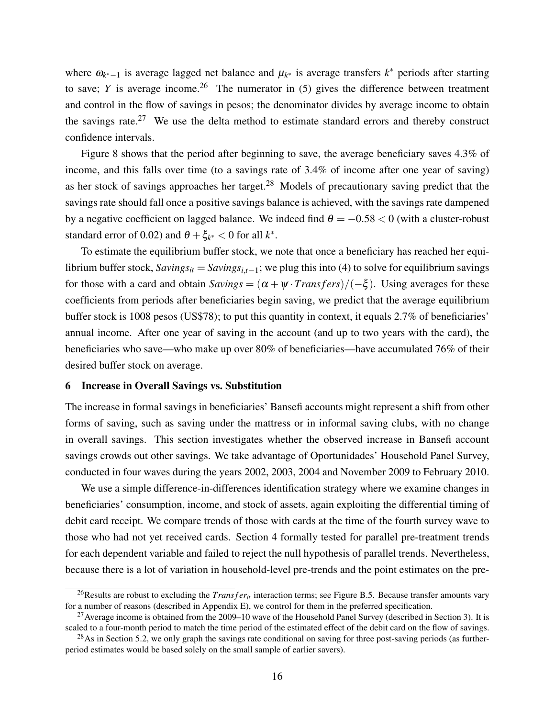where  $\omega_{k^*-1}$  is average lagged net balance and  $\mu_{k^*}$  is average transfers  $k^*$  periods after starting to save;  $\overline{Y}$  is average income.<sup>[26](#page-17-1)</sup> The numerator in [\(5\)](#page-16-1) gives the difference between treatment and control in the flow of savings in pesos; the denominator divides by average income to obtain the savings rate.[27](#page-17-2) We use the delta method to estimate standard errors and thereby construct confidence intervals.

Figure [8](#page-39-0) shows that the period after beginning to save, the average beneficiary saves 4.3% of income, and this falls over time (to a savings rate of 3.4% of income after one year of saving) as her stock of savings approaches her target.[28](#page-17-3) Models of precautionary saving predict that the savings rate should fall once a positive savings balance is achieved, with the savings rate dampened by a negative coefficient on lagged balance. We indeed find  $\theta = -0.58 < 0$  (with a cluster-robust standard error of 0.02) and  $\theta + \xi_{k^*} < 0$  for all  $k^*$ .

To estimate the equilibrium buffer stock, we note that once a beneficiary has reached her equilibrium buffer stock,  $Savings_{it} = Savings_{i,t-1}$ ; we plug this into [\(4\)](#page-16-2) to solve for equilibrium savings for those with a card and obtain  $Savings = (\alpha + \psi \cdot Transfers)/(-\xi)$ . Using averages for these coefficients from periods after beneficiaries begin saving, we predict that the average equilibrium buffer stock is 1008 pesos (US\$78); to put this quantity in context, it equals 2.7% of beneficiaries' annual income. After one year of saving in the account (and up to two years with the card), the beneficiaries who save—who make up over 80% of beneficiaries—have accumulated 76% of their desired buffer stock on average.

#### <span id="page-17-0"></span>6 Increase in Overall Savings vs. Substitution

The increase in formal savings in beneficiaries' Bansefi accounts might represent a shift from other forms of saving, such as saving under the mattress or in informal saving clubs, with no change in overall savings. This section investigates whether the observed increase in Bansefi account savings crowds out other savings. We take advantage of Oportunidades' Household Panel Survey, conducted in four waves during the years 2002, 2003, 2004 and November 2009 to February 2010.

We use a simple difference-in-differences identification strategy where we examine changes in beneficiaries' consumption, income, and stock of assets, again exploiting the differential timing of debit card receipt. We compare trends of those with cards at the time of the fourth survey wave to those who had not yet received cards. Section [4](#page-10-0) formally tested for parallel pre-treatment trends for each dependent variable and failed to reject the null hypothesis of parallel trends. Nevertheless, because there is a lot of variation in household-level pre-trends and the point estimates on the pre-

<span id="page-17-1"></span><sup>&</sup>lt;sup>26</sup>Results are robust to excluding the *Trans fer<sub>it</sub>* interaction terms; see Figure [B.5.](#page-48-1) Because transfer amounts vary for a number of reasons (described in Appendix [E\)](#page-59-0), we control for them in the preferred specification.

<span id="page-17-2"></span><sup>&</sup>lt;sup>27</sup> Average income is obtained from the 2009–10 wave of the Household Panel Survey (described in Section [3\)](#page-8-1). It is scaled to a four-month period to match the time period of the estimated effect of the debit card on the flow of savings.

<span id="page-17-3"></span> $^{28}$ As in Section [5.2,](#page-14-3) we only graph the savings rate conditional on saving for three post-saving periods (as furtherperiod estimates would be based solely on the small sample of earlier savers).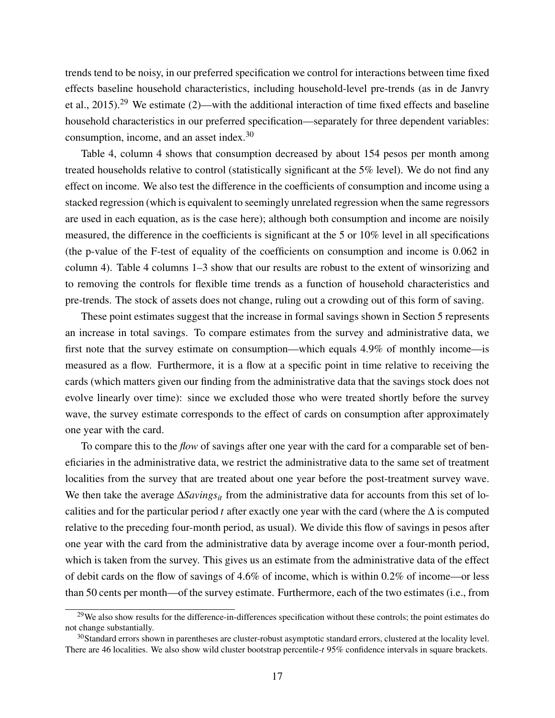trends tend to be noisy, in our preferred specification we control for interactions between time fixed effects baseline household characteristics, including household-level pre-trends (as in [de Janvry](#page-27-18) [et al., 2015\)](#page-27-18).<sup>[29](#page-18-0)</sup> We estimate [\(2\)](#page-11-3)—with the additional interaction of time fixed effects and baseline household characteristics in our preferred specification—separately for three dependent variables: consumption, income, and an asset index.[30](#page-18-1)

Table [4,](#page-33-0) column 4 shows that consumption decreased by about 154 pesos per month among treated households relative to control (statistically significant at the 5% level). We do not find any effect on income. We also test the difference in the coefficients of consumption and income using a stacked regression (which is equivalent to seemingly unrelated regression when the same regressors are used in each equation, as is the case here); although both consumption and income are noisily measured, the difference in the coefficients is significant at the 5 or 10% level in all specifications (the p-value of the F-test of equality of the coefficients on consumption and income is 0.062 in column 4). Table [4](#page-33-0) columns 1–3 show that our results are robust to the extent of winsorizing and to removing the controls for flexible time trends as a function of household characteristics and pre-trends. The stock of assets does not change, ruling out a crowding out of this form of saving.

These point estimates suggest that the increase in formal savings shown in Section [5](#page-13-2) represents an increase in total savings. To compare estimates from the survey and administrative data, we first note that the survey estimate on consumption—which equals 4.9% of monthly income—is measured as a flow. Furthermore, it is a flow at a specific point in time relative to receiving the cards (which matters given our finding from the administrative data that the savings stock does not evolve linearly over time): since we excluded those who were treated shortly before the survey wave, the survey estimate corresponds to the effect of cards on consumption after approximately one year with the card.

To compare this to the *flow* of savings after one year with the card for a comparable set of beneficiaries in the administrative data, we restrict the administrative data to the same set of treatment localities from the survey that are treated about one year before the post-treatment survey wave. We then take the average ∆*Savings*<sub>*it*</sub> from the administrative data for accounts from this set of localities and for the particular period *t* after exactly one year with the card (where the ∆ is computed relative to the preceding four-month period, as usual). We divide this flow of savings in pesos after one year with the card from the administrative data by average income over a four-month period, which is taken from the survey. This gives us an estimate from the administrative data of the effect of debit cards on the flow of savings of 4.6% of income, which is within 0.2% of income—or less than 50 cents per month—of the survey estimate. Furthermore, each of the two estimates (i.e., from

<span id="page-18-0"></span><sup>&</sup>lt;sup>29</sup>We also show results for the difference-in-differences specification without these controls; the point estimates do not change substantially.

<span id="page-18-1"></span> $30$ Standard errors shown in parentheses are cluster-robust asymptotic standard errors, clustered at the locality level. There are 46 localities. We also show wild cluster bootstrap percentile-*t* 95% confidence intervals in square brackets.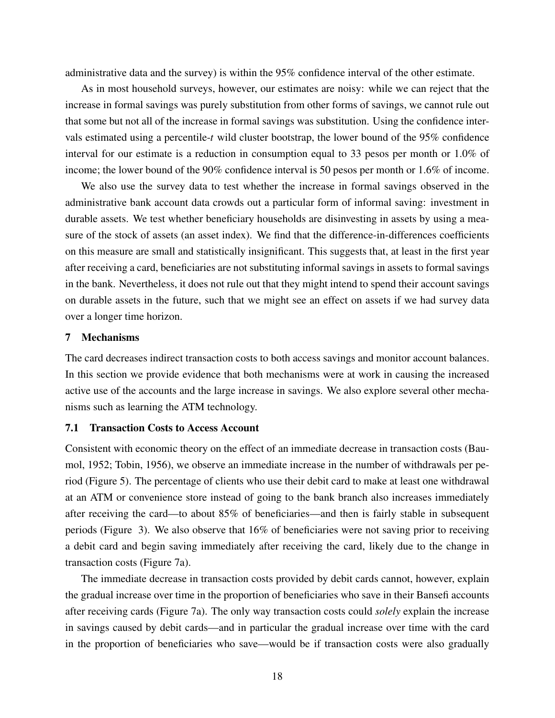administrative data and the survey) is within the 95% confidence interval of the other estimate.

As in most household surveys, however, our estimates are noisy: while we can reject that the increase in formal savings was purely substitution from other forms of savings, we cannot rule out that some but not all of the increase in formal savings was substitution. Using the confidence intervals estimated using a percentile-*t* wild cluster bootstrap, the lower bound of the 95% confidence interval for our estimate is a reduction in consumption equal to 33 pesos per month or 1.0% of income; the lower bound of the 90% confidence interval is 50 pesos per month or 1.6% of income.

We also use the survey data to test whether the increase in formal savings observed in the administrative bank account data crowds out a particular form of informal saving: investment in durable assets. We test whether beneficiary households are disinvesting in assets by using a measure of the stock of assets (an asset index). We find that the difference-in-differences coefficients on this measure are small and statistically insignificant. This suggests that, at least in the first year after receiving a card, beneficiaries are not substituting informal savings in assets to formal savings in the bank. Nevertheless, it does not rule out that they might intend to spend their account savings on durable assets in the future, such that we might see an effect on assets if we had survey data over a longer time horizon.

### 7 Mechanisms

The card decreases indirect transaction costs to both access savings and monitor account balances. In this section we provide evidence that both mechanisms were at work in causing the increased active use of the accounts and the large increase in savings. We also explore several other mechanisms such as learning the ATM technology.

#### 7.1 Transaction Costs to Access Account

Consistent with economic theory on the effect of an immediate decrease in transaction costs [\(Bau](#page-26-4)[mol, 1952;](#page-26-4) [Tobin, 1956\)](#page-28-20), we observe an immediate increase in the number of withdrawals per period (Figure [5\)](#page-37-0). The percentage of clients who use their debit card to make at least one withdrawal at an ATM or convenience store instead of going to the bank branch also increases immediately after receiving the card—to about 85% of beneficiaries—and then is fairly stable in subsequent periods (Figure [3\)](#page-36-0). We also observe that 16% of beneficiaries were not saving prior to receiving a debit card and begin saving immediately after receiving the card, likely due to the change in transaction costs (Figure [7a\)](#page-38-0).

The immediate decrease in transaction costs provided by debit cards cannot, however, explain the gradual increase over time in the proportion of beneficiaries who save in their Bansefi accounts after receiving cards (Figure [7a\)](#page-38-0). The only way transaction costs could *solely* explain the increase in savings caused by debit cards—and in particular the gradual increase over time with the card in the proportion of beneficiaries who save—would be if transaction costs were also gradually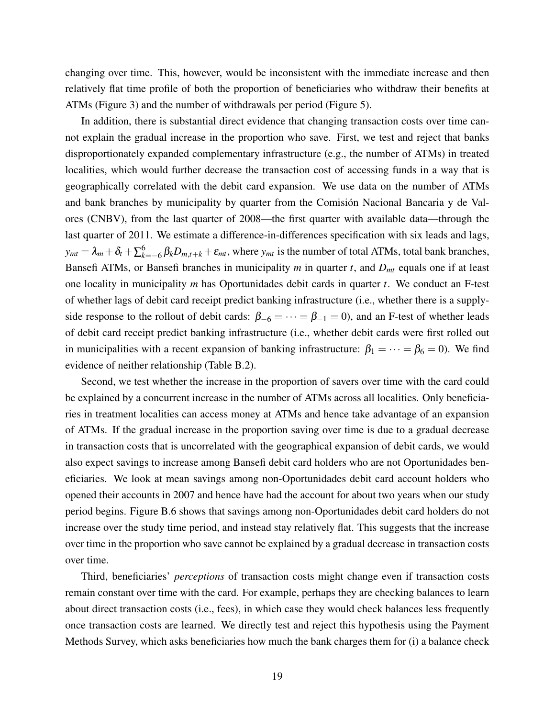changing over time. This, however, would be inconsistent with the immediate increase and then relatively flat time profile of both the proportion of beneficiaries who withdraw their benefits at ATMs (Figure [3\)](#page-36-0) and the number of withdrawals per period (Figure [5\)](#page-37-0).

In addition, there is substantial direct evidence that changing transaction costs over time cannot explain the gradual increase in the proportion who save. First, we test and reject that banks disproportionately expanded complementary infrastructure (e.g., the number of ATMs) in treated localities, which would further decrease the transaction cost of accessing funds in a way that is geographically correlated with the debit card expansion. We use data on the number of ATMs and bank branches by municipality by quarter from the Comisión Nacional Bancaria y de Valores (CNBV), from the last quarter of 2008—the first quarter with available data—through the last quarter of 2011. We estimate a difference-in-differences specification with six leads and lags,  $y_{mt} = \lambda_m + \delta_t + \sum_{k=-6}^{6} \beta_k D_{m,t+k} + \varepsilon_{mt}$ , where  $y_{mt}$  is the number of total ATMs, total bank branches, Bansefi ATMs, or Bansefi branches in municipality *m* in quarter *t*, and *Dmt* equals one if at least one locality in municipality *m* has Oportunidades debit cards in quarter *t*. We conduct an F-test of whether lags of debit card receipt predict banking infrastructure (i.e., whether there is a supplyside response to the rollout of debit cards:  $\beta_{-6} = \cdots = \beta_{-1} = 0$ , and an F-test of whether leads of debit card receipt predict banking infrastructure (i.e., whether debit cards were first rolled out in municipalities with a recent expansion of banking infrastructure:  $\beta_1 = \cdots = \beta_6 = 0$ ). We find evidence of neither relationship (Table [B.2\)](#page-53-0).

Second, we test whether the increase in the proportion of savers over time with the card could be explained by a concurrent increase in the number of ATMs across all localities. Only beneficiaries in treatment localities can access money at ATMs and hence take advantage of an expansion of ATMs. If the gradual increase in the proportion saving over time is due to a gradual decrease in transaction costs that is uncorrelated with the geographical expansion of debit cards, we would also expect savings to increase among Bansefi debit card holders who are not Oportunidades beneficiaries. We look at mean savings among non-Oportunidades debit card account holders who opened their accounts in 2007 and hence have had the account for about two years when our study period begins. Figure [B.6](#page-49-0) shows that savings among non-Oportunidades debit card holders do not increase over the study time period, and instead stay relatively flat. This suggests that the increase over time in the proportion who save cannot be explained by a gradual decrease in transaction costs over time.

Third, beneficiaries' *perceptions* of transaction costs might change even if transaction costs remain constant over time with the card. For example, perhaps they are checking balances to learn about direct transaction costs (i.e., fees), in which case they would check balances less frequently once transaction costs are learned. We directly test and reject this hypothesis using the Payment Methods Survey, which asks beneficiaries how much the bank charges them for (i) a balance check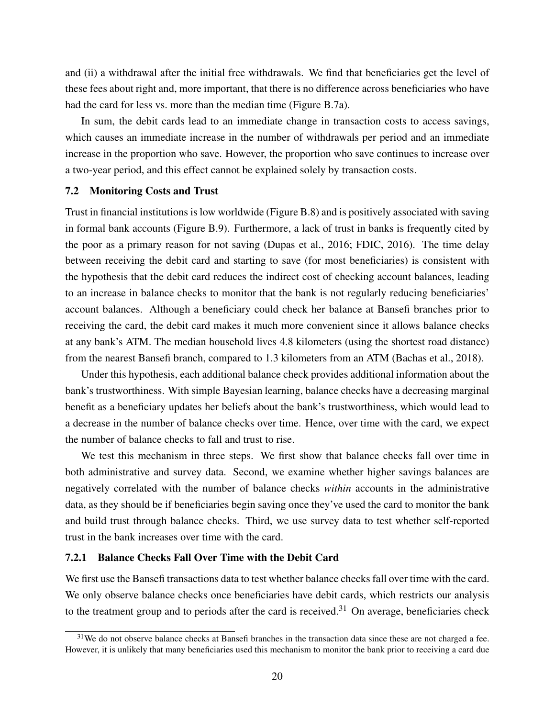and (ii) a withdrawal after the initial free withdrawals. We find that beneficiaries get the level of these fees about right and, more important, that there is no difference across beneficiaries who have had the card for less vs. more than the median time (Figure [B.7a\)](#page-49-1).

In sum, the debit cards lead to an immediate change in transaction costs to access savings, which causes an immediate increase in the number of withdrawals per period and an immediate increase in the proportion who save. However, the proportion who save continues to increase over a two-year period, and this effect cannot be explained solely by transaction costs.

#### 7.2 Monitoring Costs and Trust

Trust in financial institutions is low worldwide (Figure [B.8\)](#page-50-0) and is positively associated with saving in formal bank accounts (Figure [B.9\)](#page-50-1). Furthermore, a lack of trust in banks is frequently cited by the poor as a primary reason for not saving [\(Dupas et al., 2016;](#page-27-4) [FDIC, 2016\)](#page-27-5). The time delay between receiving the debit card and starting to save (for most beneficiaries) is consistent with the hypothesis that the debit card reduces the indirect cost of checking account balances, leading to an increase in balance checks to monitor that the bank is not regularly reducing beneficiaries' account balances. Although a beneficiary could check her balance at Bansefi branches prior to receiving the card, the debit card makes it much more convenient since it allows balance checks at any bank's ATM. The median household lives 4.8 kilometers (using the shortest road distance) from the nearest Bansefi branch, compared to 1.3 kilometers from an ATM [\(Bachas et al., 2018\)](#page-26-2).

Under this hypothesis, each additional balance check provides additional information about the bank's trustworthiness. With simple Bayesian learning, balance checks have a decreasing marginal benefit as a beneficiary updates her beliefs about the bank's trustworthiness, which would lead to a decrease in the number of balance checks over time. Hence, over time with the card, we expect the number of balance checks to fall and trust to rise.

We test this mechanism in three steps. We first show that balance checks fall over time in both administrative and survey data. Second, we examine whether higher savings balances are negatively correlated with the number of balance checks *within* accounts in the administrative data, as they should be if beneficiaries begin saving once they've used the card to monitor the bank and build trust through balance checks. Third, we use survey data to test whether self-reported trust in the bank increases over time with the card.

## <span id="page-21-1"></span>7.2.1 Balance Checks Fall Over Time with the Debit Card

We first use the Bansefi transactions data to test whether balance checks fall over time with the card. We only observe balance checks once beneficiaries have debit cards, which restricts our analysis to the treatment group and to periods after the card is received.<sup>[31](#page-21-0)</sup> On average, beneficiaries check

<span id="page-21-0"></span> $31$ We do not observe balance checks at Bansefi branches in the transaction data since these are not charged a fee. However, it is unlikely that many beneficiaries used this mechanism to monitor the bank prior to receiving a card due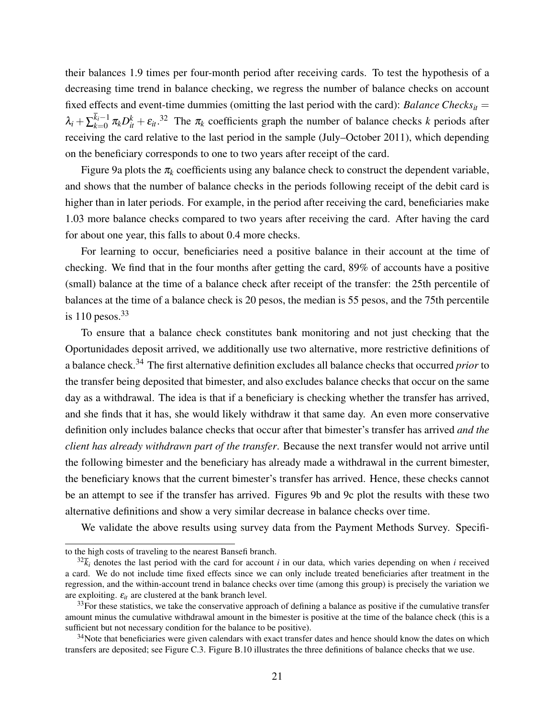their balances 1.9 times per four-month period after receiving cards. To test the hypothesis of a decreasing time trend in balance checking, we regress the number of balance checks on account fixed effects and event-time dummies (omitting the last period with the card): *Balance Checks*<sub>*it*</sub> =  $\lambda_i + \sum_{k=0}^{k_i-1}$  $\pi_{k=0}^{k_i-1} \pi_k D_{it}^k + \varepsilon_{it}$ .<sup>[32](#page-22-0)</sup> The  $\pi_k$  coefficients graph the number of balance checks *k* periods after receiving the card relative to the last period in the sample (July–October 2011), which depending on the beneficiary corresponds to one to two years after receipt of the card.

Figure [9a](#page-40-0) plots the  $\pi_k$  coefficients using any balance check to construct the dependent variable, and shows that the number of balance checks in the periods following receipt of the debit card is higher than in later periods. For example, in the period after receiving the card, beneficiaries make 1.03 more balance checks compared to two years after receiving the card. After having the card for about one year, this falls to about 0.4 more checks.

For learning to occur, beneficiaries need a positive balance in their account at the time of checking. We find that in the four months after getting the card, 89% of accounts have a positive (small) balance at the time of a balance check after receipt of the transfer: the 25th percentile of balances at the time of a balance check is 20 pesos, the median is 55 pesos, and the 75th percentile is  $110$  pesos.<sup>[33](#page-22-1)</sup>

To ensure that a balance check constitutes bank monitoring and not just checking that the Oportunidades deposit arrived, we additionally use two alternative, more restrictive definitions of a balance check.[34](#page-22-2) The first alternative definition excludes all balance checks that occurred *prior* to the transfer being deposited that bimester, and also excludes balance checks that occur on the same day as a withdrawal. The idea is that if a beneficiary is checking whether the transfer has arrived, and she finds that it has, she would likely withdraw it that same day. An even more conservative definition only includes balance checks that occur after that bimester's transfer has arrived *and the client has already withdrawn part of the transfer*. Because the next transfer would not arrive until the following bimester and the beneficiary has already made a withdrawal in the current bimester, the beneficiary knows that the current bimester's transfer has arrived. Hence, these checks cannot be an attempt to see if the transfer has arrived. Figures [9b](#page-40-0) and [9c](#page-40-0) plot the results with these two alternative definitions and show a very similar decrease in balance checks over time.

We validate the above results using survey data from the Payment Methods Survey. Specifi-

to the high costs of traveling to the nearest Bansefi branch.

<span id="page-22-0"></span> $32\bar{k}_i$  denotes the last period with the card for account *i* in our data, which varies depending on when *i* received a card. We do not include time fixed effects since we can only include treated beneficiaries after treatment in the regression, and the within-account trend in balance checks over time (among this group) is precisely the variation we are exploiting.  $\varepsilon_{it}$  are clustered at the bank branch level.

<span id="page-22-1"></span> $33$ For these statistics, we take the conservative approach of defining a balance as positive if the cumulative transfer amount minus the cumulative withdrawal amount in the bimester is positive at the time of the balance check (this is a sufficient but not necessary condition for the balance to be positive).

<span id="page-22-2"></span> $34$ Note that beneficiaries were given calendars with exact transfer dates and hence should know the dates on which transfers are deposited; see Figure [C.3.](#page-56-0) Figure [B.10](#page-51-0) illustrates the three definitions of balance checks that we use.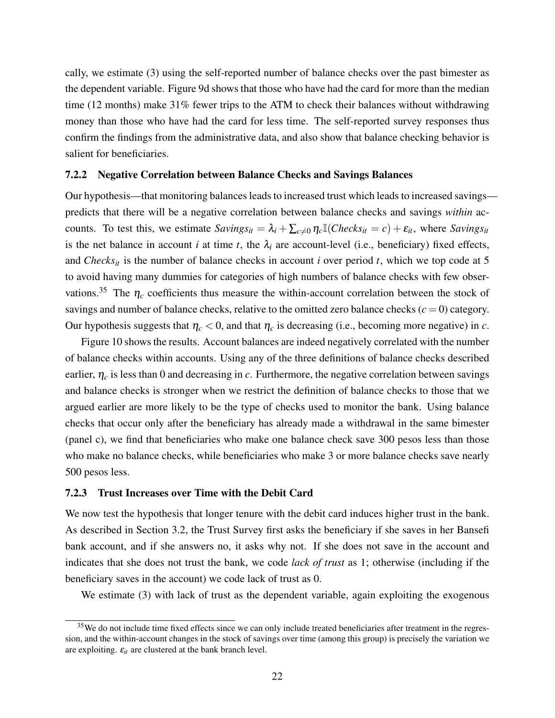cally, we estimate [\(3\)](#page-12-1) using the self-reported number of balance checks over the past bimester as the dependent variable. Figure [9d](#page-40-0) shows that those who have had the card for more than the median time (12 months) make 31% fewer trips to the ATM to check their balances without withdrawing money than those who have had the card for less time. The self-reported survey responses thus confirm the findings from the administrative data, and also show that balance checking behavior is salient for beneficiaries.

#### 7.2.2 Negative Correlation between Balance Checks and Savings Balances

Our hypothesis—that monitoring balances leads to increased trust which leads to increased savings predicts that there will be a negative correlation between balance checks and savings *within* accounts. To test this, we estimate  $Savings_{it} = \lambda_i + \sum_{c \neq 0} \eta_c \mathbb{I}(Checks_{it} = c) + \varepsilon_{it}$ , where  $Savings_{it}$ is the net balance in account *i* at time *t*, the  $\lambda_i$  are account-level (i.e., beneficiary) fixed effects, and *Checks<sub>it</sub>* is the number of balance checks in account *i* over period *t*, which we top code at 5 to avoid having many dummies for categories of high numbers of balance checks with few obser-vations.<sup>[35](#page-23-0)</sup> The  $\eta_c$  coefficients thus measure the within-account correlation between the stock of savings and number of balance checks, relative to the omitted zero balance checks  $(c = 0)$  category. Our hypothesis suggests that  $\eta_c < 0$ , and that  $\eta_c$  is decreasing (i.e., becoming more negative) in *c*.

Figure [10](#page-41-0) shows the results. Account balances are indeed negatively correlated with the number of balance checks within accounts. Using any of the three definitions of balance checks described earlier,  $\eta_c$  is less than 0 and decreasing in *c*. Furthermore, the negative correlation between savings and balance checks is stronger when we restrict the definition of balance checks to those that we argued earlier are more likely to be the type of checks used to monitor the bank. Using balance checks that occur only after the beneficiary has already made a withdrawal in the same bimester (panel c), we find that beneficiaries who make one balance check save 300 pesos less than those who make no balance checks, while beneficiaries who make 3 or more balance checks save nearly 500 pesos less.

## 7.2.3 Trust Increases over Time with the Debit Card

We now test the hypothesis that longer tenure with the debit card induces higher trust in the bank. As described in Section [3.2,](#page-9-1) the Trust Survey first asks the beneficiary if she saves in her Bansefi bank account, and if she answers no, it asks why not. If she does not save in the account and indicates that she does not trust the bank, we code *lack of trust* as 1; otherwise (including if the beneficiary saves in the account) we code lack of trust as 0.

We estimate [\(3\)](#page-12-1) with lack of trust as the dependent variable, again exploiting the exogenous

<span id="page-23-0"></span><sup>&</sup>lt;sup>35</sup>We do not include time fixed effects since we can only include treated beneficiaries after treatment in the regression, and the within-account changes in the stock of savings over time (among this group) is precisely the variation we are exploiting.  $\varepsilon_{it}$  are clustered at the bank branch level.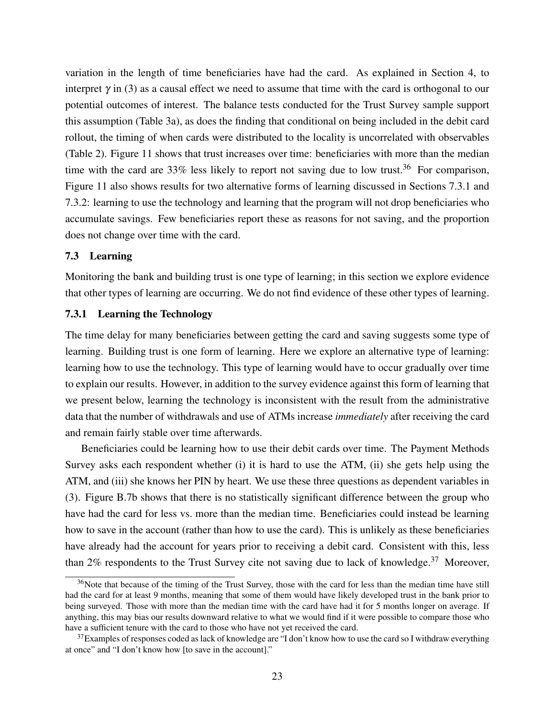variation in the length of time beneficiaries have had the card. As explained in Section [4,](#page-10-0) to interpret  $\gamma$  in [\(3\)](#page-12-1) as a causal effect we need to assume that time with the card is orthogonal to our potential outcomes of interest. The balance tests conducted for the Trust Survey sample support this assumption (Table [3a](#page-32-0)), as does the finding that conditional on being included in the debit card rollout, the timing of when cards were distributed to the locality is uncorrelated with observables (Table [2\)](#page-31-0). Figure [11](#page-41-0) shows that trust increases over time: beneficiaries with more than the median time with the card are 33% less likely to report not saving due to low trust.<sup>[36](#page-24-0)</sup> For comparison, Figure [11](#page-41-0) also shows results for two alternative forms of learning discussed in Sections [7.3.1](#page-24-1) and [7.3.2:](#page-25-0) learning to use the technology and learning that the program will not drop beneficiaries who accumulate savings. Few beneficiaries report these as reasons for not saving, and the proportion does not change over time with the card.

## 7.3 Learning

Monitoring the bank and building trust is one type of learning; in this section we explore evidence that other types of learning are occurring. We do not find evidence of these other types of learning.

## <span id="page-24-1"></span>7.3.1 Learning the Technology

The time delay for many beneficiaries between getting the card and saving suggests some type of learning. Building trust is one form of learning. Here we explore an alternative type of learning: learning how to use the technology. This type of learning would have to occur gradually over time to explain our results. However, in addition to the survey evidence against this form of learning that we present below, learning the technology is inconsistent with the result from the administrative data that the number of withdrawals and use of ATMs increase *immediately* after receiving the card and remain fairly stable over time afterwards.

Beneficiaries could be learning how to use their debit cards over time. The Payment Methods Survey asks each respondent whether (i) it is hard to use the ATM, (ii) she gets help using the ATM, and (iii) she knows her PIN by heart. We use these three questions as dependent variables in [\(3\)](#page-12-1). Figure [B.7b](#page-49-1) shows that there is no statistically significant difference between the group who have had the card for less vs. more than the median time. Beneficiaries could instead be learning how to save in the account (rather than how to use the card). This is unlikely as these beneficiaries have already had the account for years prior to receiving a debit card. Consistent with this, less than 2% respondents to the Trust Survey cite not saving due to lack of knowledge.<sup>[37](#page-24-2)</sup> Moreover,

<span id="page-24-0"></span><sup>&</sup>lt;sup>36</sup>Note that because of the timing of the Trust Survey, those with the card for less than the median time have still had the card for at least 9 months, meaning that some of them would have likely developed trust in the bank prior to being surveyed. Those with more than the median time with the card have had it for 5 months longer on average. If anything, this may bias our results downward relative to what we would find if it were possible to compare those who have a sufficient tenure with the card to those who have not yet received the card.

<span id="page-24-2"></span> $37$ Examples of responses coded as lack of knowledge are "I don't know how to use the card so I withdraw everything at once" and "I don't know how [to save in the account]."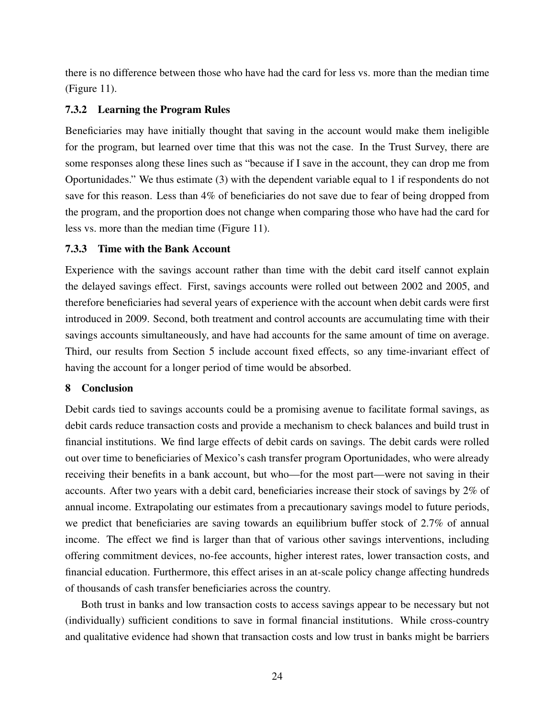there is no difference between those who have had the card for less vs. more than the median time (Figure [11\)](#page-41-0).

## <span id="page-25-0"></span>7.3.2 Learning the Program Rules

Beneficiaries may have initially thought that saving in the account would make them ineligible for the program, but learned over time that this was not the case. In the Trust Survey, there are some responses along these lines such as "because if I save in the account, they can drop me from Oportunidades." We thus estimate [\(3\)](#page-12-1) with the dependent variable equal to 1 if respondents do not save for this reason. Less than 4% of beneficiaries do not save due to fear of being dropped from the program, and the proportion does not change when comparing those who have had the card for less vs. more than the median time (Figure [11\)](#page-41-0).

#### 7.3.3 Time with the Bank Account

Experience with the savings account rather than time with the debit card itself cannot explain the delayed savings effect. First, savings accounts were rolled out between 2002 and 2005, and therefore beneficiaries had several years of experience with the account when debit cards were first introduced in 2009. Second, both treatment and control accounts are accumulating time with their savings accounts simultaneously, and have had accounts for the same amount of time on average. Third, our results from Section [5](#page-13-2) include account fixed effects, so any time-invariant effect of having the account for a longer period of time would be absorbed.

## 8 Conclusion

Debit cards tied to savings accounts could be a promising avenue to facilitate formal savings, as debit cards reduce transaction costs and provide a mechanism to check balances and build trust in financial institutions. We find large effects of debit cards on savings. The debit cards were rolled out over time to beneficiaries of Mexico's cash transfer program Oportunidades, who were already receiving their benefits in a bank account, but who—for the most part—were not saving in their accounts. After two years with a debit card, beneficiaries increase their stock of savings by 2% of annual income. Extrapolating our estimates from a precautionary savings model to future periods, we predict that beneficiaries are saving towards an equilibrium buffer stock of 2.7% of annual income. The effect we find is larger than that of various other savings interventions, including offering commitment devices, no-fee accounts, higher interest rates, lower transaction costs, and financial education. Furthermore, this effect arises in an at-scale policy change affecting hundreds of thousands of cash transfer beneficiaries across the country.

Both trust in banks and low transaction costs to access savings appear to be necessary but not (individually) sufficient conditions to save in formal financial institutions. While cross-country and qualitative evidence had shown that transaction costs and low trust in banks might be barriers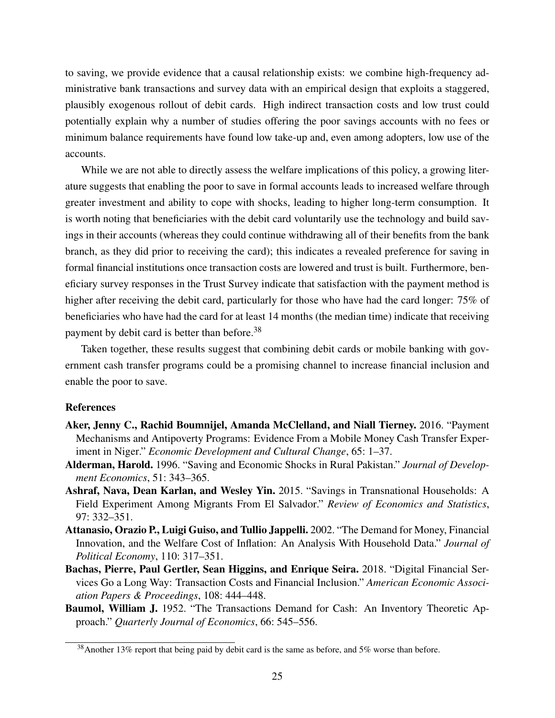to saving, we provide evidence that a causal relationship exists: we combine high-frequency administrative bank transactions and survey data with an empirical design that exploits a staggered, plausibly exogenous rollout of debit cards. High indirect transaction costs and low trust could potentially explain why a number of studies offering the poor savings accounts with no fees or minimum balance requirements have found low take-up and, even among adopters, low use of the accounts.

While we are not able to directly assess the welfare implications of this policy, a growing literature suggests that enabling the poor to save in formal accounts leads to increased welfare through greater investment and ability to cope with shocks, leading to higher long-term consumption. It is worth noting that beneficiaries with the debit card voluntarily use the technology and build savings in their accounts (whereas they could continue withdrawing all of their benefits from the bank branch, as they did prior to receiving the card); this indicates a revealed preference for saving in formal financial institutions once transaction costs are lowered and trust is built. Furthermore, beneficiary survey responses in the Trust Survey indicate that satisfaction with the payment method is higher after receiving the debit card, particularly for those who have had the card longer: 75% of beneficiaries who have had the card for at least 14 months (the median time) indicate that receiving payment by debit card is better than before.<sup>[38](#page-26-6)</sup>

Taken together, these results suggest that combining debit cards or mobile banking with government cash transfer programs could be a promising channel to increase financial inclusion and enable the poor to save.

#### References

- <span id="page-26-1"></span>Aker, Jenny C., Rachid Boumnijel, Amanda McClelland, and Niall Tierney. 2016. "Payment Mechanisms and Antipoverty Programs: Evidence From a Mobile Money Cash Transfer Experiment in Niger." *Economic Development and Cultural Change*, 65: 1–37.
- <span id="page-26-0"></span>Alderman, Harold. 1996. "Saving and Economic Shocks in Rural Pakistan." *Journal of Development Economics*, 51: 343–365.
- <span id="page-26-3"></span>Ashraf, Nava, Dean Karlan, and Wesley Yin. 2015. "Savings in Transnational Households: A Field Experiment Among Migrants From El Salvador." *Review of Economics and Statistics*, 97: 332–351.
- <span id="page-26-5"></span>Attanasio, Orazio P., Luigi Guiso, and Tullio Jappelli. 2002. "The Demand for Money, Financial Innovation, and the Welfare Cost of Inflation: An Analysis With Household Data." *Journal of Political Economy*, 110: 317–351.
- <span id="page-26-2"></span>Bachas, Pierre, Paul Gertler, Sean Higgins, and Enrique Seira. 2018. "Digital Financial Services Go a Long Way: Transaction Costs and Financial Inclusion." *American Economic Association Papers & Proceedings*, 108: 444–448.
- <span id="page-26-4"></span>Baumol, William J. 1952. "The Transactions Demand for Cash: An Inventory Theoretic Approach." *Quarterly Journal of Economics*, 66: 545–556.

<span id="page-26-6"></span> $38$ Another 13% report that being paid by debit card is the same as before, and 5% worse than before.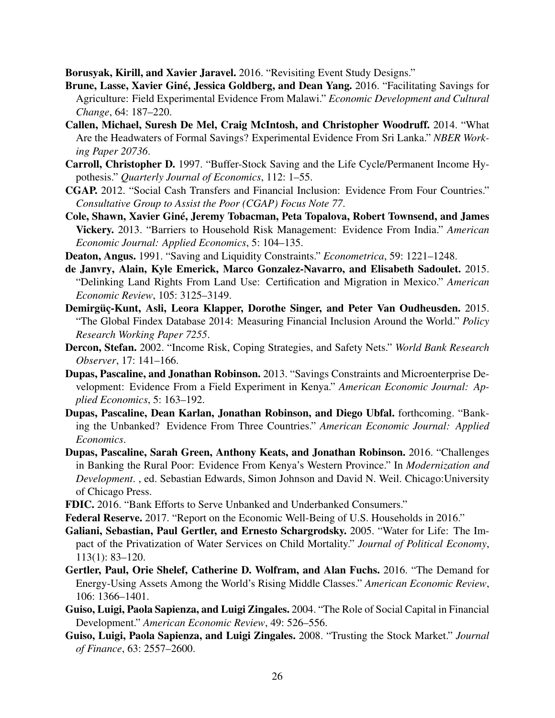<span id="page-27-15"></span>Borusyak, Kirill, and Xavier Jaravel. 2016. "Revisiting Event Study Designs."

- <span id="page-27-8"></span>Brune, Lasse, Xavier Giné, Jessica Goldberg, and Dean Yang. 2016. "Facilitating Savings for Agriculture: Field Experimental Evidence From Malawi." *Economic Development and Cultural Change*, 64: 187–220.
- <span id="page-27-9"></span>Callen, Michael, Suresh De Mel, Craig McIntosh, and Christopher Woodruff. 2014. "What Are the Headwaters of Formal Savings? Experimental Evidence From Sri Lanka." *NBER Working Paper 20736*.
- <span id="page-27-16"></span>Carroll, Christopher D. 1997. "Buffer-Stock Saving and the Life Cycle/Permanent Income Hypothesis." *Quarterly Journal of Economics*, 112: 1–55.
- <span id="page-27-6"></span>CGAP. 2012. "Social Cash Transfers and Financial Inclusion: Evidence From Four Countries." *Consultative Group to Assist the Poor (CGAP) Focus Note 77*.
- <span id="page-27-12"></span>Cole, Shawn, Xavier Giné, Jeremy Tobacman, Peta Topalova, Robert Townsend, and James Vickery. 2013. "Barriers to Household Risk Management: Evidence From India." *American Economic Journal: Applied Economics*, 5: 104–135.
- <span id="page-27-17"></span>Deaton, Angus. 1991. "Saving and Liquidity Constraints." *Econometrica*, 59: 1221–1248.
- <span id="page-27-18"></span>de Janvry, Alain, Kyle Emerick, Marco Gonzalez-Navarro, and Elisabeth Sadoulet. 2015. "Delinking Land Rights From Land Use: Certification and Migration in Mexico." *American Economic Review*, 105: 3125–3149.
- <span id="page-27-3"></span>Demirgüç-Kunt, Asli, Leora Klapper, Dorothe Singer, and Peter Van Oudheusden. 2015. "The Global Findex Database 2014: Measuring Financial Inclusion Around the World." *Policy Research Working Paper 7255*.
- <span id="page-27-0"></span>Dercon, Stefan. 2002. "Income Risk, Coping Strategies, and Safety Nets." *World Bank Research Observer*, 17: 141–166.
- <span id="page-27-7"></span>Dupas, Pascaline, and Jonathan Robinson. 2013. "Savings Constraints and Microenterprise Development: Evidence From a Field Experiment in Kenya." *American Economic Journal: Applied Economics*, 5: 163–192.
- <span id="page-27-2"></span>Dupas, Pascaline, Dean Karlan, Jonathan Robinson, and Diego Ubfal. forthcoming. "Banking the Unbanked? Evidence From Three Countries." *American Economic Journal: Applied Economics*.
- <span id="page-27-4"></span>Dupas, Pascaline, Sarah Green, Anthony Keats, and Jonathan Robinson. 2016. "Challenges in Banking the Rural Poor: Evidence From Kenya's Western Province." In *Modernization and Development*. , ed. Sebastian Edwards, Simon Johnson and David N. Weil. Chicago:University of Chicago Press.
- <span id="page-27-5"></span>FDIC. 2016. "Bank Efforts to Serve Unbanked and Underbanked Consumers."
- <span id="page-27-1"></span>Federal Reserve. 2017. "Report on the Economic Well-Being of U.S. Households in 2016."
- <span id="page-27-13"></span>Galiani, Sebastian, Paul Gertler, and Ernesto Schargrodsky. 2005. "Water for Life: The Impact of the Privatization of Water Services on Child Mortality." *Journal of Political Economy*, 113(1): 83–120.
- <span id="page-27-14"></span>Gertler, Paul, Orie Shelef, Catherine D. Wolfram, and Alan Fuchs. 2016. "The Demand for Energy-Using Assets Among the World's Rising Middle Classes." *American Economic Review*, 106: 1366–1401.
- <span id="page-27-10"></span>Guiso, Luigi, Paola Sapienza, and Luigi Zingales. 2004. "The Role of Social Capital in Financial Development." *American Economic Review*, 49: 526–556.
- <span id="page-27-11"></span>Guiso, Luigi, Paola Sapienza, and Luigi Zingales. 2008. "Trusting the Stock Market." *Journal of Finance*, 63: 2557–2600.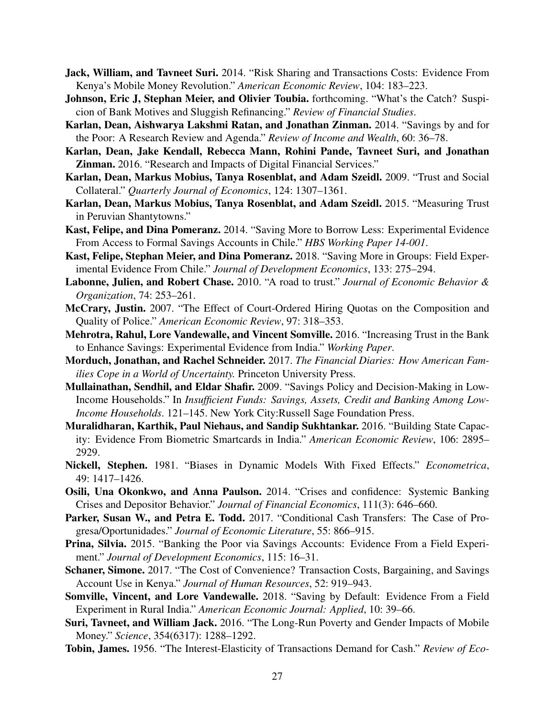- <span id="page-28-16"></span>Jack, William, and Tavneet Suri. 2014. "Risk Sharing and Transactions Costs: Evidence From Kenya's Mobile Money Revolution." *American Economic Review*, 104: 183–223.
- <span id="page-28-12"></span>Johnson, Eric J, Stephan Meier, and Olivier Toubia. forthcoming. "What's the Catch? Suspicion of Bank Motives and Sluggish Refinancing." *Review of Financial Studies*.
- <span id="page-28-0"></span>Karlan, Dean, Aishwarya Lakshmi Ratan, and Jonathan Zinman. 2014. "Savings by and for the Poor: A Research Review and Agenda." *Review of Income and Wealth*, 60: 36–78.
- <span id="page-28-2"></span>Karlan, Dean, Jake Kendall, Rebecca Mann, Rohini Pande, Tavneet Suri, and Jonathan Zinman. 2016. "Research and Impacts of Digital Financial Services."
- <span id="page-28-13"></span>Karlan, Dean, Markus Mobius, Tanya Rosenblat, and Adam Szeidl. 2009. "Trust and Social Collateral." *Quarterly Journal of Economics*, 124: 1307–1361.
- <span id="page-28-14"></span>Karlan, Dean, Markus Mobius, Tanya Rosenblat, and Adam Szeidl. 2015. "Measuring Trust in Peruvian Shantytowns."
- <span id="page-28-4"></span>Kast, Felipe, and Dina Pomeranz. 2014. "Saving More to Borrow Less: Experimental Evidence From Access to Formal Savings Accounts in Chile." *HBS Working Paper 14-001*.
- <span id="page-28-10"></span>Kast, Felipe, Stephan Meier, and Dina Pomeranz. 2018. "Saving More in Groups: Field Experimental Evidence From Chile." *Journal of Development Economics*, 133: 275–294.
- <span id="page-28-7"></span>Labonne, Julien, and Robert Chase. 2010. "A road to trust." *Journal of Economic Behavior & Organization*, 74: 253–261.
- <span id="page-28-19"></span>McCrary, Justin. 2007. "The Effect of Court-Ordered Hiring Quotas on the Composition and Quality of Police." *American Economic Review*, 97: 318–353.
- <span id="page-28-18"></span>Mehrotra, Rahul, Lore Vandewalle, and Vincent Somville. 2016. "Increasing Trust in the Bank to Enhance Savings: Experimental Evidence from India." *Working Paper*.
- <span id="page-28-8"></span>Morduch, Jonathan, and Rachel Schneider. 2017. *The Financial Diaries: How American Families Cope in a World of Uncertainty.* Princeton University Press.
- <span id="page-28-1"></span>Mullainathan, Sendhil, and Eldar Shafir. 2009. "Savings Policy and Decision-Making in Low-Income Households." In *Insufficient Funds: Savings, Assets, Credit and Banking Among Low-Income Households*. 121–145. New York City:Russell Sage Foundation Press.
- <span id="page-28-3"></span>Muralidharan, Karthik, Paul Niehaus, and Sandip Sukhtankar. 2016. "Building State Capacity: Evidence From Biometric Smartcards in India." *American Economic Review*, 106: 2895– 2929.
- <span id="page-28-21"></span>Nickell, Stephen. 1981. "Biases in Dynamic Models With Fixed Effects." *Econometrica*, 49: 1417–1426.
- <span id="page-28-17"></span>Osili, Una Okonkwo, and Anna Paulson. 2014. "Crises and confidence: Systemic Banking Crises and Depositor Behavior." *Journal of Financial Economics*, 111(3): 646–660.
- <span id="page-28-15"></span>Parker, Susan W., and Petra E. Todd. 2017. "Conditional Cash Transfers: The Case of Progresa/Oportunidades." *Journal of Economic Literature*, 55: 866–915.
- <span id="page-28-5"></span>Prina, Silvia. 2015. "Banking the Poor via Savings Accounts: Evidence From a Field Experiment." *Journal of Development Economics*, 115: 16–31.
- <span id="page-28-6"></span>Schaner, Simone. 2017. "The Cost of Convenience? Transaction Costs, Bargaining, and Savings Account Use in Kenya." *Journal of Human Resources*, 52: 919–943.
- <span id="page-28-11"></span>Somville, Vincent, and Lore Vandewalle. 2018. "Saving by Default: Evidence From a Field Experiment in Rural India." *American Economic Journal: Applied*, 10: 39–66.
- <span id="page-28-9"></span>Suri, Tavneet, and William Jack. 2016. "The Long-Run Poverty and Gender Impacts of Mobile Money." *Science*, 354(6317): 1288–1292.
- <span id="page-28-20"></span>Tobin, James. 1956. "The Interest-Elasticity of Transactions Demand for Cash." *Review of Eco-*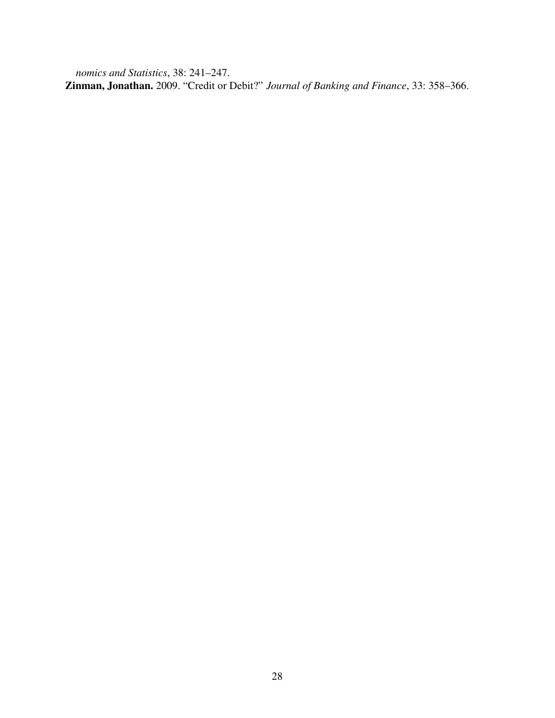<span id="page-29-0"></span>*nomics and Statistics*, 38: 241–247. Zinman, Jonathan. 2009. "Credit or Debit?" *Journal of Banking and Finance*, 33: 358–366.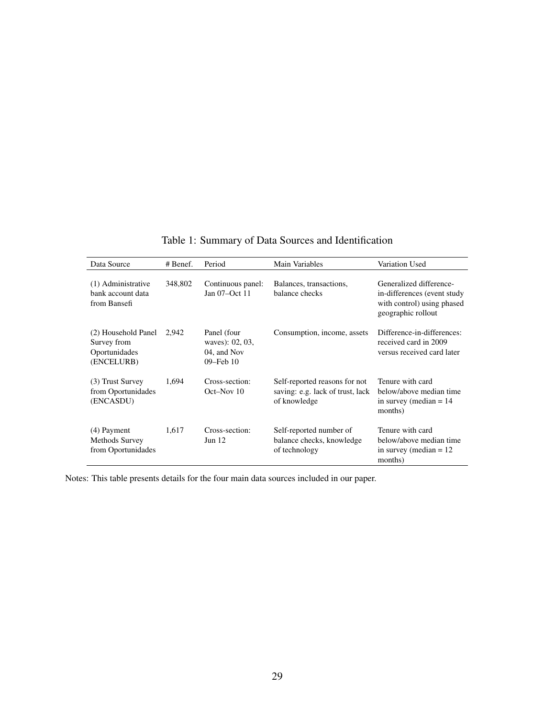<span id="page-30-0"></span>

| Data Source                                                       | # Benef. | Period                                                     | Main Variables                                                                    | Variation Used                                                                                             |
|-------------------------------------------------------------------|----------|------------------------------------------------------------|-----------------------------------------------------------------------------------|------------------------------------------------------------------------------------------------------------|
| (1) Administrative<br>bank account data<br>from Bansefi           | 348,802  | Continuous panel:<br>Jan 07-Oct 11                         | Balances, transactions,<br>balance checks                                         | Generalized difference-<br>in-differences (event study<br>with control) using phased<br>geographic rollout |
| (2) Household Panel<br>Survey from<br>Oportunidades<br>(ENCELURB) | 2,942    | Panel (four<br>waves): 02, 03,<br>04, and Nov<br>09-Feb 10 | Consumption, income, assets                                                       | Difference-in-differences:<br>received card in 2009<br>versus received card later                          |
| (3) Trust Survey<br>from Oportunidades<br>(ENCASDU)               | 1,694    | Cross-section:<br>Oct-Nov 10                               | Self-reported reasons for not<br>saving: e.g. lack of trust, lack<br>of knowledge | Tenure with card<br>below/above median time<br>in survey (median $= 14$ )<br>months)                       |
| (4) Payment<br>Methods Survey<br>from Oportunidades               | 1,617    | Cross-section:<br>Jun $12$                                 | Self-reported number of<br>balance checks, knowledge<br>of technology             | Tenure with card<br>below/above median time<br>in survey (median $= 12$ )<br>months)                       |

Table 1: Summary of Data Sources and Identification

Notes: This table presents details for the four main data sources included in our paper.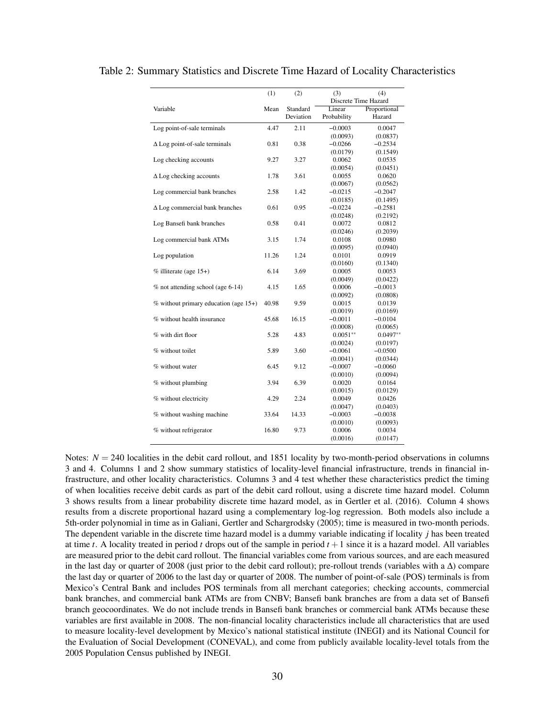|                                         | (1)   | (2)       | (3)                   | (4)                   |
|-----------------------------------------|-------|-----------|-----------------------|-----------------------|
|                                         |       |           | Discrete Time Hazard  |                       |
| Variable                                | Mean  | Standard  | Linear                | Proportional          |
|                                         |       | Deviation | Probability           | Hazard                |
| Log point-of-sale terminals             | 4.47  | 2.11      | $-0.0003$             | 0.0047                |
|                                         |       |           | (0.0093)              | (0.0837)              |
| $\Delta$ Log point-of-sale terminals    | 0.81  | 0.38      | $-0.0266$             | $-0.2534$             |
|                                         |       |           | (0.0179)              | (0.1549)              |
| Log checking accounts                   | 9.27  | 3.27      | 0.0062                | 0.0535                |
|                                         |       |           | (0.0054)              | (0.0451)              |
| $\Delta$ Log checking accounts          | 1.78  | 3.61      | 0.0055                | 0.0620                |
|                                         |       |           | (0.0067)              | (0.0562)              |
| Log commercial bank branches            | 2.58  | 1.42      | $-0.0215$             | $-0.2047$             |
|                                         |       |           | (0.0185)              | (0.1495)              |
| $\Delta$ Log commercial bank branches   | 0.61  | 0.95      | $-0.0224$             | $-0.2581$             |
|                                         |       |           | (0.0248)              | (0.2192)              |
| Log Bansefi bank branches               | 0.58  | 0.41      | 0.0072                | 0.0812                |
|                                         |       |           | (0.0246)              | (0.2039)              |
| Log commercial bank ATMs                | 3.15  | 1.74      | 0.0108                | 0.0980                |
|                                         |       |           | (0.0095)              | (0.0940)              |
| Log population                          | 11.26 | 1.24      | 0.0101                | 0.0919                |
|                                         |       |           | (0.0160)              | (0.1340)              |
| $%$ illiterate (age 15+)                | 6.14  | 3.69      | 0.0005                | 0.0053                |
|                                         |       |           | (0.0049)              | (0.0422)              |
| $%$ not attending school (age 6-14)     | 4.15  | 1.65      | 0.0006                | $-0.0013$             |
|                                         |       |           | (0.0092)              | (0.0808)              |
| $%$ without primary education (age 15+) | 40.98 | 9.59      | 0.0015                | 0.0139                |
|                                         |       |           | (0.0019)              | (0.0169)              |
| % without health insurance              | 45.68 | 16.15     | $-0.0011$             | $-0.0104$             |
|                                         |       |           | (0.0008)              | (0.0065)              |
| % with dirt floor                       | 5.28  | 4.83      | $0.0051**$            | $0.0497**$            |
| % without toilet                        | 5.89  | 3.60      | (0.0024)              | (0.0197)              |
|                                         |       |           | $-0.0061$<br>(0.0041) | $-0.0500$             |
|                                         | 6.45  |           |                       | (0.0344)              |
| % without water                         |       | 9.12      | $-0.0007$<br>(0.0010) | $-0.0060$<br>(0.0094) |
| % without plumbing                      | 3.94  | 6.39      | 0.0020                | 0.0164                |
|                                         |       |           | (0.0015)              | (0.0129)              |
| % without electricity                   | 4.29  | 2.24      | 0.0049                | 0.0426                |
|                                         |       |           | (0.0047)              | (0.0403)              |
| % without washing machine               | 33.64 | 14.33     | $-0.0003$             | $-0.0038$             |
|                                         |       |           | (0.0010)              | (0.0093)              |
| % without refrigerator                  | 16.80 | 9.73      | 0.0006                | 0.0034                |
|                                         |       |           | (0.0016)              | (0.0147)              |
|                                         |       |           |                       |                       |

<span id="page-31-0"></span>Table 2: Summary Statistics and Discrete Time Hazard of Locality Characteristics

Notes:  $N = 240$  localities in the debit card rollout, and 1851 locality by two-month-period observations in columns 3 and 4. Columns 1 and 2 show summary statistics of locality-level financial infrastructure, trends in financial infrastructure, and other locality characteristics. Columns 3 and 4 test whether these characteristics predict the timing of when localities receive debit cards as part of the debit card rollout, using a discrete time hazard model. Column 3 shows results from a linear probability discrete time hazard model, as in [Gertler et al.](#page-27-14) [\(2016\)](#page-27-14). Column 4 shows results from a discrete proportional hazard using a complementary log-log regression. Both models also include a 5th-order polynomial in time as in [Galiani, Gertler and Schargrodsky](#page-27-13) [\(2005\)](#page-27-13); time is measured in two-month periods. The dependent variable in the discrete time hazard model is a dummy variable indicating if locality *j* has been treated at time *t*. A locality treated in period *t* drops out of the sample in period  $t + 1$  since it is a hazard model. All variables are measured prior to the debit card rollout. The financial variables come from various sources, and are each measured in the last day or quarter of 2008 (just prior to the debit card rollout); pre-rollout trends (variables with a  $\Delta$ ) compare the last day or quarter of 2006 to the last day or quarter of 2008. The number of point-of-sale (POS) terminals is from Mexico's Central Bank and includes POS terminals from all merchant categories; checking accounts, commercial bank branches, and commercial bank ATMs are from CNBV; Bansefi bank branches are from a data set of Bansefi branch geocoordinates. We do not include trends in Bansefi bank branches or commercial bank ATMs because these variables are first available in 2008. The non-financial locality characteristics include all characteristics that are used to measure locality-level development by Mexico's national statistical institute (INEGI) and its National Council for the Evaluation of Social Development (CONEVAL), and come from publicly available locality-level totals from the 2005 Population Census published by INEGI.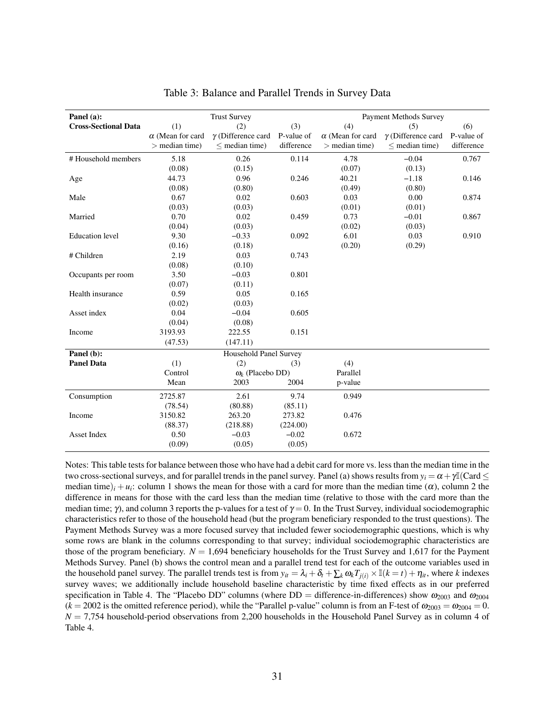<span id="page-32-0"></span>

| Panel (a):                  |                         | <b>Trust Survey</b>       |            |                         | <b>Payment Methods Survey</b> |            |
|-----------------------------|-------------------------|---------------------------|------------|-------------------------|-------------------------------|------------|
| <b>Cross-Sectional Data</b> | (1)                     | (2)                       | (3)        | (4)                     | (5)                           | (6)        |
|                             | $\alpha$ (Mean for card | $\gamma$ (Difference card | P-value of | $\alpha$ (Mean for card | $\gamma$ (Difference card     | P-value of |
|                             | $>$ median time)        | $<$ median time)          | difference | $>$ median time)        | $<$ median time)              | difference |
| #Household members          | 5.18                    | 0.26                      | 0.114      | 4.78                    | $-0.04$                       | 0.767      |
|                             | (0.08)                  | (0.15)                    |            | (0.07)                  | (0.13)                        |            |
| Age                         | 44.73                   | 0.96                      | 0.246      | 40.21                   | $-1.18$                       | 0.146      |
|                             | (0.08)                  | (0.80)                    |            | (0.49)                  | (0.80)                        |            |
| Male                        | 0.67                    | 0.02                      | 0.603      | 0.03                    | 0.00                          | 0.874      |
|                             | (0.03)                  | (0.03)                    |            | (0.01)                  | (0.01)                        |            |
| Married                     | 0.70                    | 0.02                      | 0.459      | 0.73                    | $-0.01$                       | 0.867      |
|                             | (0.04)                  | (0.03)                    |            | (0.02)                  | (0.03)                        |            |
| <b>Education</b> level      | 9.30                    | $-0.33$                   | 0.092      | 6.01                    | 0.03                          | 0.910      |
|                             | (0.16)                  | (0.18)                    |            | (0.20)                  | (0.29)                        |            |
| # Children                  | 2.19                    | 0.03                      | 0.743      |                         |                               |            |
|                             | (0.08)                  | (0.10)                    |            |                         |                               |            |
| Occupants per room          | 3.50                    | $-0.03$                   | 0.801      |                         |                               |            |
|                             | (0.07)                  | (0.11)                    |            |                         |                               |            |
| Health insurance            | 0.59                    | 0.05                      | 0.165      |                         |                               |            |
|                             | (0.02)                  | (0.03)                    |            |                         |                               |            |
| Asset index                 | 0.04                    | $-0.04$                   | 0.605      |                         |                               |            |
|                             | (0.04)                  | (0.08)                    |            |                         |                               |            |
| Income                      | 3193.93                 | 222.55                    | 0.151      |                         |                               |            |
|                             | (47.53)                 | (147.11)                  |            |                         |                               |            |
| Panel $(b)$ :               |                         | Household Panel Survey    |            |                         |                               |            |
| <b>Panel Data</b>           | (1)                     | (2)                       | (3)        | (4)                     |                               |            |
|                             | Control                 | $\omega_k$ (Placebo DD)   |            | Parallel                |                               |            |
|                             | Mean                    | 2003                      | 2004       | p-value                 |                               |            |
| Consumption                 | 2725.87                 | 2.61                      | 9.74       | 0.949                   |                               |            |
|                             | (78.54)                 | (80.88)                   | (85.11)    |                         |                               |            |
| Income                      | 3150.82                 | 263.20                    | 273.82     | 0.476                   |                               |            |
|                             | (88.37)                 | (218.88)                  | (224.00)   |                         |                               |            |
| <b>Asset Index</b>          | 0.50                    | $-0.03$                   | $-0.02$    | 0.672                   |                               |            |
|                             | (0.09)                  | (0.05)                    | (0.05)     |                         |                               |            |

Table 3: Balance and Parallel Trends in Survey Data

Notes: This table tests for balance between those who have had a debit card for more vs. less than the median time in the two cross-sectional surveys, and for parallel trends in the panel survey. Panel (a) shows results from  $y_i = \alpha + \gamma \mathbb{I}(\text{Card} \leq \mathbb{I})$ median time)<sub>*i*</sub> + *u<sub>i</sub>*: column 1 shows the mean for those with a card for more than the median time ( $\alpha$ ), column 2 the difference in means for those with the card less than the median time (relative to those with the card more than the median time;  $\gamma$ ), and column 3 reports the p-values for a test of  $\gamma = 0$ . In the Trust Survey, individual sociodemographic characteristics refer to those of the household head (but the program beneficiary responded to the trust questions). The Payment Methods Survey was a more focused survey that included fewer sociodemographic questions, which is why some rows are blank in the columns corresponding to that survey; individual sociodemographic characteristics are those of the program beneficiary.  $N = 1,694$  beneficiary households for the Trust Survey and 1,617 for the Payment Methods Survey. Panel (b) shows the control mean and a parallel trend test for each of the outcome variables used in the household panel survey. The parallel trends test is from  $y_i = \lambda_i + \delta_t + \sum_k \omega_k T_{i(i)} \times \mathbb{I}(k = t) + \eta_i$ , where *k* indexes survey waves; we additionally include household baseline characteristic by time fixed effects as in our preferred specification in Table [4.](#page-33-0) The "Placebo DD" columns (where DD = difference-in-differences) show  $\omega_{2003}$  and  $\omega_{2004}$  $(k = 2002$  is the omitted reference period), while the "Parallel p-value" column is from an F-test of  $\omega_{2003} = \omega_{2004} = 0$ .  $N = 7,754$  household-period observations from 2,200 households in the Household Panel Survey as in column 4 of Table [4.](#page-33-0)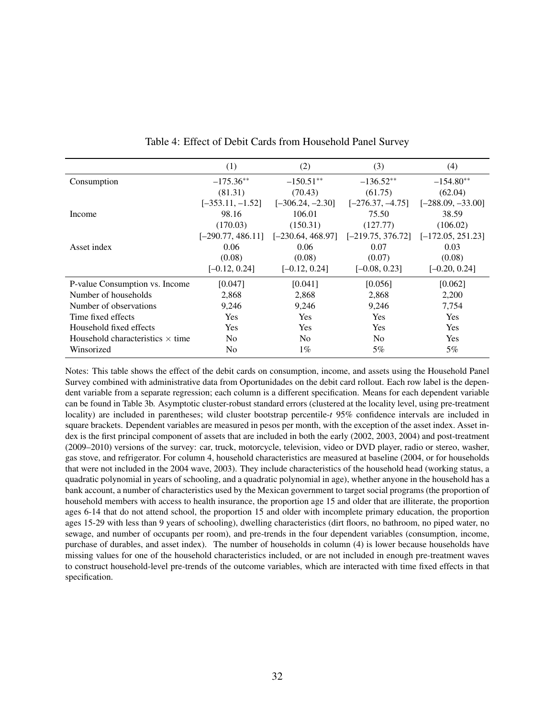<span id="page-33-0"></span>

|                                         | (1)                 | (2)                 | (3)                 | (4)                 |
|-----------------------------------------|---------------------|---------------------|---------------------|---------------------|
| Consumption                             | $-175.36**$         | $-150.51**$         | $-136.52**$         | $-154.80**$         |
|                                         | (81.31)             | (70.43)             | (61.75)             | (62.04)             |
|                                         | $[-353.11, -1.52]$  | $[-306.24, -2.30]$  | $[-276.37, -4.75]$  | $[-288.09, -33.00]$ |
| Income                                  | 98.16               | 106.01              | 75.50               | 38.59               |
|                                         | (170.03)            | (150.31)            | (127.77)            | (106.02)            |
|                                         | $[-290.77, 486.11]$ | $[-230.64, 468.97]$ | $[-219.75, 376.72]$ | $[-172.05, 251.23]$ |
| Asset index                             | 0.06                | 0.06                | 0.07                | 0.03                |
|                                         | (0.08)              | (0.08)              | (0.07)              | (0.08)              |
|                                         | $[-0.12, 0.24]$     | $[-0.12, 0.24]$     | $[-0.08, 0.23]$     | $[-0.20, 0.24]$     |
| P-value Consumption vs. Income          | [0.047]             | [0.041]             | [0.056]             | [0.062]             |
| Number of households                    | 2,868               | 2,868               | 2,868               | 2,200               |
| Number of observations                  | 9,246               | 9,246               | 9,246               | 7,754               |
| Time fixed effects                      | Yes                 | Yes                 | Yes                 | <b>Yes</b>          |
| Household fixed effects                 | <b>Yes</b>          | <b>Yes</b>          | <b>Yes</b>          | <b>Yes</b>          |
| Household characteristics $\times$ time | No                  | N <sub>0</sub>      | N <sub>0</sub>      | <b>Yes</b>          |
| Winsorized                              | No                  | $1\%$               | 5%                  | 5%                  |

|  | Table 4: Effect of Debit Cards from Household Panel Survey |
|--|------------------------------------------------------------|
|--|------------------------------------------------------------|

Notes: This table shows the effect of the debit cards on consumption, income, and assets using the Household Panel Survey combined with administrative data from Oportunidades on the debit card rollout. Each row label is the dependent variable from a separate regression; each column is a different specification. Means for each dependent variable can be found in Table [3b](#page-32-0). Asymptotic cluster-robust standard errors (clustered at the locality level, using pre-treatment locality) are included in parentheses; wild cluster bootstrap percentile-*t* 95% confidence intervals are included in square brackets. Dependent variables are measured in pesos per month, with the exception of the asset index. Asset index is the first principal component of assets that are included in both the early (2002, 2003, 2004) and post-treatment (2009–2010) versions of the survey: car, truck, motorcycle, television, video or DVD player, radio or stereo, washer, gas stove, and refrigerator. For column 4, household characteristics are measured at baseline (2004, or for households that were not included in the 2004 wave, 2003). They include characteristics of the household head (working status, a quadratic polynomial in years of schooling, and a quadratic polynomial in age), whether anyone in the household has a bank account, a number of characteristics used by the Mexican government to target social programs (the proportion of household members with access to health insurance, the proportion age 15 and older that are illiterate, the proportion ages 6-14 that do not attend school, the proportion 15 and older with incomplete primary education, the proportion ages 15-29 with less than 9 years of schooling), dwelling characteristics (dirt floors, no bathroom, no piped water, no sewage, and number of occupants per room), and pre-trends in the four dependent variables (consumption, income, purchase of durables, and asset index). The number of households in column (4) is lower because households have missing values for one of the household characteristics included, or are not included in enough pre-treatment waves to construct household-level pre-trends of the outcome variables, which are interacted with time fixed effects in that specification.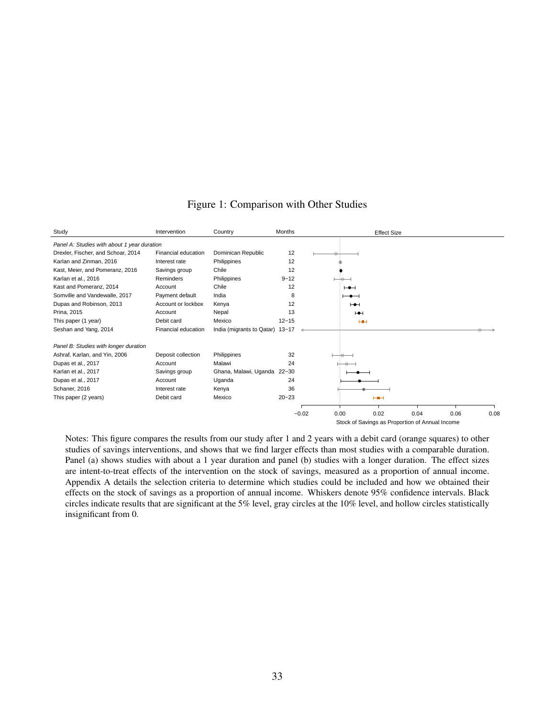<span id="page-34-0"></span>

| Study                                       | Intervention        | Country                         | <b>Months</b> | <b>Effect Size</b>                              |
|---------------------------------------------|---------------------|---------------------------------|---------------|-------------------------------------------------|
| Panel A: Studies with about 1 year duration |                     |                                 |               |                                                 |
| Drexler, Fischer, and Schoar, 2014          | Financial education | Dominican Republic              | 12            |                                                 |
| Karlan and Zinman, 2016                     | Interest rate       | Philippines                     | 12            |                                                 |
| Kast, Meier, and Pomeranz, 2016             | Savings group       | Chile                           | 12            |                                                 |
| Karlan et al., 2016                         | Reminders           | Philippines                     | $9 - 12$      |                                                 |
| Kast and Pomeranz, 2014                     | Account             | Chile                           | 12            | $\overline{\phantom{0}}$                        |
| Somville and Vandewalle, 2017               | Payment default     | India                           | 8             | $-\bullet$ $-$                                  |
| Dupas and Robinson, 2013                    | Account or lockbox  | Kenya                           | 12            | $\mapsto$                                       |
| Prina, 2015                                 | Account             | Nepal                           | 13            | ⊢⊕⊣                                             |
| This paper (1 year)                         | Debit card          | Mexico                          | $12 - 15$     | <b>HH</b>                                       |
| Seshan and Yang, 2014                       | Financial education | India (migrants to Qatar) 13-17 |               |                                                 |
| Panel B: Studies with longer duration       |                     |                                 |               |                                                 |
| Ashraf, Karlan, and Yin, 2006               | Deposit collection  | Philippines                     | 32            |                                                 |
| Dupas et al., 2017                          | Account             | Malawi                          | 24            |                                                 |
| Karlan et al., 2017                         | Savings group       | Ghana, Malawi, Uganda 22-30     |               |                                                 |
| Dupas et al., 2017                          | Account             | Uganda                          | 24            |                                                 |
| Schaner, 2016                               | Interest rate       | Kenya                           | 36            |                                                 |
| This paper (2 years)                        | Debit card          | Mexico                          | $20 - 23$     | $H + H$                                         |
|                                             |                     |                                 |               | 0.02<br>0.04<br>$-0.02$<br>0.00<br>0.06<br>0.08 |
|                                             |                     |                                 |               | Stock of Savings as Proportion of Annual Income |

# Figure 1: Comparison with Other Studies

Notes: This figure compares the results from our study after 1 and 2 years with a debit card (orange squares) to other studies of savings interventions, and shows that we find larger effects than most studies with a comparable duration. Panel (a) shows studies with about a 1 year duration and panel (b) studies with a longer duration. The effect sizes are intent-to-treat effects of the intervention on the stock of savings, measured as a proportion of annual income. Appendix [A](#page-42-0) details the selection criteria to determine which studies could be included and how we obtained their effects on the stock of savings as a proportion of annual income. Whiskers denote 95% confidence intervals. Black circles indicate results that are significant at the 5% level, gray circles at the 10% level, and hollow circles statistically insignificant from 0.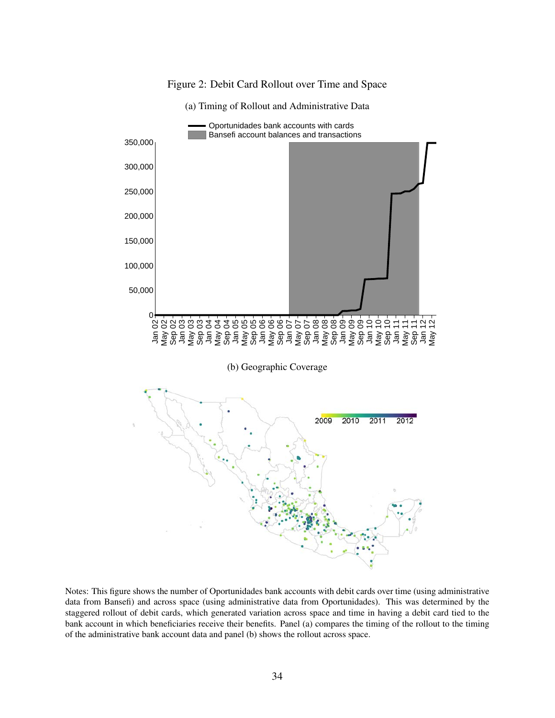<span id="page-35-0"></span>

Figure 2: Debit Card Rollout over Time and Space

Notes: This figure shows the number of Oportunidades bank accounts with debit cards over time (using administrative data from Bansefi) and across space (using administrative data from Oportunidades). This was determined by the staggered rollout of debit cards, which generated variation across space and time in having a debit card tied to the bank account in which beneficiaries receive their benefits. Panel (a) compares the timing of the rollout to the timing of the administrative bank account data and panel (b) shows the rollout across space.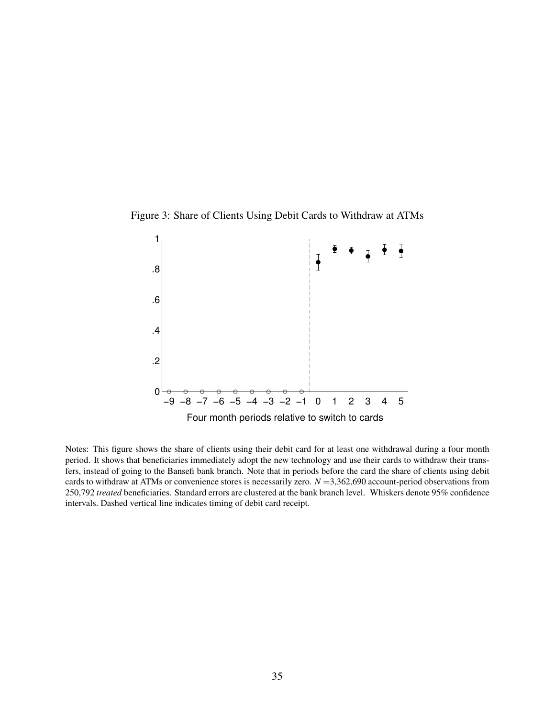<span id="page-36-0"></span>



Notes: This figure shows the share of clients using their debit card for at least one withdrawal during a four month period. It shows that beneficiaries immediately adopt the new technology and use their cards to withdraw their transfers, instead of going to the Bansefi bank branch. Note that in periods before the card the share of clients using debit cards to withdraw at ATMs or convenience stores is necessarily zero. *N* =3,362,690 account-period observations from 250,792 *treated* beneficiaries. Standard errors are clustered at the bank branch level. Whiskers denote 95% confidence intervals. Dashed vertical line indicates timing of debit card receipt.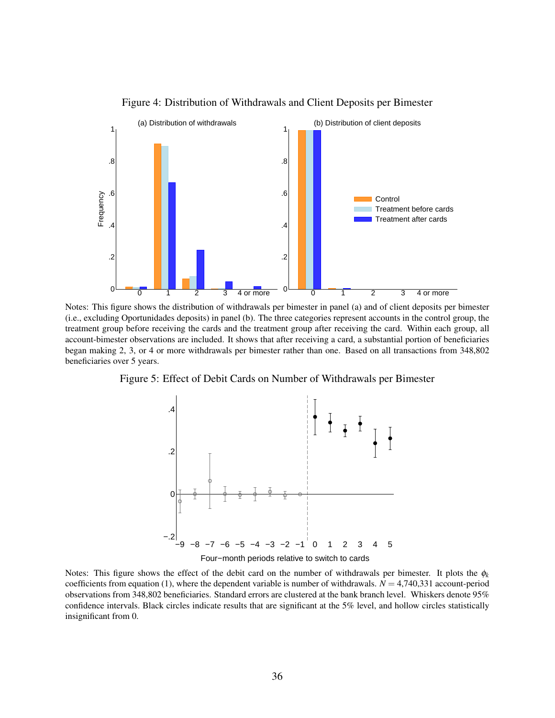<span id="page-37-0"></span>

Figure 4: Distribution of Withdrawals and Client Deposits per Bimester

Notes: This figure shows the distribution of withdrawals per bimester in panel (a) and of client deposits per bimester (i.e., excluding Oportunidades deposits) in panel (b). The three categories represent accounts in the control group, the treatment group before receiving the cards and the treatment group after receiving the card. Within each group, all account-bimester observations are included. It shows that after receiving a card, a substantial portion of beneficiaries began making 2, 3, or 4 or more withdrawals per bimester rather than one. Based on all transactions from 348,802 beneficiaries over 5 years.

Figure 5: Effect of Debit Cards on Number of Withdrawals per Bimester



Four−month periods relative to switch to cards

Notes: This figure shows the effect of the debit card on the number of withdrawals per bimester. It plots the  $\phi_k$ coefficients from equation [\(1\)](#page-11-2), where the dependent variable is number of withdrawals.  $N = 4,740,331$  account-period observations from 348,802 beneficiaries. Standard errors are clustered at the bank branch level. Whiskers denote 95% confidence intervals. Black circles indicate results that are significant at the 5% level, and hollow circles statistically insignificant from 0.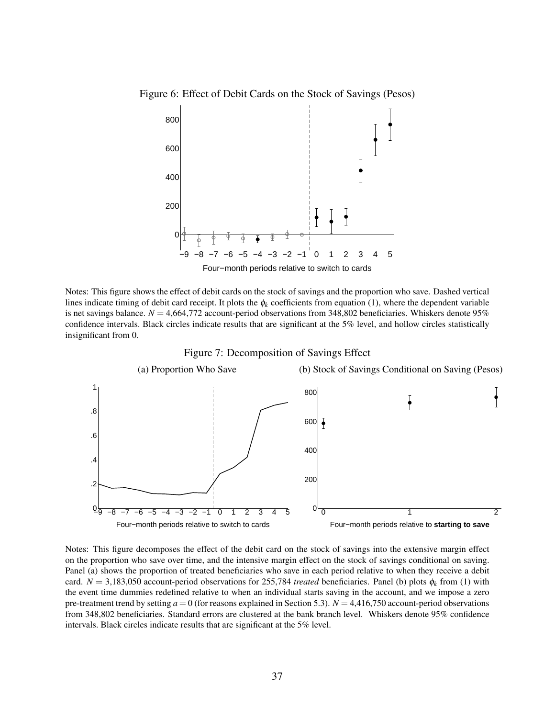<span id="page-38-0"></span>Figure 6: Effect of Debit Cards on the Stock of Savings (Pesos)



Notes: This figure shows the effect of debit cards on the stock of savings and the proportion who save. Dashed vertical lines indicate timing of debit card receipt. It plots the  $\phi_k$  coefficients from equation [\(1\)](#page-11-2), where the dependent variable is net savings balance.  $N = 4,664,772$  account-period observations from 348,802 beneficiaries. Whiskers denote 95% confidence intervals. Black circles indicate results that are significant at the 5% level, and hollow circles statistically insignificant from 0.



Notes: This figure decomposes the effect of the debit card on the stock of savings into the extensive margin effect on the proportion who save over time, and the intensive margin effect on the stock of savings conditional on saving. Panel (a) shows the proportion of treated beneficiaries who save in each period relative to when they receive a debit card.  $N = 3,183,050$  account-period observations for 255,784 *treated* beneficiaries. Panel (b) plots  $\phi_k$  from [\(1\)](#page-11-2) with the event time dummies redefined relative to when an individual starts saving in the account, and we impose a zero pre-treatment trend by setting  $a = 0$  (for reasons explained in Section [5.3\)](#page-15-0).  $N = 4,416,750$  account-period observations from 348,802 beneficiaries. Standard errors are clustered at the bank branch level. Whiskers denote 95% confidence intervals. Black circles indicate results that are significant at the 5% level.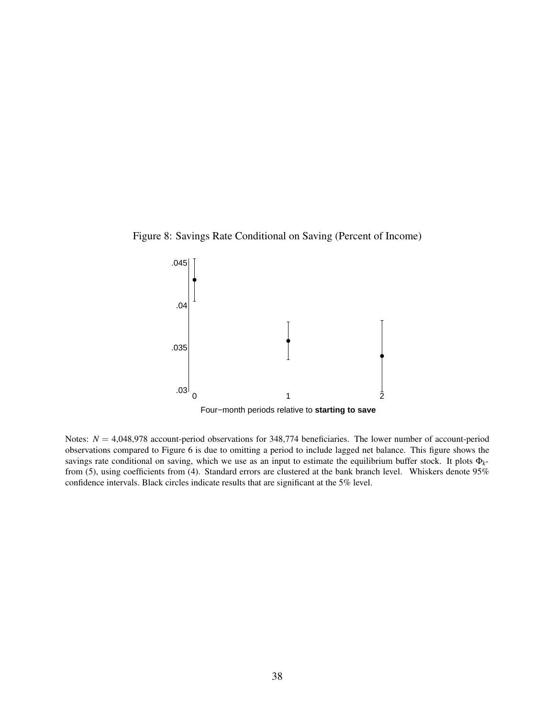<span id="page-39-0"></span>



Notes:  $N = 4,048,978$  account-period observations for 348,774 beneficiaries. The lower number of account-period observations compared to Figure [6](#page-38-0) is due to omitting a period to include lagged net balance. This figure shows the savings rate conditional on saving, which we use as an input to estimate the equilibrium buffer stock. It plots Φ*<sup>k</sup>* ∗ from [\(5\)](#page-16-1), using coefficients from [\(4\)](#page-16-2). Standard errors are clustered at the bank branch level. Whiskers denote 95% confidence intervals. Black circles indicate results that are significant at the 5% level.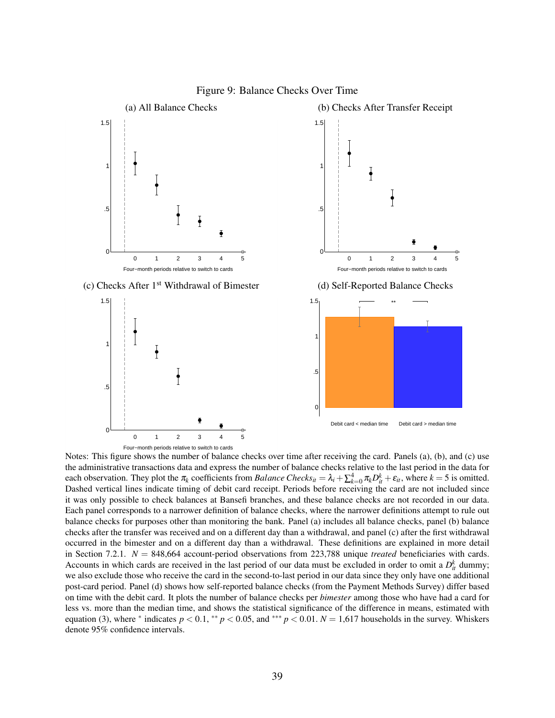<span id="page-40-0"></span>

Notes: This figure shows the number of balance checks over time after receiving the card. Panels (a), (b), and (c) use the administrative transactions data and express the number of balance checks relative to the last period in the data for each observation. They plot the  $\pi_k$  coefficients from *Balance Checks*<sub>*it*</sub> =  $\lambda_i + \sum_{k=0}^4 \pi_k D_{it}^k + \varepsilon_{it}$ , where  $k = 5$  is omitted. Dashed vertical lines indicate timing of debit card receipt. Periods before receiving the card are not included since it was only possible to check balances at Bansefi branches, and these balance checks are not recorded in our data. Each panel corresponds to a narrower definition of balance checks, where the narrower definitions attempt to rule out balance checks for purposes other than monitoring the bank. Panel (a) includes all balance checks, panel (b) balance checks after the transfer was received and on a different day than a withdrawal, and panel (c) after the first withdrawal occurred in the bimester and on a different day than a withdrawal. These definitions are explained in more detail in Section [7.2.1.](#page-21-1) *N* = 848,664 account-period observations from 223,788 unique *treated* beneficiaries with cards. Accounts in which cards are received in the last period of our data must be excluded in order to omit a  $D_{it}^k$  dummy; we also exclude those who receive the card in the second-to-last period in our data since they only have one additional post-card period. Panel (d) shows how self-reported balance checks (from the Payment Methods Survey) differ based on time with the debit card. It plots the number of balance checks per *bimester* among those who have had a card for less vs. more than the median time, and shows the statistical significance of the difference in means, estimated with equation [\(3\)](#page-12-1), where  $*$  indicates  $p < 0.1$ ,  $*$ <sup>\*</sup>  $p < 0.05$ , and  $*$ <sup>\*\*</sup>  $p < 0.01$ .  $N = 1,617$  households in the survey. Whiskers

#### Figure 9: Balance Checks Over Time

denote 95% confidence intervals.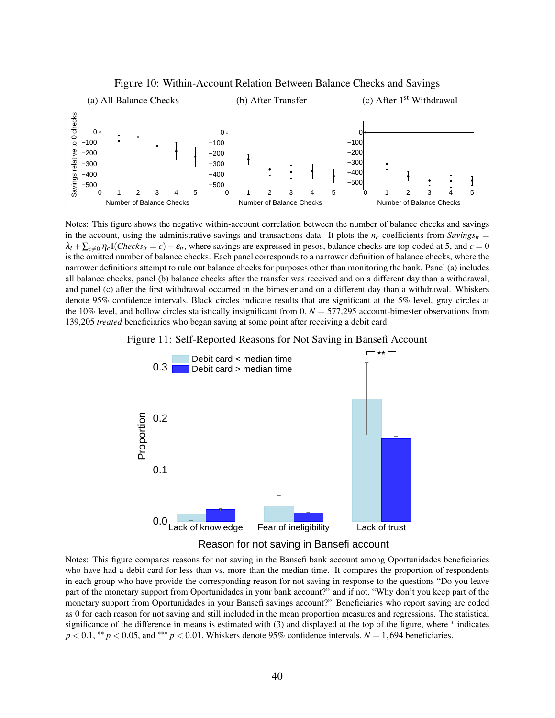<span id="page-41-0"></span>

Figure 10: Within-Account Relation Between Balance Checks and Savings

Notes: This figure shows the negative within-account correlation between the number of balance checks and savings in the account, using the administrative savings and transactions data. It plots the  $n_c$  coefficients from  $Savings_{it}$  =  $\lambda_i + \sum_{c \neq 0} \eta_c \mathbb{I}(Checks_{it} = c) + \varepsilon_i$ , where savings are expressed in pesos, balance checks are top-coded at 5, and  $c = 0$ is the omitted number of balance checks. Each panel corresponds to a narrower definition of balance checks, where the narrower definitions attempt to rule out balance checks for purposes other than monitoring the bank. Panel (a) includes all balance checks, panel (b) balance checks after the transfer was received and on a different day than a withdrawal, and panel (c) after the first withdrawal occurred in the bimester and on a different day than a withdrawal. Whiskers denote 95% confidence intervals. Black circles indicate results that are significant at the 5% level, gray circles at the 10% level, and hollow circles statistically insignificant from 0.  $N = 577,295$  account-bimester observations from 139,205 *treated* beneficiaries who began saving at some point after receiving a debit card.





Notes: This figure compares reasons for not saving in the Bansefi bank account among Oportunidades beneficiaries who have had a debit card for less than vs. more than the median time. It compares the proportion of respondents in each group who have provide the corresponding reason for not saving in response to the questions "Do you leave part of the monetary support from Oportunidades in your bank account?" and if not, "Why don't you keep part of the monetary support from Oportunidades in your Bansefi savings account?" Beneficiaries who report saving are coded as 0 for each reason for not saving and still included in the mean proportion measures and regressions. The statistical significance of the difference in means is estimated with [\(3\)](#page-12-1) and displayed at the top of the figure, where <sup>∗</sup> indicates  $p < 0.1$ ,  $* p < 0.05$ , and  $* * p < 0.01$ . Whiskers denote 95% confidence intervals.  $N = 1,694$  beneficiaries.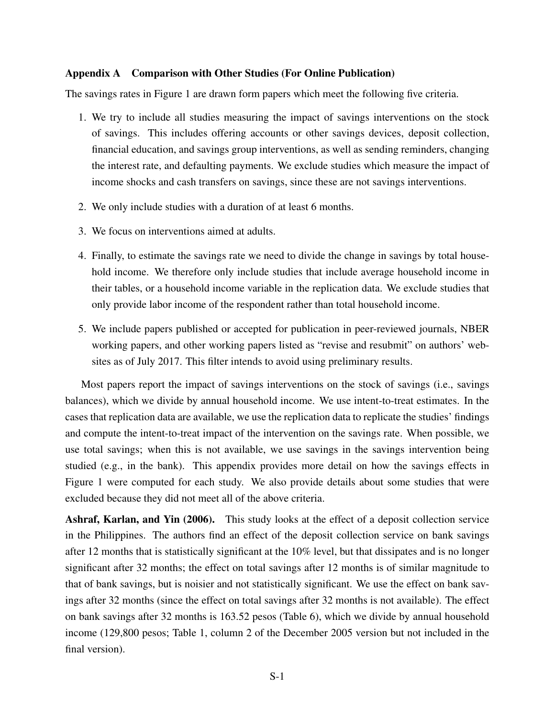## <span id="page-42-0"></span>Appendix A Comparison with Other Studies (For Online Publication)

The savings rates in Figure [1](#page-34-0) are drawn form papers which meet the following five criteria.

- 1. We try to include all studies measuring the impact of savings interventions on the stock of savings. This includes offering accounts or other savings devices, deposit collection, financial education, and savings group interventions, as well as sending reminders, changing the interest rate, and defaulting payments. We exclude studies which measure the impact of income shocks and cash transfers on savings, since these are not savings interventions.
- 2. We only include studies with a duration of at least 6 months.
- 3. We focus on interventions aimed at adults.
- 4. Finally, to estimate the savings rate we need to divide the change in savings by total household income. We therefore only include studies that include average household income in their tables, or a household income variable in the replication data. We exclude studies that only provide labor income of the respondent rather than total household income.
- 5. We include papers published or accepted for publication in peer-reviewed journals, NBER working papers, and other working papers listed as "revise and resubmit" on authors' websites as of July 2017. This filter intends to avoid using preliminary results.

Most papers report the impact of savings interventions on the stock of savings (i.e., savings balances), which we divide by annual household income. We use intent-to-treat estimates. In the cases that replication data are available, we use the replication data to replicate the studies' findings and compute the intent-to-treat impact of the intervention on the savings rate. When possible, we use total savings; when this is not available, we use savings in the savings intervention being studied (e.g., in the bank). This appendix provides more detail on how the savings effects in Figure [1](#page-34-0) were computed for each study. We also provide details about some studies that were excluded because they did not meet all of the above criteria.

[Ashraf, Karlan, and Yin](#page-60-0) [\(2006\)](#page-60-0). This study looks at the effect of a deposit collection service in the Philippines. The authors find an effect of the deposit collection service on bank savings after 12 months that is statistically significant at the 10% level, but that dissipates and is no longer significant after 32 months; the effect on total savings after 12 months is of similar magnitude to that of bank savings, but is noisier and not statistically significant. We use the effect on bank savings after 32 months (since the effect on total savings after 32 months is not available). The effect on bank savings after 32 months is 163.52 pesos (Table 6), which we divide by annual household income (129,800 pesos; Table 1, column 2 of the December 2005 version but not included in the final version).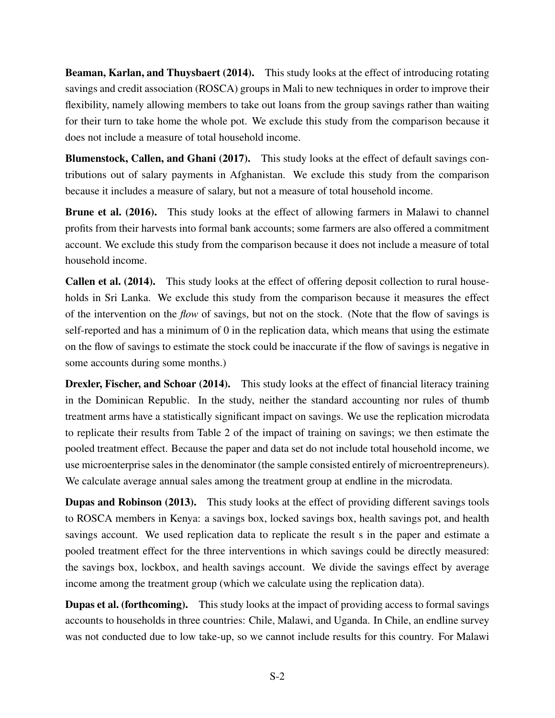[Beaman, Karlan, and Thuysbaert](#page-60-1) [\(2014\)](#page-60-1). This study looks at the effect of introducing rotating savings and credit association (ROSCA) groups in Mali to new techniques in order to improve their flexibility, namely allowing members to take out loans from the group savings rather than waiting for their turn to take home the whole pot. We exclude this study from the comparison because it does not include a measure of total household income.

[Blumenstock, Callen, and Ghani](#page-60-2) [\(2017\)](#page-60-2). This study looks at the effect of default savings contributions out of salary payments in Afghanistan. We exclude this study from the comparison because it includes a measure of salary, but not a measure of total household income.

[Brune et al.](#page-27-8) [\(2016\)](#page-27-8). This study looks at the effect of allowing farmers in Malawi to channel profits from their harvests into formal bank accounts; some farmers are also offered a commitment account. We exclude this study from the comparison because it does not include a measure of total household income.

[Callen et al.](#page-27-9) [\(2014\)](#page-27-9). This study looks at the effect of offering deposit collection to rural households in Sri Lanka. We exclude this study from the comparison because it measures the effect of the intervention on the *flow* of savings, but not on the stock. (Note that the flow of savings is self-reported and has a minimum of 0 in the replication data, which means that using the estimate on the flow of savings to estimate the stock could be inaccurate if the flow of savings is negative in some accounts during some months.)

[Drexler, Fischer, and Schoar](#page-60-3) [\(2014\)](#page-60-3). This study looks at the effect of financial literacy training in the Dominican Republic. In the study, neither the standard accounting nor rules of thumb treatment arms have a statistically significant impact on savings. We use the replication microdata to replicate their results from Table 2 of the impact of training on savings; we then estimate the pooled treatment effect. Because the paper and data set do not include total household income, we use microenterprise sales in the denominator (the sample consisted entirely of microentrepreneurs). We calculate average annual sales among the treatment group at endline in the microdata.

[Dupas and Robinson](#page-60-4) [\(2013\)](#page-60-4). This study looks at the effect of providing different savings tools to ROSCA members in Kenya: a savings box, locked savings box, health savings pot, and health savings account. We used replication data to replicate the result s in the paper and estimate a pooled treatment effect for the three interventions in which savings could be directly measured: the savings box, lockbox, and health savings account. We divide the savings effect by average income among the treatment group (which we calculate using the replication data).

[Dupas et al.](#page-27-2) [\(forthcoming\)](#page-27-2). This study looks at the impact of providing access to formal savings accounts to households in three countries: Chile, Malawi, and Uganda. In Chile, an endline survey was not conducted due to low take-up, so we cannot include results for this country. For Malawi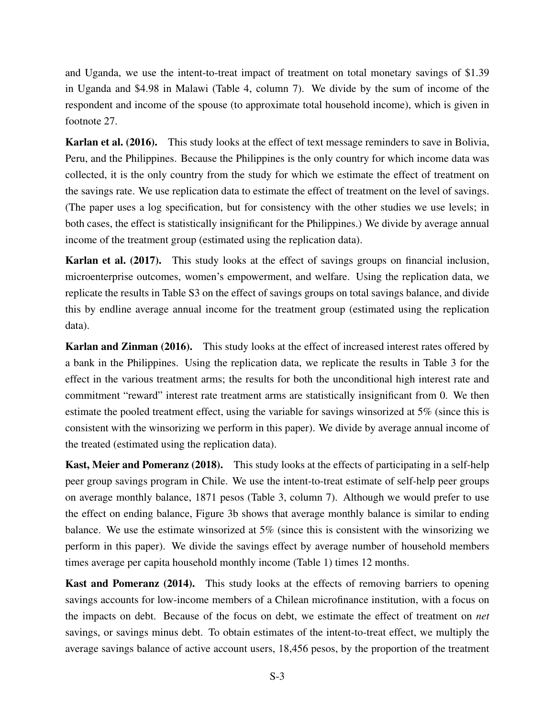and Uganda, we use the intent-to-treat impact of treatment on total monetary savings of \$1.39 in Uganda and \$4.98 in Malawi (Table 4, column 7). We divide by the sum of income of the respondent and income of the spouse (to approximate total household income), which is given in footnote 27.

[Karlan et al.](#page-60-5) [\(2016\)](#page-60-5). This study looks at the effect of text message reminders to save in Bolivia, Peru, and the Philippines. Because the Philippines is the only country for which income data was collected, it is the only country from the study for which we estimate the effect of treatment on the savings rate. We use replication data to estimate the effect of treatment on the level of savings. (The paper uses a log specification, but for consistency with the other studies we use levels; in both cases, the effect is statistically insignificant for the Philippines.) We divide by average annual income of the treatment group (estimated using the replication data).

[Karlan et al.](#page-60-6) [\(2017\)](#page-60-6). This study looks at the effect of savings groups on financial inclusion, microenterprise outcomes, women's empowerment, and welfare. Using the replication data, we replicate the results in Table S3 on the effect of savings groups on total savings balance, and divide this by endline average annual income for the treatment group (estimated using the replication data).

[Karlan and Zinman](#page-60-7) [\(2016\)](#page-60-7). This study looks at the effect of increased interest rates offered by a bank in the Philippines. Using the replication data, we replicate the results in Table 3 for the effect in the various treatment arms; the results for both the unconditional high interest rate and commitment "reward" interest rate treatment arms are statistically insignificant from 0. We then estimate the pooled treatment effect, using the variable for savings winsorized at 5% (since this is consistent with the winsorizing we perform in this paper). We divide by average annual income of the treated (estimated using the replication data).

[Kast, Meier and Pomeranz](#page-28-10) [\(2018\)](#page-28-10). This study looks at the effects of participating in a self-help peer group savings program in Chile. We use the intent-to-treat estimate of self-help peer groups on average monthly balance, 1871 pesos (Table 3, column 7). Although we would prefer to use the effect on ending balance, Figure 3b shows that average monthly balance is similar to ending balance. We use the estimate winsorized at 5% (since this is consistent with the winsorizing we perform in this paper). We divide the savings effect by average number of household members times average per capita household monthly income (Table 1) times 12 months.

[Kast and Pomeranz](#page-28-4) [\(2014\)](#page-28-4). This study looks at the effects of removing barriers to opening savings accounts for low-income members of a Chilean microfinance institution, with a focus on the impacts on debt. Because of the focus on debt, we estimate the effect of treatment on *net* savings, or savings minus debt. To obtain estimates of the intent-to-treat effect, we multiply the average savings balance of active account users, 18,456 pesos, by the proportion of the treatment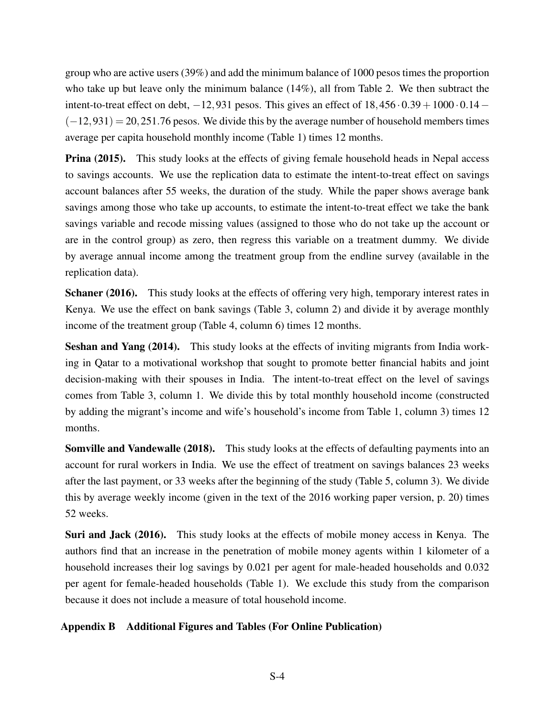group who are active users (39%) and add the minimum balance of 1000 pesos times the proportion who take up but leave only the minimum balance (14%), all from Table 2. We then subtract the intent-to-treat effect on debt,  $-12,931$  pesos. This gives an effect of  $18,456 \cdot 0.39 + 1000 \cdot 0.14 (-12,931) = 20,251.76$  pesos. We divide this by the average number of household members times average per capita household monthly income (Table 1) times 12 months.

**[Prina](#page-28-5) [\(2015\)](#page-28-5).** This study looks at the effects of giving female household heads in Nepal access to savings accounts. We use the replication data to estimate the intent-to-treat effect on savings account balances after 55 weeks, the duration of the study. While the paper shows average bank savings among those who take up accounts, to estimate the intent-to-treat effect we take the bank savings variable and recode missing values (assigned to those who do not take up the account or are in the control group) as zero, then regress this variable on a treatment dummy. We divide by average annual income among the treatment group from the endline survey (available in the replication data).

[Schaner](#page-61-0) [\(2016\)](#page-61-0). This study looks at the effects of offering very high, temporary interest rates in Kenya. We use the effect on bank savings (Table 3, column 2) and divide it by average monthly income of the treatment group (Table 4, column 6) times 12 months.

[Seshan and Yang](#page-61-1) [\(2014\)](#page-61-1). This study looks at the effects of inviting migrants from India working in Qatar to a motivational workshop that sought to promote better financial habits and joint decision-making with their spouses in India. The intent-to-treat effect on the level of savings comes from Table 3, column 1. We divide this by total monthly household income (constructed by adding the migrant's income and wife's household's income from Table 1, column 3) times 12 months.

[Somville and Vandewalle](#page-28-11) [\(2018\)](#page-28-11). This study looks at the effects of defaulting payments into an account for rural workers in India. We use the effect of treatment on savings balances 23 weeks after the last payment, or 33 weeks after the beginning of the study (Table 5, column 3). We divide this by average weekly income (given in the text of the 2016 working paper version, p. 20) times 52 weeks.

[Suri and Jack](#page-28-9) [\(2016\)](#page-28-9). This study looks at the effects of mobile money access in Kenya. The authors find that an increase in the penetration of mobile money agents within 1 kilometer of a household increases their log savings by 0.021 per agent for male-headed households and 0.032 per agent for female-headed households (Table 1). We exclude this study from the comparison because it does not include a measure of total household income.

## Appendix B Additional Figures and Tables (For Online Publication)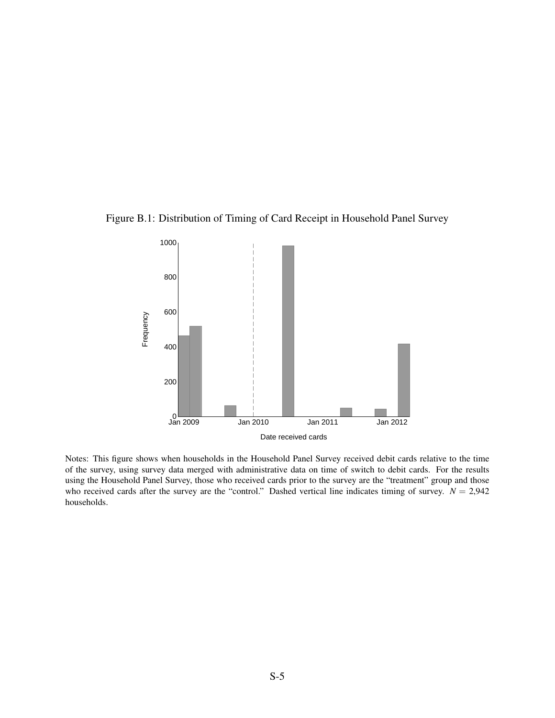<span id="page-46-0"></span>



Notes: This figure shows when households in the Household Panel Survey received debit cards relative to the time of the survey, using survey data merged with administrative data on time of switch to debit cards. For the results using the Household Panel Survey, those who received cards prior to the survey are the "treatment" group and those who received cards after the survey are the "control." Dashed vertical line indicates timing of survey.  $N = 2,942$ households.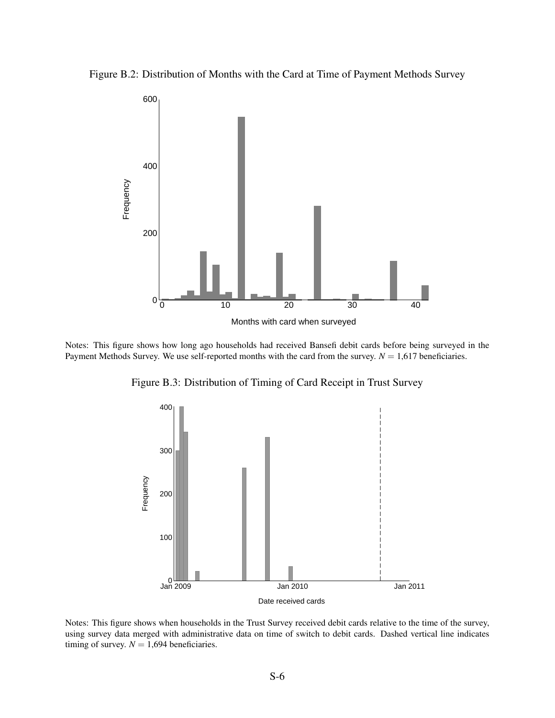Figure B.2: Distribution of Months with the Card at Time of Payment Methods Survey



<span id="page-47-0"></span>Notes: This figure shows how long ago households had received Bansefi debit cards before being surveyed in the Payment Methods Survey. We use self-reported months with the card from the survey.  $N = 1,617$  beneficiaries.

Figure B.3: Distribution of Timing of Card Receipt in Trust Survey



Notes: This figure shows when households in the Trust Survey received debit cards relative to the time of the survey, using survey data merged with administrative data on time of switch to debit cards. Dashed vertical line indicates timing of survey.  $N = 1,694$  beneficiaries.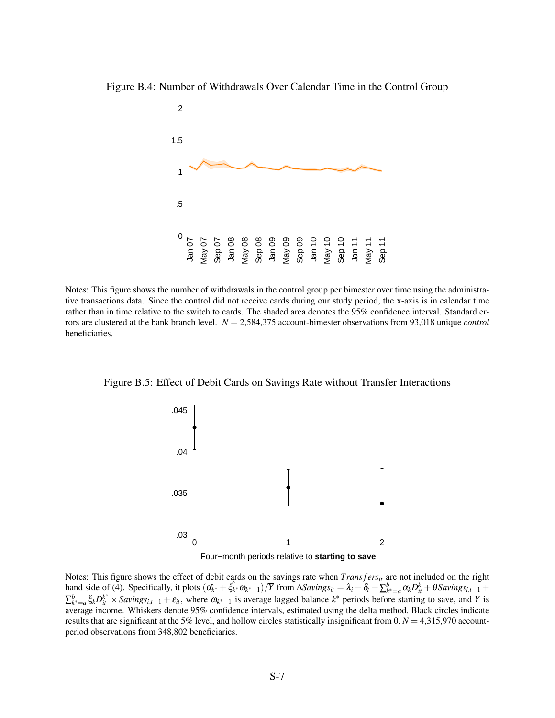<span id="page-48-0"></span>Figure B.4: Number of Withdrawals Over Calendar Time in the Control Group



Notes: This figure shows the number of withdrawals in the control group per bimester over time using the administrative transactions data. Since the control did not receive cards during our study period, the x-axis is in calendar time rather than in time relative to the switch to cards. The shaded area denotes the 95% confidence interval. Standard errors are clustered at the bank branch level. *N* = 2,584,375 account-bimester observations from 93,018 unique *control* beneficiaries.

<span id="page-48-1"></span>Figure B.5: Effect of Debit Cards on Savings Rate without Transfer Interactions



Four−month periods relative to **starting to save**

Notes: This figure shows the effect of debit cards on the savings rate when  $Transfers_{it}$  are not included on the right hand side of [\(4\)](#page-16-2). Specifically, it plots  $(\hat{\alpha_{k^*}} + \hat{\xi_{k^*}} \omega_{k^*-1})/\overline{Y}$  from  $\Delta \hat{S} \hat{\alpha}$   $\hat{\delta_{l^*}} = \lambda_i + \delta_t + \sum_{k^* = a}^b \alpha_k D_{it}^k + \theta \hat{S} \hat{\alpha} \hat{\alpha} \hat{\delta_{l^*}}$  $\sum_{k^*=a}^{b} \xi_k D_{it}^{k^*} \times Savings_{i,t-1} + \varepsilon_{it}$ , where  $\omega_{k^*-1}$  is average lagged balance  $k^*$  periods before starting to save, and  $\overline{Y}$  is average income. Whiskers denote 95% confidence intervals, estimated using the delta method. Black circles indicate results that are significant at the 5% level, and hollow circles statistically insignificant from  $0. N = 4,315,970$  accountperiod observations from 348,802 beneficiaries.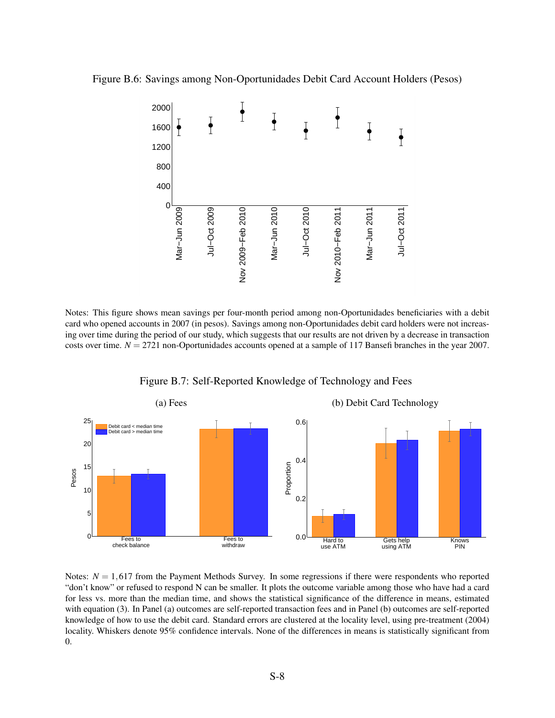<span id="page-49-0"></span>Figure B.6: Savings among Non-Oportunidades Debit Card Account Holders (Pesos)



Notes: This figure shows mean savings per four-month period among non-Oportunidades beneficiaries with a debit card who opened accounts in 2007 (in pesos). Savings among non-Oportunidades debit card holders were not increasing over time during the period of our study, which suggests that our results are not driven by a decrease in transaction costs over time. *N* = 2721 non-Oportunidades accounts opened at a sample of 117 Bansefi branches in the year 2007.

<span id="page-49-1"></span>

Figure B.7: Self-Reported Knowledge of Technology and Fees

Notes:  $N = 1,617$  from the Payment Methods Survey. In some regressions if there were respondents who reported "don't know" or refused to respond N can be smaller. It plots the outcome variable among those who have had a card for less vs. more than the median time, and shows the statistical significance of the difference in means, estimated with equation [\(3\)](#page-12-1). In Panel (a) outcomes are self-reported transaction fees and in Panel (b) outcomes are self-reported knowledge of how to use the debit card. Standard errors are clustered at the locality level, using pre-treatment (2004) locality. Whiskers denote 95% confidence intervals. None of the differences in means is statistically significant from 0.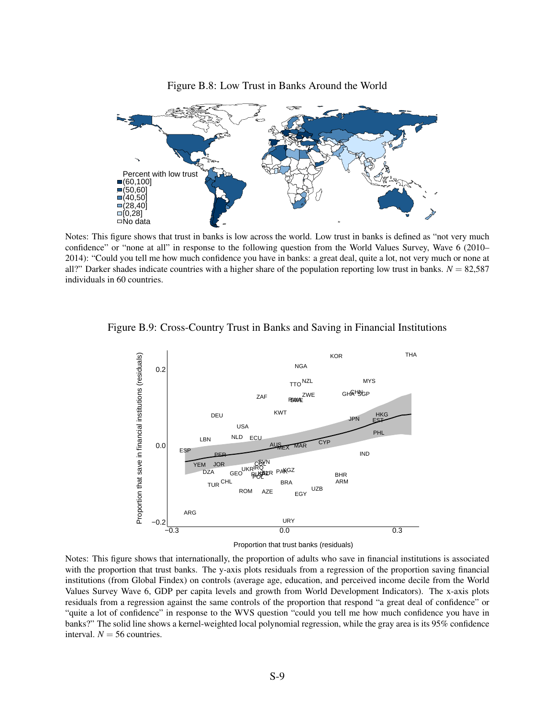<span id="page-50-0"></span>

Figure B.8: Low Trust in Banks Around the World

Notes: This figure shows that trust in banks is low across the world. Low trust in banks is defined as "not very much confidence" or "none at all" in response to the following question from the World Values Survey, Wave 6 (2010– 2014): "Could you tell me how much confidence you have in banks: a great deal, quite a lot, not very much or none at all?" Darker shades indicate countries with a higher share of the population reporting low trust in banks.  $N = 82,587$ individuals in 60 countries.



<span id="page-50-1"></span>Figure B.9: Cross-Country Trust in Banks and Saving in Financial Institutions

Proportion that trust banks (residuals)

Notes: This figure shows that internationally, the proportion of adults who save in financial institutions is associated with the proportion that trust banks. The y-axis plots residuals from a regression of the proportion saving financial institutions (from Global Findex) on controls (average age, education, and perceived income decile from the World Values Survey Wave 6, GDP per capita levels and growth from World Development Indicators). The x-axis plots residuals from a regression against the same controls of the proportion that respond "a great deal of confidence" or "quite a lot of confidence" in response to the WVS question "could you tell me how much confidence you have in banks?" The solid line shows a kernel-weighted local polynomial regression, while the gray area is its 95% confidence interval.  $N = 56$  countries.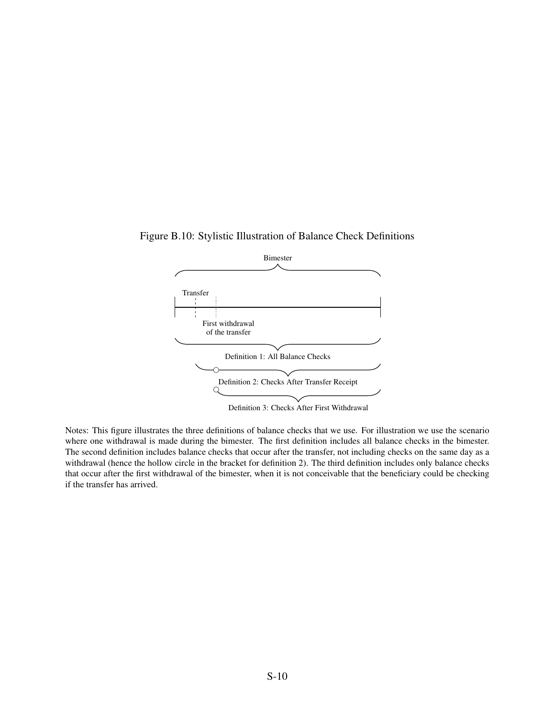<span id="page-51-0"></span>



Notes: This figure illustrates the three definitions of balance checks that we use. For illustration we use the scenario where one withdrawal is made during the bimester. The first definition includes all balance checks in the bimester. The second definition includes balance checks that occur after the transfer, not including checks on the same day as a withdrawal (hence the hollow circle in the bracket for definition 2). The third definition includes only balance checks that occur after the first withdrawal of the bimester, when it is not conceivable that the beneficiary could be checking if the transfer has arrived.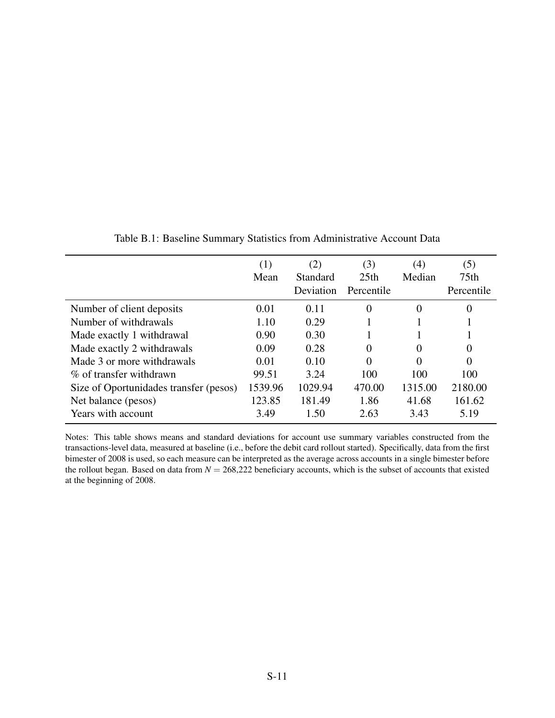<span id="page-52-0"></span>

|                                        | (1)<br>Mean | (2)<br>Standard<br>Deviation | (3)<br>25 <sub>th</sub><br>Percentile | (4)<br>Median | (5)<br>75 <sub>th</sub><br>Percentile |
|----------------------------------------|-------------|------------------------------|---------------------------------------|---------------|---------------------------------------|
| Number of client deposits              | 0.01        | 0.11                         | $\theta$                              | 0             | $\theta$                              |
| Number of withdrawals                  | 1.10        | 0.29                         |                                       |               |                                       |
| Made exactly 1 withdrawal              | 0.90        | 0.30                         |                                       |               |                                       |
| Made exactly 2 withdrawals             | 0.09        | 0.28                         | $\Omega$                              | $\Omega$      | $\Omega$                              |
| Made 3 or more withdrawals             | 0.01        | 0.10                         | $\Omega$                              |               | $\Omega$                              |
| % of transfer withdrawn                | 99.51       | 3.24                         | 100                                   | 100           | 100                                   |
| Size of Oportunidades transfer (pesos) | 1539.96     | 1029.94                      | 470.00                                | 1315.00       | 2180.00                               |
| Net balance (pesos)                    | 123.85      | 181.49                       | 1.86                                  | 41.68         | 161.62                                |
| Years with account                     | 3.49        | 1.50                         | 2.63                                  | 3.43          | 5.19                                  |

Table B.1: Baseline Summary Statistics from Administrative Account Data

Notes: This table shows means and standard deviations for account use summary variables constructed from the transactions-level data, measured at baseline (i.e., before the debit card rollout started). Specifically, data from the first bimester of 2008 is used, so each measure can be interpreted as the average across accounts in a single bimester before the rollout began. Based on data from  $N = 268,222$  beneficiary accounts, which is the subset of accounts that existed at the beginning of 2008.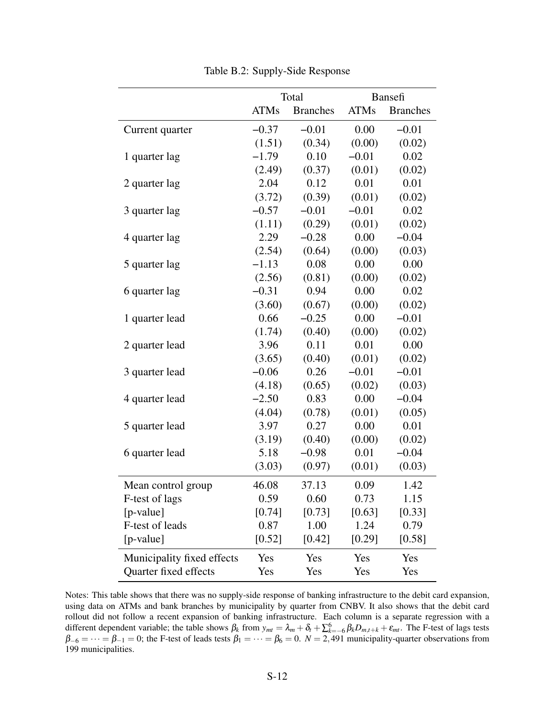<span id="page-53-0"></span>

|                            | Total       |                 |             | Bansefi         |
|----------------------------|-------------|-----------------|-------------|-----------------|
|                            | <b>ATMs</b> | <b>Branches</b> | <b>ATMs</b> | <b>Branches</b> |
| Current quarter            | $-0.37$     | $-0.01$         | 0.00        | $-0.01$         |
|                            | (1.51)      | (0.34)          | (0.00)      | (0.02)          |
| 1 quarter lag              | $-1.79$     | 0.10            | $-0.01$     | 0.02            |
|                            | (2.49)      | (0.37)          | (0.01)      | (0.02)          |
| 2 quarter lag              | 2.04        | 0.12            | 0.01        | 0.01            |
|                            | (3.72)      | (0.39)          | (0.01)      | (0.02)          |
| 3 quarter lag              | $-0.57$     | $-0.01$         | $-0.01$     | 0.02            |
|                            | (1.11)      | (0.29)          | (0.01)      | (0.02)          |
| 4 quarter lag              | 2.29        | $-0.28$         | 0.00        | $-0.04$         |
|                            | (2.54)      | (0.64)          | (0.00)      | (0.03)          |
| 5 quarter lag              | $-1.13$     | 0.08            | 0.00        | 0.00            |
|                            | (2.56)      | (0.81)          | (0.00)      | (0.02)          |
| 6 quarter lag              | $-0.31$     | 0.94            | 0.00        | 0.02            |
|                            | (3.60)      | (0.67)          | (0.00)      | (0.02)          |
| 1 quarter lead             | 0.66        | $-0.25$         | 0.00        | $-0.01$         |
|                            | (1.74)      | (0.40)          | (0.00)      | (0.02)          |
| 2 quarter lead             | 3.96        | 0.11            | 0.01        | 0.00            |
|                            | (3.65)      | (0.40)          | (0.01)      | (0.02)          |
| 3 quarter lead             | $-0.06$     | 0.26            | $-0.01$     | $-0.01$         |
|                            | (4.18)      | (0.65)          | (0.02)      | (0.03)          |
| 4 quarter lead             | $-2.50$     | 0.83            | 0.00        | $-0.04$         |
|                            | (4.04)      | (0.78)          | (0.01)      | (0.05)          |
| 5 quarter lead             | 3.97        | 0.27            | 0.00        | 0.01            |
|                            | (3.19)      | (0.40)          | (0.00)      | (0.02)          |
| 6 quarter lead             | 5.18        | $-0.98$         | 0.01        | $-0.04$         |
|                            | (3.03)      | (0.97)          | (0.01)      | (0.03)          |
| Mean control group         | 46.08       | 37.13           | 0.09        | 1.42            |
| F-test of lags             | 0.59        | 0.60            | 0.73        | 1.15            |
| $[p-value]$                | [0.74]      | [0.73]          | [0.63]      | $[0.33]$        |
| F-test of leads            | 0.87        | 1.00            | 1.24        | 0.79            |
| [p-value]                  | [0.52]      | [0.42]          | [0.29]      | [0.58]          |
| Municipality fixed effects | Yes         | Yes             | Yes         | Yes             |
| Quarter fixed effects      | Yes         | Yes             | Yes         | Yes             |

Table B.2: Supply-Side Response

Notes: This table shows that there was no supply-side response of banking infrastructure to the debit card expansion, using data on ATMs and bank branches by municipality by quarter from CNBV. It also shows that the debit card rollout did not follow a recent expansion of banking infrastructure. Each column is a separate regression with a different dependent variable; the table shows  $\beta_k$  from  $y_{mt} = \lambda_m + \delta_t + \sum_{k=-6}^6 \beta_k D_{m,t+k} + \varepsilon_{mt}$ . The F-test of lags tests  $\beta_{-6} = \cdots = \beta_{-1} = 0$ ; the F-test of leads tests  $\beta_1 = \cdots = \beta_6 = 0$ .  $N = 2,491$  municipality-quarter observations from 199 municipalities.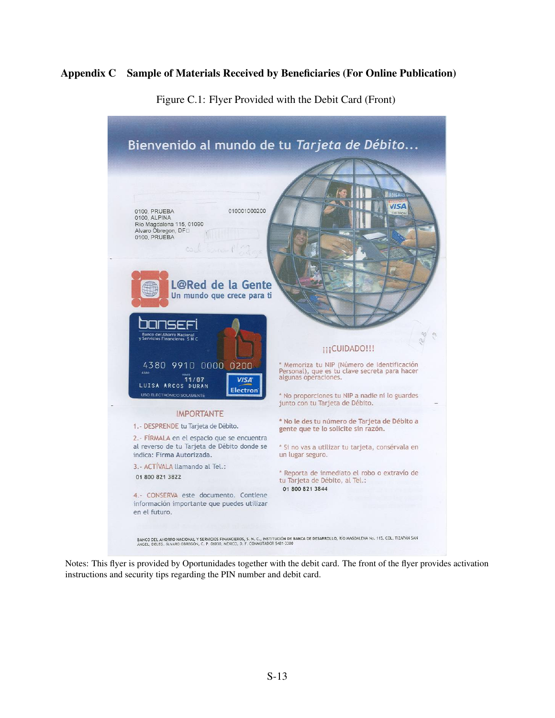## <span id="page-54-0"></span>Appendix C Sample of Materials Received by Beneficiaries (For Online Publication)



Figure C.1: Flyer Provided with the Debit Card (Front)

Notes: This flyer is provided by Oportunidades together with the debit card. The front of the flyer provides activation instructions and security tips regarding the PIN number and debit card.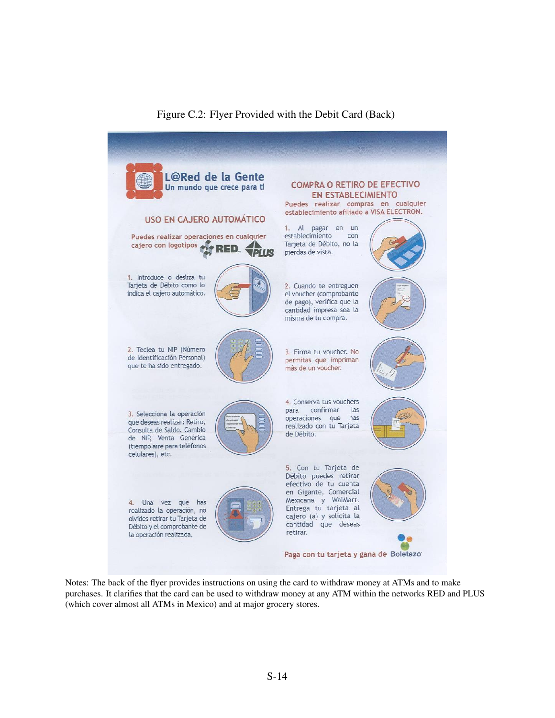

# Figure C.2: Flyer Provided with the Debit Card (Back)

Notes: The back of the flyer provides instructions on using the card to withdraw money at ATMs and to make purchases. It clarifies that the card can be used to withdraw money at any ATM within the networks RED and PLUS (which cover almost all ATMs in Mexico) and at major grocery stores.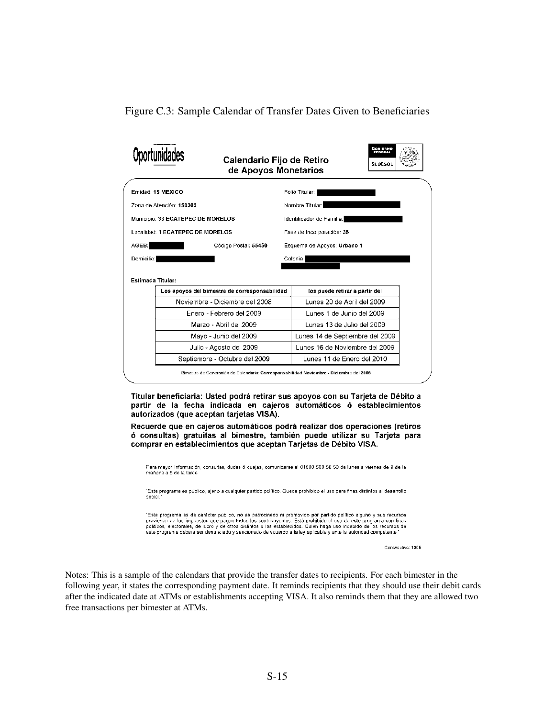<span id="page-56-0"></span>Figure C.3: Sample Calendar of Transfer Dates Given to Beneficiaries

|                                               | Calendario Fijo de Retiro<br>de Apoyos Monetarios | Gosierno<br><b>FEDERAL</b><br><b>SEDESOL</b> |  |  |
|-----------------------------------------------|---------------------------------------------------|----------------------------------------------|--|--|
| Entidad: 15 MEXICO                            |                                                   | Folio Titular: I                             |  |  |
| Zona de Atención: 150303                      |                                                   | Nombre Titular:                              |  |  |
| Municipio: 33 ECATEPEC DE MORELOS             |                                                   | Identificador de Familia:                    |  |  |
| Localidad: 1 ECATEPEC DE MORELOS              |                                                   | Fase de Incorporación: 35                    |  |  |
| AGEB:<br>Código Postal: 55450                 |                                                   | Esquema de Apoyos: Urbano 1                  |  |  |
|                                               |                                                   |                                              |  |  |
| Domicilio:<br>Estimada Titular:               |                                                   | Colonia:                                     |  |  |
| Los apoyos del bimestre de corresponsabilidad |                                                   | los puede retirar a partir del               |  |  |
| Noviembre - Diciembre del 2008                |                                                   | Lunes 20 de Abril del 2009                   |  |  |
| Enero - Febrero del 2009                      |                                                   | Lunes 1 de Junio del 2009                    |  |  |
| Marzo - Abril del 2009                        |                                                   | Lunes 13 de Julio del 2009                   |  |  |
| Mayo - Junio del 2009                         |                                                   | Lunes 14 de Septiembre del 2009              |  |  |
| Julio - Agosto del 2009                       |                                                   | Lunes 16 de Noviembre del 2009               |  |  |

Titular beneficiaria: Usted podrá retirar sus apoyos con su Tarjeta de Débito a partir de la fecha indicada en cajeros automáticos ó establecimientos autorizados (que aceptan tarjetas VISA).

Recuerde que en cajeros automáticos podrá realizar dos operaciones (retiros ó consultas) gratuitas al bimestre, también puede utilizar su Tarjeta para comprar en establecimientos que aceptan Tarjetas de Débito VISA.

Para mayor Información, consultas, dudas ó quejas, comunicarse al 01800 500 50 50 de lunes a viernes de 9 de la mañana a 6 de la tarde

"Este programa es público, ajeno a cualquier partido político. Queda prohibido el uso para fines distintos al desarrollo social

"Este programa es de carácter público, no es patrocinado ni promovido por partido político alguno y sus recursos provienen de los impuestos que pagan todos los contribuyentes. Está prohibido el uso de este programa con fines<br>políticos, electorales, de lucro y de otros distintos a los establecidos. Quien haga uso indebido de los recur este programa deberá ser denunciado y sancionado de acuerdo a la ley aplicable y ante la autoridad competente

Consecutivo: 1005

Notes: This is a sample of the calendars that provide the transfer dates to recipients. For each bimester in the following year, it states the corresponding payment date. It reminds recipients that they should use their debit cards after the indicated date at ATMs or establishments accepting VISA. It also reminds them that they are allowed two free transactions per bimester at ATMs.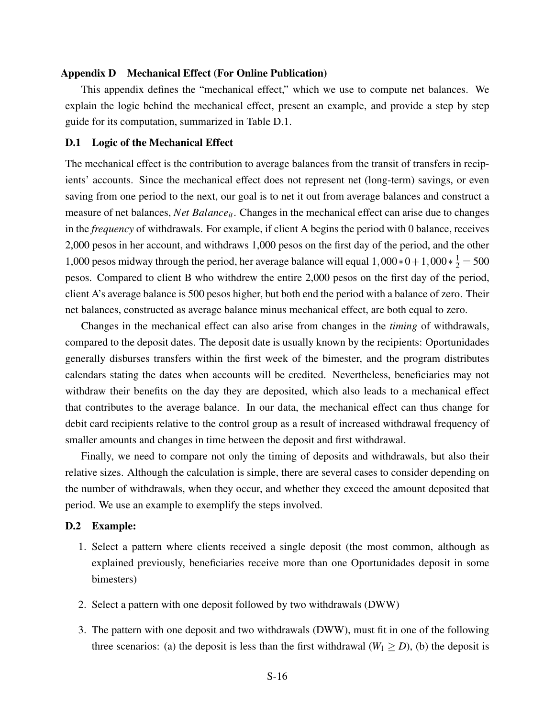#### <span id="page-57-0"></span>Appendix D Mechanical Effect (For Online Publication)

This appendix defines the "mechanical effect," which we use to compute net balances. We explain the logic behind the mechanical effect, present an example, and provide a step by step guide for its computation, summarized in Table [D.1.](#page-59-1)

## D.1 Logic of the Mechanical Effect

The mechanical effect is the contribution to average balances from the transit of transfers in recipients' accounts. Since the mechanical effect does not represent net (long-term) savings, or even saving from one period to the next, our goal is to net it out from average balances and construct a measure of net balances, *Net Balance*<sub>it</sub>. Changes in the mechanical effect can arise due to changes in the *frequency* of withdrawals. For example, if client A begins the period with 0 balance, receives 2,000 pesos in her account, and withdraws 1,000 pesos on the first day of the period, and the other 1,000 pesos midway through the period, her average balance will equal  $1,000*0+1,000*\frac{1}{2} = 500$ pesos. Compared to client B who withdrew the entire 2,000 pesos on the first day of the period, client A's average balance is 500 pesos higher, but both end the period with a balance of zero. Their net balances, constructed as average balance minus mechanical effect, are both equal to zero.

Changes in the mechanical effect can also arise from changes in the *timing* of withdrawals, compared to the deposit dates. The deposit date is usually known by the recipients: Oportunidades generally disburses transfers within the first week of the bimester, and the program distributes calendars stating the dates when accounts will be credited. Nevertheless, beneficiaries may not withdraw their benefits on the day they are deposited, which also leads to a mechanical effect that contributes to the average balance. In our data, the mechanical effect can thus change for debit card recipients relative to the control group as a result of increased withdrawal frequency of smaller amounts and changes in time between the deposit and first withdrawal.

Finally, we need to compare not only the timing of deposits and withdrawals, but also their relative sizes. Although the calculation is simple, there are several cases to consider depending on the number of withdrawals, when they occur, and whether they exceed the amount deposited that period. We use an example to exemplify the steps involved.

#### D.2 Example:

- 1. Select a pattern where clients received a single deposit (the most common, although as explained previously, beneficiaries receive more than one Oportunidades deposit in some bimesters)
- 2. Select a pattern with one deposit followed by two withdrawals (DWW)
- 3. The pattern with one deposit and two withdrawals (DWW), must fit in one of the following three scenarios: (a) the deposit is less than the first withdrawal ( $W_1 \ge D$ ), (b) the deposit is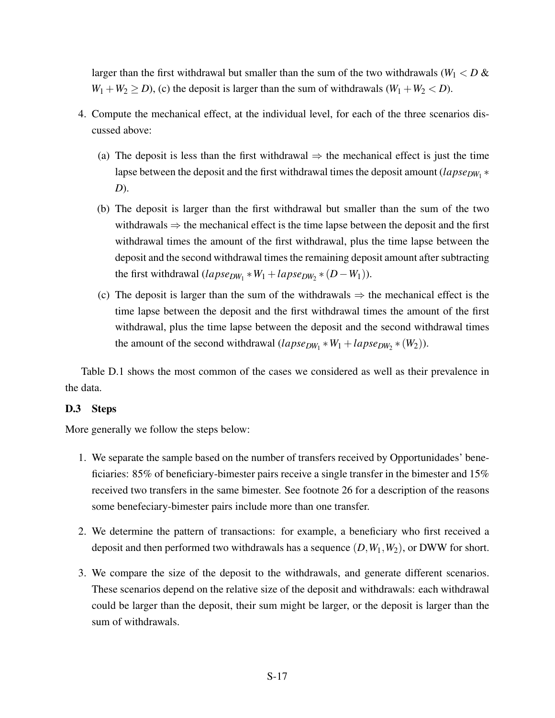larger than the first withdrawal but smaller than the sum of the two withdrawals ( $W_1 < D \&$  $W_1 + W_2 \ge D$ , (c) the deposit is larger than the sum of withdrawals  $(W_1 + W_2 < D)$ .

- 4. Compute the mechanical effect, at the individual level, for each of the three scenarios discussed above:
	- (a) The deposit is less than the first withdrawal  $\Rightarrow$  the mechanical effect is just the time lapse between the deposit and the first withdrawal times the deposit amount (*lapse<sub>DW*1</sub> \* *D*).
	- (b) The deposit is larger than the first withdrawal but smaller than the sum of the two withdrawals  $\Rightarrow$  the mechanical effect is the time lapse between the deposit and the first withdrawal times the amount of the first withdrawal, plus the time lapse between the deposit and the second withdrawal times the remaining deposit amount after subtracting the first withdrawal  $(lapse_{DW_1} * W_1 + lapse_{DW_2} * (D - W_1)).$
	- (c) The deposit is larger than the sum of the withdrawals  $\Rightarrow$  the mechanical effect is the time lapse between the deposit and the first withdrawal times the amount of the first withdrawal, plus the time lapse between the deposit and the second withdrawal times the amount of the second withdrawal  $(lapse_{DW_1} * W_1 + lapse_{DW_2} * (W_2)).$

Table [D.1](#page-59-1) shows the most common of the cases we considered as well as their prevalence in the data.

## D.3 Steps

More generally we follow the steps below:

- 1. We separate the sample based on the number of transfers received by Opportunidades' beneficiaries: 85% of beneficiary-bimester pairs receive a single transfer in the bimester and 15% received two transfers in the same bimester. See footnote [26](#page-17-1) for a description of the reasons some benefeciary-bimester pairs include more than one transfer.
- 2. We determine the pattern of transactions: for example, a beneficiary who first received a deposit and then performed two withdrawals has a sequence (*D*,*W*1,*W*2), or DWW for short.
- 3. We compare the size of the deposit to the withdrawals, and generate different scenarios. These scenarios depend on the relative size of the deposit and withdrawals: each withdrawal could be larger than the deposit, their sum might be larger, or the deposit is larger than the sum of withdrawals.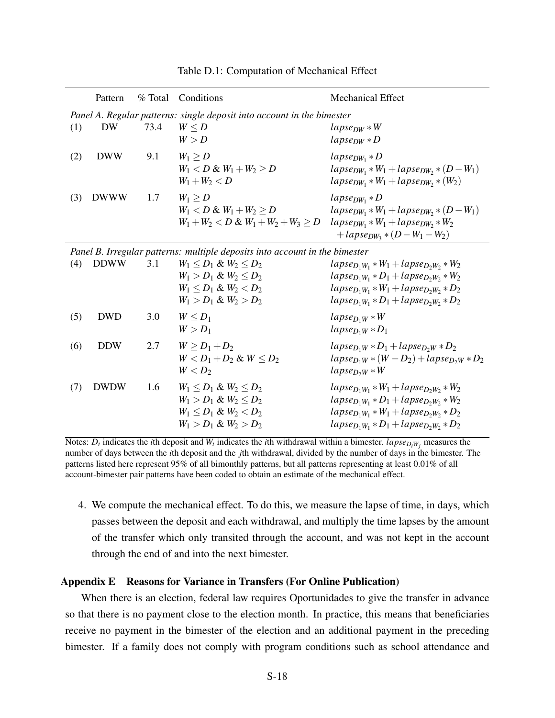<span id="page-59-1"></span>

|     | Pattern     | % Total | Conditions                                                                                                                | <b>Mechanical Effect</b>                                                                                                                                                     |
|-----|-------------|---------|---------------------------------------------------------------------------------------------------------------------------|------------------------------------------------------------------------------------------------------------------------------------------------------------------------------|
| (1) | <b>DW</b>   | 73.4    | Panel A. Regular patterns: single deposit into account in the bimester<br>$W \leq D$<br>W > D                             | $lapse_{DW}*W$<br>$lapse_{DW} * D$                                                                                                                                           |
| (2) | <b>DWW</b>  | 9.1     | $W_1 > D$<br>$W_1 < D & W_1 + W_2 > D$<br>$W_1 + W_2 < D$                                                                 | $lapse_{DW_1} * D$<br>$lapse_{DW_1}*W_1+lapse_{DW_2}*(D-W_1)$<br>$lapse_{DW_1}*W_1+lapse_{DW_2}*(W_2)$                                                                       |
| (3) | <b>DWWW</b> | 1.7     | $W_1 \geq D$<br>$W_1 < D \& W_1 + W_2 > D$<br>$W_1 + W_2 < D \& W_1 + W_2 + W_3 > D$                                      | $lapse_{DW_1} * D$<br>$lapse_{DW_1}*W_1 + lapse_{DW_2}*(D-W_1)$<br>$lapse_{DW_1}*W_1 + lapse_{DW_2}*W_2$<br>$+$ lapse <sub>DW3</sub> $*(D-W_1-W_2)$                          |
|     |             |         | Panel B. Irregular patterns: multiple deposits into account in the bimester                                               |                                                                                                                                                                              |
| (4) | <b>DDWW</b> | 3.1     | $W_1 \le D_1 \& W_2 \le D_2$<br>$W_1 > D_1 \& W_2 \leq D_2$<br>$W_1 \leq D_1 \& W_2 \leq D_2$<br>$W_1 > D_1 \& W_2 > D_2$ | $lapse_{D_1W_1}*W_1+lapse_{D_2W_2}*W_2$<br>$lapse_{D_1W_1}*D_1+lapse_{D_2W_2}*W_2$<br>$lapse_{D_1W_1}*W_1 + lapse_{D_2W_2}*D_2$<br>$lapse_{D_1W_1}*D_1 + lapse_{D_2W_2}*D_2$ |
| (5) | <b>DWD</b>  | 3.0     | $W < D_1$<br>$W > D_1$                                                                                                    | $lapse_{D_1W}*W$<br>$lapse_{D_1W}*D_1$                                                                                                                                       |
| (6) | <b>DDW</b>  | 2.7     | $W > D_1 + D_2$<br>$W < D_1 + D_2 \& W < D_2$<br>$W < D_2$                                                                | $lapse_{D_1W}*D_1+lapse_{D_2W}*D_2$<br>$lapse_{D_1W} * (W - D_2) + lapse_{D_2W} * D_2$<br>$lapse_{D2W}*W$                                                                    |
| (7) | <b>DWDW</b> | 1.6     | $W_1 < D_1 \& W_2 < D_2$<br>$W_1 > D_1 \& W_2 \leq D_2$<br>$W_1 \leq D_1 \& W_2 < D_2$<br>$W_1 > D_1 \& W_2 > D_2$        | $lapse_{D_1W_1}*W_1 + lapse_{D_2W_2}*W_2$<br>$lapse_{D_1W_1}*D_1+lapse_{D_2W_2}*W_2$<br>$lapse_{D_1W_1}*W_1 + lapse_{D_2W_2}*D_2$<br>$lapse_{D_1W_1}*D_1+lapse_{D_2W_2}*D_2$ |

Table D.1: Computation of Mechanical Effect

Notes:  $D_i$  indicates the *i*th deposit and  $W_i$  indicates the *i*th withdrawal within a bimester. *lapse* $D_iW_j$  measures the number of days between the *i*th deposit and the *j*th withdrawal, divided by the number of days in the bimester. The patterns listed here represent 95% of all bimonthly patterns, but all patterns representing at least 0.01% of all account-bimester pair patterns have been coded to obtain an estimate of the mechanical effect.

4. We compute the mechanical effect. To do this, we measure the lapse of time, in days, which passes between the deposit and each withdrawal, and multiply the time lapses by the amount of the transfer which only transited through the account, and was not kept in the account through the end of and into the next bimester.

## <span id="page-59-0"></span>Appendix E Reasons for Variance in Transfers (For Online Publication)

When there is an election, federal law requires Oportunidades to give the transfer in advance so that there is no payment close to the election month. In practice, this means that beneficiaries receive no payment in the bimester of the election and an additional payment in the preceding bimester. If a family does not comply with program conditions such as school attendance and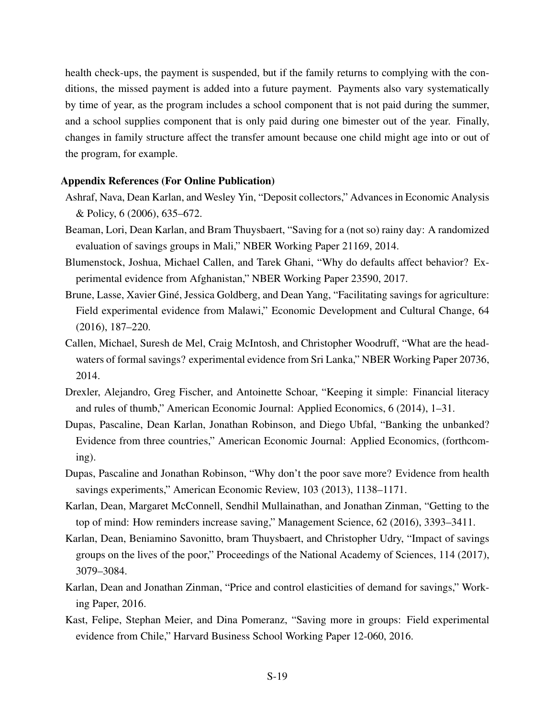health check-ups, the payment is suspended, but if the family returns to complying with the conditions, the missed payment is added into a future payment. Payments also vary systematically by time of year, as the program includes a school component that is not paid during the summer, and a school supplies component that is only paid during one bimester out of the year. Finally, changes in family structure affect the transfer amount because one child might age into or out of the program, for example.

## <span id="page-60-0"></span>Appendix References (For Online Publication)

- Ashraf, Nava, Dean Karlan, and Wesley Yin, "Deposit collectors," Advances in Economic Analysis & Policy, 6 (2006), 635–672.
- <span id="page-60-1"></span>Beaman, Lori, Dean Karlan, and Bram Thuysbaert, "Saving for a (not so) rainy day: A randomized evaluation of savings groups in Mali," NBER Working Paper 21169, 2014.
- <span id="page-60-2"></span>Blumenstock, Joshua, Michael Callen, and Tarek Ghani, "Why do defaults affect behavior? Experimental evidence from Afghanistan," NBER Working Paper 23590, 2017.
- Brune, Lasse, Xavier Giné, Jessica Goldberg, and Dean Yang, "Facilitating savings for agriculture: Field experimental evidence from Malawi," Economic Development and Cultural Change, 64 (2016), 187–220.
- Callen, Michael, Suresh de Mel, Craig McIntosh, and Christopher Woodruff, "What are the headwaters of formal savings? experimental evidence from Sri Lanka," NBER Working Paper 20736, 2014.
- <span id="page-60-3"></span>Drexler, Alejandro, Greg Fischer, and Antoinette Schoar, "Keeping it simple: Financial literacy and rules of thumb," American Economic Journal: Applied Economics, 6 (2014), 1–31.
- Dupas, Pascaline, Dean Karlan, Jonathan Robinson, and Diego Ubfal, "Banking the unbanked? Evidence from three countries," American Economic Journal: Applied Economics, (forthcoming).
- <span id="page-60-4"></span>Dupas, Pascaline and Jonathan Robinson, "Why don't the poor save more? Evidence from health savings experiments," American Economic Review, 103 (2013), 1138–1171.
- <span id="page-60-5"></span>Karlan, Dean, Margaret McConnell, Sendhil Mullainathan, and Jonathan Zinman, "Getting to the top of mind: How reminders increase saving," Management Science, 62 (2016), 3393–3411.
- <span id="page-60-6"></span>Karlan, Dean, Beniamino Savonitto, bram Thuysbaert, and Christopher Udry, "Impact of savings groups on the lives of the poor," Proceedings of the National Academy of Sciences, 114 (2017), 3079–3084.
- <span id="page-60-7"></span>Karlan, Dean and Jonathan Zinman, "Price and control elasticities of demand for savings," Working Paper, 2016.
- Kast, Felipe, Stephan Meier, and Dina Pomeranz, "Saving more in groups: Field experimental evidence from Chile," Harvard Business School Working Paper 12-060, 2016.